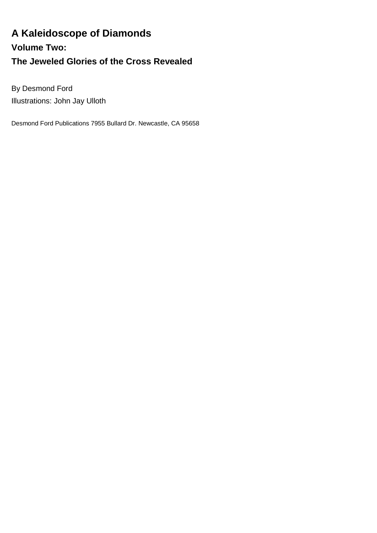# **A Kaleidoscope of Diamonds Volume Two: The Jeweled Glories of the Cross Revealed**

By Desmond Ford Illustrations: John Jay Ulloth

Desmond Ford Publications 7955 Bullard Dr. Newcastle, CA 95658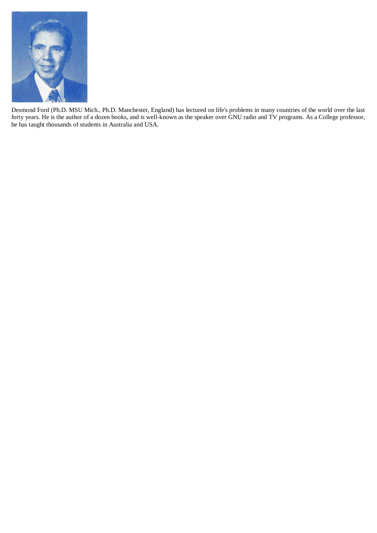

Desmond Ford (Ph.D. MSU Mich., Ph.D. Manchester, England) has lectured on life's problems in many countries of the world over the last forty years. He is the author of a dozen books, and is well-known as the speaker over GNU radio and TV programs. As a College professor, he has taught thousands of students in Australia and USA.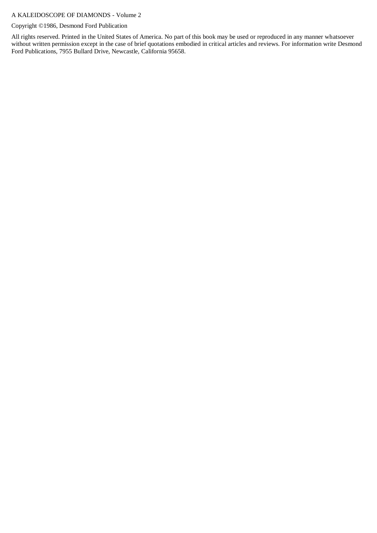### A KALEIDOSCOPE OF DIAMONDS - Volume 2

Copyright ©1986, Desmond Ford Publication

All rights reserved. Printed in the United States of America. No part of this book may be used or reproduced in any manner whatsoever without written permission except in the case of brief quotations embodied in critical articles and reviews. For information write Desmond Ford Publications, 7955 Bullard Drive, Newcastle, California 95658.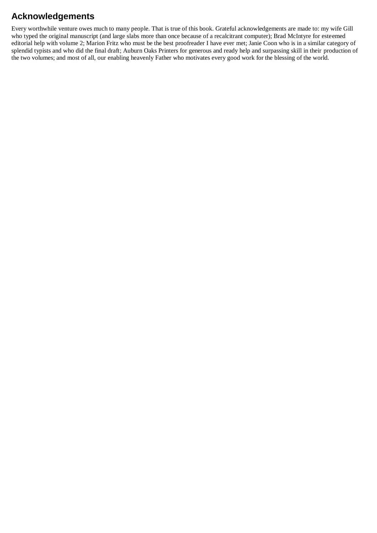# **Acknowledgements**

Every worthwhile venture owes much to many people. That is true of this book. Grateful acknowledgements are made to: my wife Gill who typed the original manuscript (and large slabs more than once because of a recalcitrant computer); Brad McIntyre for esteemed editorial help with volume 2; Marion Fritz who must be the best proofreader I have ever met; Janie Coon who is in a similar category of splendid typists and who did the final draft; Auburn Oaks Printers for generous and ready help and surpassing skill in their production of the two volumes; and most of all, our enabling heavenly Father who motivates every good work for the blessing of the world.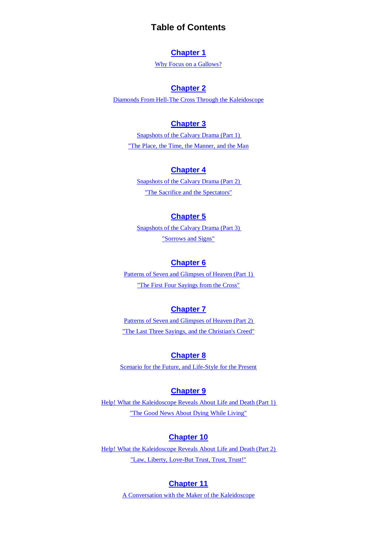# **Table of Contents**

# **[Chapter 1](#page-7-0)**

[Why Focus on a Gallows?](#page-7-0)

# **[Chapter 2](#page-9-0)**

<span id="page-4-0"></span>[Diamonds From Hell-The Cross Through the](#page-9-0) Kaleidoscope

# **[Chapter 3](#page-13-0)**

[Snapshots of the Calvary Drama \(Part 1\)](#page-13-0)  ["The Place, the Time, the Manner, and the](#page-13-0) Man

# **[Chapter 4](#page-20-0)**

[Snapshots of the Calvary Drama \(Part 2\)](#page-20-0) "The [Sacrifice and the Spectators"](#page-20-0)

# **[Chapter 5](#page-26-0)**

[Snapshots of the Calvary Drama \(Part 3\)](#page-26-0) ["Sorrows and Signs"](#page-26-0)

# **[Chapter 6](#page-32-0)**

[Patterns of Seven and Glimpses of Heaven \(Part 1\)](#page-32-0)  ["The First Four Sayings from the Cross"](#page-32-0)

# **[Chapter 7](#page-37-0)**

[Patterns of Seven and Glimpses of Heaven \(Part 2\)](#page-37-0)  ["The Last Three Sayings, and the Christian's](#page-37-0) Creed"

# **[Chapter 8](#page-40-0)**

[Scenario for the Future, and Life-Style for the](#page-40-0) Present

# **[Chapter 9](#page-45-0)**

[Help! What the Kaleidoscope Reveals About Life and Death \(Part 1\)](#page-45-0) ["The Good News About Dying While Living"](#page-45-0)

### **[Chapter 10](#page-51-0)**

[Help! What the Kaleidoscope Reveals About Life and Death \(Part 2\)](#page-51-0) ["Law, Liberty, Love-But Trust, Trust, Trust!"](#page-51-0)

# **[Chapter 11](#page-57-0)**

[A Conversation with the Maker of the](#page-57-0) Kaleidoscope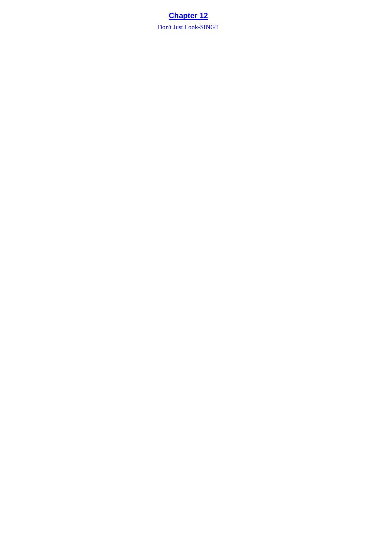**[Chapter 12](#page-59-0)** [Don't Just Look-SING!!](#page-59-0)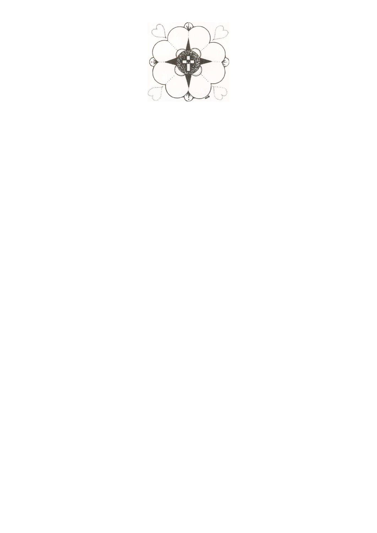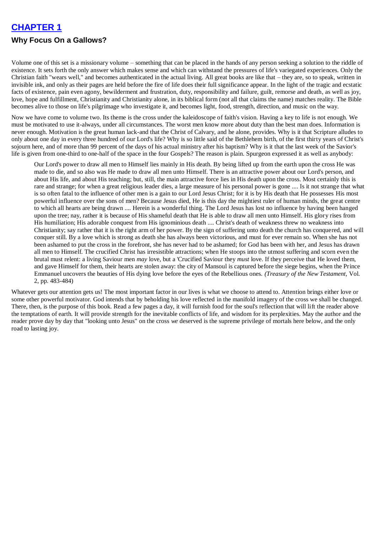# <span id="page-7-0"></span>**Why Focus On a Gallows?**

Volume one of this set is a missionary volume – something that can be placed in the hands of any person seeking a solution to the riddle of existence. It sets forth the only answer which makes sense and which can withstand the pressures of life's variegated experiences. Only the Christian faith "wears well," and becomes authenticated in the actual living. All great books are like that – they are, so to speak, written in invisible ink, and only as their pages are held before the fire of life does their full significance appear. In the light of the tragic and ecstatic facts of existence, pain even agony, bewilderment and frustration, duty, responsibility and failure, guilt, remorse and death, as well as joy, love, hope and fulfillment, Christianity and Christianity alone, in its biblical form (not all that claims the name) matches reality. The Bible becomes alive to those on life's pilgrimage who investigate it, and becomes light, food, strength, direction, and music on the way.

Now we have come to volume two. Its theme is the cross under the kaleidoscope of faith's vision. Having a key to life is not enough. We must be motivated to use it-always, under all circumstances. The worst men know more about duty than the best man does. Information is never enough. Motivation is the great human lack-and that the Christ of Calvary, and he alone, provides. Why is it that Scripture alludes to only about one day in every three hundred of our Lord's life? Why is so little said of the Bethlehem birth, of the first thirty years of Christ's sojourn here, and of more than 99 percent of the days of his actual ministry after his baptism? Why is it that the last week of the Savior's life is given from one-third to one-half of the space in the four Gospels? The reason is plain. Spurgeon expressed it as well as anybody:

Our Lord's power to draw all men to Himself lies mainly in His death. By being lifted up from the earth upon the cross He was made to die, and so also was He made to draw all men unto Himself. There is an attractive power about our Lord's person, and about His life, and about His teaching; but, still, the main attractive force lies in His death upon the cross. Most certainly this is rare and strange; for when a great religious leader dies, a large measure of his personal power is gone .... Is it not strange that what is so often fatal to the influence of other men is a gain to our Lord Jesus Christ; for it is by His death that He possesses His most powerful influence over the sons of men? Because Jesus died, He is this day the mightiest ruler of human minds, the great centre to which all hearts are being drawn .... Herein is a wonderful thing. The Lord Jesus has lost no influence by having been hanged upon the tree; nay, rather it is because of His shameful death that He is able to draw all men unto Himself. His glory rises from His humiliation; His adorable conquest from His ignominious death .... Christ's death of weakness threw no weakness into Christianity; say rather that it is the right arm of her power. By the sign of suffering unto death the church has conquered, and will conquer still. By a love which is strong as death she has always been victorious, and must for ever remain so. When she has not been ashamed to put the cross in the forefront, she has never had to be ashamed; for God has been with her, and Jesus has drawn all men to Himself. The crucified Christ has irresistible attractions; when He stoops into the utmost suffering and scorn even the brutal must relent: a living Saviour men *may* love, but a 'Crucified Saviour they *must* love. If they perceive that He loved them, and gave Himself for them, their hearts are stolen away: the city of Mansoul is captured before the siege begins, when the Prince Emmanuel uncovers the beauties of His dying love before the eyes of the Rebellious ones. *(Treasury of the New Testament,* Vol. 2, pp. 483-484)

Whatever gets our attention gets us! The most important factor in our lives is what we choose to attend to. Attention brings either love or some other powerful motivator. God intends that by beholding his love reflected in the manifold imagery of the cross we shall be changed. There, then, is the purpose of this book. Read a few pages a day, it will furnish food for the soul's reflection that will lift the reader above the temptations of earth. It will provide strength for the inevitable conflicts of life, and wisdom for its perplexities. May the author and the reader prove day by day that "looking unto Jesus" on the cross *we* deserved is the supreme privilege of mortals here below, and the only road to lasting joy.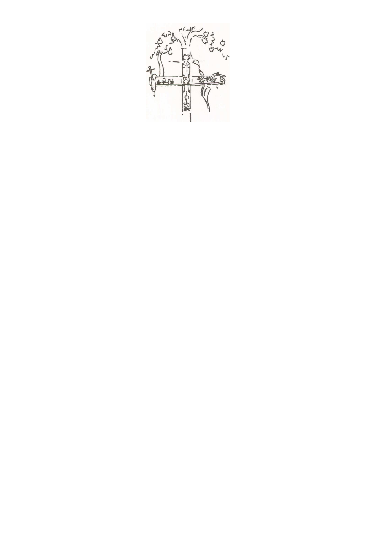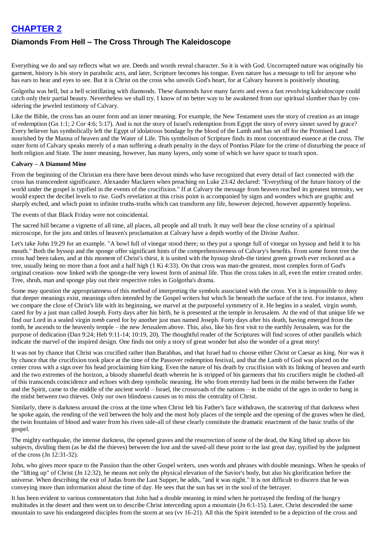# <span id="page-9-0"></span>**Diamonds From Hell – The Cross Through The Kaleidoscope**

Everything we do and say reflects what we are. Deeds and words reveal character. So it is with God. Uncorrupted nature was originally his garment, history is his story in parabolic acts, and later, Scripture becomes his tongue. Even nature has a message to tell for anyone who has ears to hear and eyes to see. But it is Christ on the cross who unveils God's heart, for at Calvary heaven is positively shouting.

Golgotha was hell, but a hell scintillating with diamonds. These diamonds have many facets and even a fast revolving kaleidoscope could catch only their partial beauty. Nevertheless we shall try. I know of no better way to be awakened from our spiritual slumber than by considering the jeweled testimony of Calvary.

Like the Bible, the cross has an outer form and an inner meaning. For example, the New Testament uses the story of creation as an image of redemption (Gn 1:1; 2 Cor 4:6; 5:17). And is not the story of Israel's redemption from Egypt the story of every sinner saved by grace? Every believer has symbolically left the Egypt of idolatrous bondage by the blood of the Lamb and has set off for the Promised Land nourished by the Manna of heaven and the Water of Life. This symbolism of Scripture finds its most concentrated essence at the cross. The outer form of Calvary speaks merely of a man suffering a death penalty in the days of Pontius Pilate for the crime of disturbing the peace of both religion and State. The inner meaning, however, has many layers, only some of which we have space to touch upon.

### **Calvary – A Diamond Mine**

From the beginning of the Christian era there have been devout minds who have recognized that every detail of fact connected with the cross has transcendent significance. Alexander Maclaren when preaching on Luke 23:42 declared: "Everything of the future history of the world under the gospel is typified in the events of the crucifixion." If at Calvary the message from heaven reached its greatest intensity, we would expect the decibel levels to rise. God's revelation at this crisis point is accompanied by signs and wonders which are graphic and sharply etched, and which point to infinite truths-truths which can transform any life, however dejected, however apparently hopeless.

The events of that Black Friday were not coincidental.

The sacred hill became a vignette of all time, all places, all people and all truth. It may well bear the close scrutiny of a spiritual microscope, for the jots and tittles of heaven's proclamation at Calvary have a depth worthy of the Divine Author.

Let's take John 19:29 for an example. "A bowl full of vinegar stood there; so they put a sponge full of vinegar on hyssop and held it to his mouth." Both the hyssop and the sponge offer significant hints of the comprehensiveness of Calvary's benefits. From some forest tree the cross had been taken, and at this moment of Christ's thirst, it is united with the hyssop shrub-the tiniest green growth ever reckoned as a tree, usually being no more than a foot and a half high (1 Ki 4:33). On that cross was man-the greatest, most complex form of God's original creation- now linked with the sponge-the very lowest form of animal life. Thus the cross takes in all, even the entire created order. Tree, shrub, man and sponge play out their respective roles in Golgotha's drama.

Some may question the appropriateness of this method of interpreting the symbols associated with the cross. Yet it is impossible to deny that deeper meanings exist, meanings often intended by the Gospel writers but which lie beneath the surface of the text. For instance, when we compare the close of Christ's life with its beginning, we marvel at the purposeful symmetry of it. He begins in a sealed, virgin *womb,*  cared for by a just man called Joseph. Forty days after his birth, he is presented at the temple in Jerusalem. At the end of that unique life we find our Lord in a sealed virgin *tomb* cared for by another just man named Joseph. Forty days after his death, having emerged from the tomb, he ascends to the heavenly temple – the new Jerusalem above. This, also, like his first visit to the earthly Jerusalem, was for the purpose of dedication (Dan 9:24; Heb 9:11-14; 10:19, 20). The thoughtful reader of the Scriptures will find scores of other parallels which indicate the marvel of the inspired design. One finds not only a story of great wonder but also the wonder of a great story!

It was not by chance that Christ was crucified rather than Barabbas, and that Israel had to choose either Christ or Caesar as king. Nor was it by chance that the crucifixion took place at the time of the Passover redemption festival, and that the Lamb of God was placed on the center cross with a sign over his head proclaiming him king. Even the nature of his death by crucifixion with its linking of heaven and earth and the two extremes of the horizon, a bloody shameful death wherein he is stripped of his garments that his crucifiers might be clothed-all of this transcends coincidence and echoes with deep symbolic meaning. He who from eternity had been in the midst between the Father and the Spirit, came to the middle of the ancient world – Israel, the crossroads of the nations – in the midst of the ages in order to hang in the midst between two thieves. Only our own blindness causes us to miss the centrality of Christ.

Similarly, there is darkness around the cross at the time when Christ felt his Father's face withdrawn, the scattering of that darkness when he spoke again, the rending of the veil between the holy and the most holy places of the temple and the opening of the graves when he died, the twin fountains of blood and water from his riven side-all of these clearly constitute the dramatic enactment of the basic truths of the gospel.

The mighty earthquake, the intense darkness, the opened graves and the resurrection of some of the dead, the King lifted up above his subjects, dividing them (as he did the thieves) between the lost and the saved-all these point to the last great day, typified by the judgment of the cross (Jn 12:31-32).

John, who gives more space to the Passion than the other Gospel writers, uses words and phrases with double meanings. When he speaks of the "lifting up" of Christ (Jn 12:32), he means not only the physical elevation of the Savior's body, but also his glorification before the universe. When describing the exit of Judas from the Last Supper, he adds, "and it was night." It is not difficult to discern that he was conveying more than information about the time of day. He sees that the sun has set in the soul of the betrayer.

It has been evident to various commentators that John had a double meaning in mind when he portrayed the feeding of the hungry multitudes in the desert and then went on to describe Christ interceding upon a mountain (Jn 6:1-15). Later, Christ descended the same mountain to save his endangered disciples from the storm at sea (vv 16-21). All this the Spirit intended to be a depiction of the cross and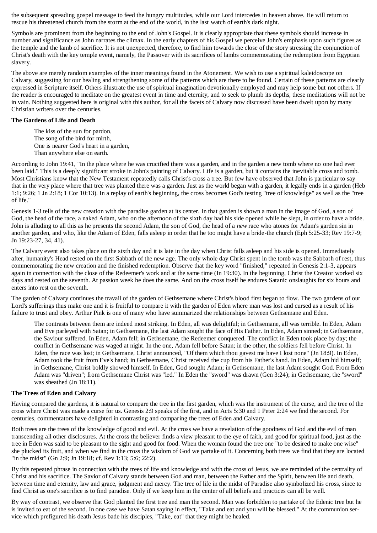the subsequent spreading gospel message to feed the hungry multitudes, while our Lord intercedes in heaven above. He will return to rescue his threatened church from the storm at the end of the world, in the last watch of earth's dark night.

Symbols are prominent from the beginning to the end of John's Gospel. It is clearly appropriate that these symbols should increase in number and significance as John narrates the climax. In the early chapters of his Gospel we perceive John's emphasis upon such figures as the temple and the lamb of sacrifice. It is not unexpected, therefore, to find him towards the close of the story stressing the conjunction of Christ's death with the key temple event, namely, the Passover with its sacrifices of lambs commemorating the redemption from Egyptian slavery.

The above are merely random examples of the inner meanings found in the Atonement. We wish to use a spiritual kaleidoscope on Calvary, suggesting for our healing and strengthening some of the patterns which are there to be found. Certain of these patterns are clearly expressed in Scripture itself. Others illustrate the use of spiritual imagination devotionally employed and may help some but not others. If the reader is encouraged to meditate on the greatest event in time and eternity, and to seek to plumb its depths, these meditations will not be in vain. Nothing suggested here is original with this author, for all the facets of Calvary now discussed have been dwelt upon by many Christian writers over the centuries.

#### **The Gardens of Life and Death**

The kiss of the sun for pardon, The song of the bird for mirth, One is nearer God's heart in a garden, Than anywhere else on earth.

According to John 19:41, "In the place where he was crucified there was a garden, and in the garden a new tomb where no one had ever been laid." This is a deeply significant stroke in John's painting of Calvary. Life is a garden, but it contains the inevitable cross and tomb. Most Christians know that the New Testament repeatedly calls Christ's cross a tree. But few have observed that John is particular to say that in the very place where that tree was planted there was a garden. Just as the world began with a garden, it legally ends in a garden (Heb 1:1; 9:26; 1 Jn 2:18; 1 Cor 10:13). In a replay of earth's beginning, the cross becomes God's testing "tree of knowledge" as well as the "tree of life."

Genesis 1-3 tells of the new creation with the paradise garden at its center. In that garden is shown a man in the image of God, a son of God, the head of the race, a naked Adam, who on the afternoon of the sixth day had his side opened while he slept, in order to have a bride. John is alluding to all this as he presents the second Adam, the son of God, the head of a *new* race who atones for Adam's garden sin in another garden, and who, like the Adam of Eden, falls asleep in order that he too might have a bride-the church (Eph 5:25-33; Rev 19:7-9; Jn 19:23-27, 34, 41).

The Calvary event also takes place on the sixth day and it is late in the day when Christ falls asleep and his side is opened. Immediately after, humanity's Head rested on the first Sabbath of the new age. The only whole day Christ spent in the tomb was the Sabbath of rest, thus commemorating the new creation and the finished redemption. Observe that the key word "finished," repeated in Genesis 2:1-3, appears again in connection with the close of the Redeemer's work and at the same time (In 19:30). In the beginning, Christ the Creator worked six days and rested on the seventh. At passion week he does the same. And on the cross itself he endures Satanic onslaughts for six hours and enters into rest on the seventh.

The garden of Calvary continues the travail of the garden of Gethsemane where Christ's blood first began to flow. The two gardens of our Lord's sufferings thus make one and it is fruitful to compare it with the garden of Eden where man was lost and cursed as a result of his failure to trust and obey. Arthur Pink is one of many who have summarized the relationships between Gethsemane and Eden.

The contrasts between them are indeed most striking. In Eden, all was delightful; in Gethsemane, all was terrible. In Eden, Adam and Eve parleyed with Satan; in Gethsemane, the last Adam sought the face of His Father. In Eden, Adam sinned; in Gethsemane, the Saviour suffered. In Eden, Adam fell; in Gethsemane, the Redeemer conquered. The conflict in Eden took place by day; the conflict in Gethsemane was waged at night. In the one, Adam fell before Satan; in the other, the soldiers fell before Christ. In Eden, the race was lost; in Gethsemane, Christ announced, "Of them which thou gavest me have I lost none" (Jn 18:9). In Eden, Adam took the fruit from Eve's hand; in Gethsemane, Christ received the cup from his Father's hand. In Eden, Adam hid himself; in Gethsemane, Christ boldly showed himself. In Eden, God sought Adam; in Gethsemane, the last Adam sought God. From Eden Adam was "driven"; from Gethsemane Christ was "led." In Eden the "sword" was drawn (Gen 3:24); in Gethsemane, the "sword" was sheathed  $(In 18:11).$ <sup>1</sup>

### **The Trees of Eden and Calvary**

Having compared the gardens, it is natural to compare the tree in the first garden, which was the instrument of the curse, and the tree of the cross where Christ was made a curse for us. Genesis 2:9 speaks of the first, and in Acts 5:30 and 1 Peter 2:24 we find the second. For centuries, commentators have delighted in contrasting and comparing the trees of Eden and Calvary.

Both trees are the trees of the knowledge of good and evil. At the cross we have a revelation of the goodness of God and the evil of man transcending all other disclosures. At the cross the believer finds a view pleasant to the *eye* of faith, and good for spiritual food, just as the tree in Eden was said to be pleasant to the sight and good for food. When the woman found the tree one "to be desired to make one wise" she plucked its fruit, and when we find in the cross the wisdom of God we partake of it. Concerning both trees we find that they are located "in the midst" (Gn 2:9; Jn 19:18; cf. Rev 1:13; 5:6; 22:2).

By this repeated phrase in connection with the trees of life and knowledge and with the cross of Jesus, we are reminded of the centrality of Christ and his sacrifice. The Savior of Calvary stands between God and man, between the Father and the Spirit, between life and death, between time and eternity, law and grace, judgment and mercy. The tree of life in the midst of Paradise also symbolized his cross, since to find Christ as one's sacrifice is to find paradise. Only if we keep him in the center of all beliefs and practices can all be well.

By way of contrast, we observe that God planted the first tree and man the second. Man was forbidden to partake of the Edenic tree but he is invited to eat of the second. In one case we have Satan saying in effect, "Take and eat and you will be blessed." At the communion service which prefigured his death Jesus bade his disciples, "Take, eat" that they might be healed.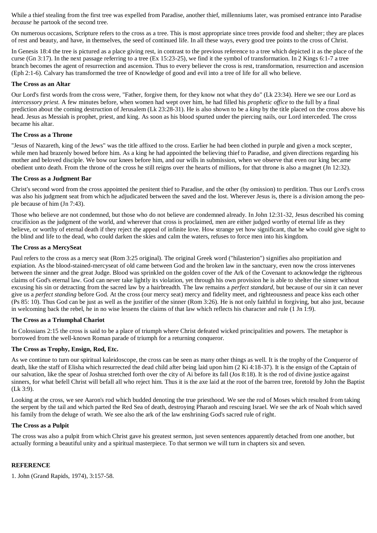While a thief stealing from the first tree was expelled from Paradise, another thief, millenniums later, was promised entrance into Paradise *because* he partook of the second tree.

On numerous occasions, Scripture refers to the cross as a tree. This is most appropriate since trees provide food and shelter; they are places of rest and beauty, and have, in themselves, the seed of continued life. In all these ways, every good tree points to the cross of Christ.

In Genesis 18:4 the tree is pictured as a place giving rest, in contrast to the previous reference to a tree which depicted it as the place of the curse (Gn 3:17). In the next passage referring to a tree (Ex 15:23-25), we find it the symbol of transformation. In 2 Kings 6:1-7 a tree branch becomes the agent of resurrection and ascension. Thus to every believer the cross is rest, transformation, resurrection and ascension (Eph 2:1-6). Calvary has transformed the tree of Knowledge of good and evil into a tree of life for all who believe.

### **The Cross as an Altar**

Our Lord's first words from the cross were, "Father, forgive them, for they know not what they do" (Lk 23:34). Here we see our Lord as *intercessory priest.* A few minutes before, when women had wept over him, he had filled his *prophetic office* to the full by a final prediction about the coming destruction of Jerusalem (Lk 23:28-31). He is also shown to be a *king* by the title placed on the cross above his head. Jesus as Messiah is prophet, priest, and king. As soon as his blood spurted under the piercing nails, our Lord interceded. The cross became his altar.

### **The Cross as a Throne**

"Jesus of Nazareth, king of the Jews" was the title affixed to the cross. Earlier he had been clothed in purple and given a mock scepter, while men had brazenly bowed before him. As a king he had appointed the believing thief to Paradise, and given directions regarding his mother and beloved disciple. We bow our knees before him, and our wills in submission, when we observe that even our king became obedient unto death. From the throne of the cross he still reigns over the hearts of millions, for that throne is also a magnet (Jn 12:32).

### **The Cross as a Judgment Bar**

Christ's second word from the cross appointed the penitent thief to Paradise, and the other (by omission) to perdition. Thus our Lord's cross was also his judgment seat from which he adjudicated between the saved and the lost. Wherever Jesus is, there is a division among the people because of him (Jn 7:43).

Those who believe are not condemned, but those who do not believe are condemned already. In John 12:31-32, Jesus described his coming crucifixion as the judgment of the world, and wherever that cross is proclaimed, men are either judged worthy of eternal life as they believe, or worthy of eternal death if they reject the appeal of infinite love. How strange yet how significant, that he who could give sight to the blind and life to the dead, who could darken the skies and calm the waters, refuses to force men into his kingdom.

### **The Cross as a MercySeat**

Paul refers to the cross as a mercy seat (Rom 3:25 original). The original Greek word ("hilasterion") signifies also propitiation and expiation. As the blood-stained-mercyseat of old came between God and the broken law in the sanctuary, even now the cross intervenes between the sinner and the great Judge. Blood was sprinkled on the golden cover of the Ark of the Covenant to acknowledge the righteous claims of God's eternal law. God can never take lightly its violation, yet through his own provision he is able to shelter the sinner without excusing his sin or detracting from the sacred law by a hairbreadth. The law remains a *perfect standard,* but because of our sin it can never give us a *perfect standing* before God. At the cross (our mercy seat) mercy and fidelity meet, and righteousness and peace kiss each other (Ps 85: 10). Thus God can be just as well as the justifier of the sinner (Rom 3:26). He is not only faithful in forgiving, but also just, because in welcoming back the rebel, he in no wise lessens the claims of that law which reflects his character and rule (1 Jn 1:9).

### **The Cross as a Triumphal Chariot**

In Colossians 2:15 the cross is said to be a place of triumph where Christ defeated wicked principalities and powers. The metaphor is borrowed from the well-known Roman parade of triumph for a returning conqueror.

### **The Cross as Trophy, Ensign, Rod, Etc.**

As we continue to turn our spiritual kaleidoscope, the cross can be seen as many other things as well. It is the trophy of the Conqueror of death, like the staff of Elisha which resurrected the dead child after being laid upon him (2 Ki 4:18-37). It is the ensign of the Captain of our salvation, like the spear of Joshua stretched forth over the city of Ai before its fall (Jos 8:18). It is the rod of divine justice against sinners, for what befell Christ will befall all who reject him. Thus it is the axe laid at the root of the barren tree, foretold by John the Baptist (Lk 3:9).

Looking at the cross, we see Aaron's rod which budded denoting the true priesthood. We see the rod of Moses which resulted from taking the serpent by the tail and which parted the Red Sea of death, destroying Pharaoh and rescuing Israel. We see the ark of Noah which saved his family from the deluge of wrath. We see also the ark of the law enshrining God's sacred rule of right.

#### **The Cross as a Pulpit**

The cross was also a pulpit from which Christ gave his greatest sermon, just seven sentences apparently detached from one another, but actually forming a beautiful unity and a spiritual masterpiece. To that sermon we will turn in chapters six and seven.

### **REFERENCE**

1. John (Grand Rapids, 1974), 3:157-58.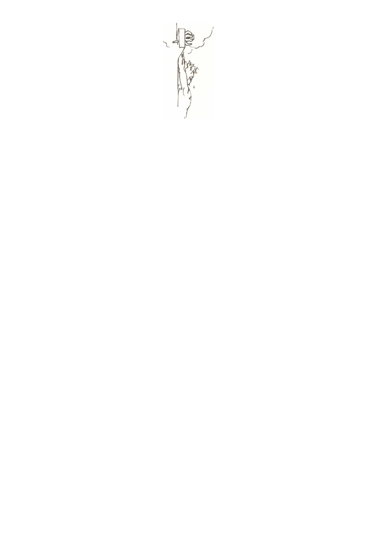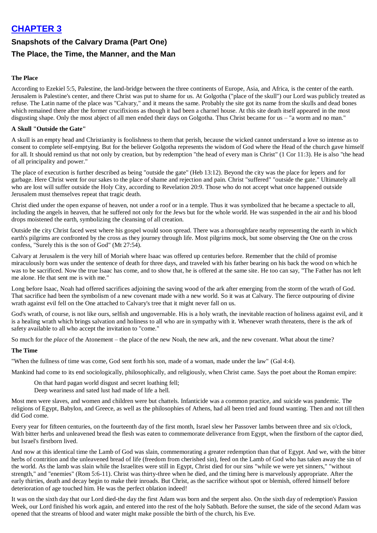# <span id="page-13-0"></span>**Snapshots of the Calvary Drama (Part One) The Place, the Time, the Manner, and the Man**

### **The Place**

According to Ezekiel 5:5, Palestine, the land-bridge between the three continents of Europe, Asia, and Africa, is the center of the earth. Jerusalem is Palestine's center, and there Christ was put to shame for us. At Golgotha ("place of the skull") our Lord was publicly treated as refuse. The Latin name of the place was "Calvary," and it means the same. Probably the site got its name from the skulls and dead bones which remained there after the former crucifixions as though it had been a charnel house. At this site death itself appeared in the most disgusting shape. Only the most abject of all men ended their days on Golgotha. Thus Christ became for us – "a worm and no man."

# **A Skull "Outside the Gate"**

A skull is an empty head and Christianity is foolishness to them that perish, because the wicked cannot understand a love so intense as to consent to complete self-emptying. But for the believer Golgotha represents the wisdom of God where the Head of the church gave himself for all. It should remind us that not only by creation, but by redemption "the head of every man is Christ" (1 Cor 11:3). He is also "the head of all principality and power."

The place of execution is further described as being "outside the gate" (Heb 13:12). Beyond the city was the place for lepers and for garbage. Here Christ went for our sakes to the place of shame and rejection and pain. Christ "suffered" "outside the gate." Ultimately all who are lost will suffer outside the Holy City, according to Revelation 20:9. Those who do not accept what once happened outside Jerusalem must themselves repeat that tragic death.

Christ died under the open expanse of heaven, not under a roof or in a temple. Thus it was symbolized that he became a spectacle to all, including the angels in heaven, that he suffered not only for the Jews but for the whole world. He was suspended in the air and his blood drops moistened the earth, symbolizing the cleansing of all creation.

Outside the city Christ faced west where his gospel would soon spread. There was a thoroughfare nearby representing the earth in which earth's pilgrims are confronted by the cross as they journey through life. Most pilgrims mock, but some observing the One on the cross confess, "Surely this is the son of God" (Mt 27:54).

Calvary at Jerusalem is the very hill of Moriah where Isaac was offered up centuries before. Remember that the child of promise miraculously born was under the sentence of death for three days, and traveled with his father bearing on his back the wood on which he was to be sacrificed. Now the true Isaac has come, and to show that, he is offered at the same site. He too can say, "The Father has not left me alone. He that sent me is with me."

Long before Isaac, Noah had offered sacrifices adjoining the saving wood of the ark after emerging from the storm of the wrath of God. That sacrifice had been the symbolism of a new covenant made with a new world. So it was at Calvary. The fierce outpouring of divine wrath against evil fell on the One attached to Calvary's tree that it might never fall on us.

God's wrath, of course, is not like ours, selfish and ungovernable. His is a holy wrath, the inevitable reaction of holiness against evil, and it is a healing wrath which brings salvation and holiness to all who are in sympathy with it. Whenever wrath threatens, there is the ark of safety available to all who accept the invitation to "come."

So much for the *place* of the Atonement – the place of the new Noah, the new ark, and the new covenant. What about the time?

### **The Time**

"When the fullness of time was come, God sent forth his son, made of a woman, made under the law" (Gal 4:4).

Mankind had come to its end sociologically, philosophically, and religiously, when Christ came. Says the poet about the Roman empire:

On that hard pagan world disgust and secret loathing fell;

Deep weariness and sated lust had made of life a hell.

Most men were slaves, and women and children were but chattels. Infanticide was a common practice, and suicide was pandemic. The religions of Egypt, Babylon, and Greece, as well as the philosophies of Athens, had all been tried and found wanting. Then and not till then did God come.

Every year for fifteen centuries, on the fourteenth day of the first month, Israel slew her Passover lambs between three and six o'clock, With bitter herbs and unleavened bread the flesh was eaten to commemorate deliverance from Egypt, when the firstborn of the captor died, but Israel's firstborn lived.

And now at this identical time the Lamb of God was slain, commemorating a greater redemption than that of Egypt. And we, with the bitter herbs of contrition and the unleavened bread of life (freedom from cherished sin), feed on the Lamb of God who has taken away the sin of the world. As the lamb was slain while the Israelites were still in Egypt, Christ died for our sins "while we were yet sinners," "without strength," and "enemies" (Rom 5:6-11). Christ was thirty-three when he died, and the timing here is marvelously appropriate. After the early thirties, death and decay begin to make their inroads. But Christ, as the sacrifice without spot or blemish, offered himself before deterioration of age touched him. He was the perfect oblation indeed!

It was on the sixth day that our Lord died-the day the first Adam was born and the serpent also. On the sixth day of redemption's Passion Week, our Lord finished his work again, and entered into the rest of the holy Sabbath. Before the sunset, the side of the second Adam was opened that the streams of blood and water might make possible the birth of the church, his Eve.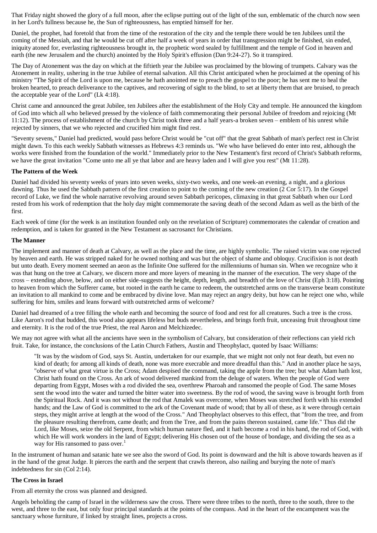That Friday night showed the glory of a full moon, after the eclipse putting out of the light of the sun, emblematic of the church now seen in her Lord's fullness because he, the Sun of righteousness, has emptied himself for her.

Daniel, the prophet, had foretold that from the time of the restoration of the city and the temple there would be ten Jubilees until the coming of the Messiah, and that he would be cut off after half a week of years in order that transgression might be finished, sin ended, iniquity atoned for, everlasting righteousness brought in, the prophetic word sealed by fulfillment and the temple of God in heaven and earth (the new Jerusalem and the church) anointed by the Holy Spirit's effusion (Dan 9:24-27). So it transpired.

The Day of Atonement was the day on which at the fiftieth year the Jubilee was proclaimed by the blowing of trumpets. Calvary was the Atonement in reality, ushering in the true Jubilee of eternal salvation. All this Christ anticipated when he proclaimed at the opening of his ministry "The Spirit of the Lord is upon me, because he hath anointed me to preach the gospel to the poor; he has sent me to heal the broken hearted, to preach deliverance to the captives, and recovering of sight to the blind, to set at liberty them that are bruised, to preach the acceptable year of the Lord" (Lk 4:18).

Christ came and announced the great Jubilee, ten Jubilees after the establishment of the Holy City and temple. He announced the kingdom of God into which all who believed pressed by the violence of faith commemorating their personal Jubilee of freedom and rejoicing (Mt 11:12). The process of establishment of the church by Christ took three and a half years-a broken seven – emblem of his unrest while rejected by sinners, that we who rejected and crucified him might find rest.

"Seventy sevens," Daniel had predicted, would pass before Christ would be "cut off" that the great Sabbath of man's perfect rest in Christ might dawn. To this each weekly Sabbath witnesses as Hebrews 4:3 reminds us. "We who have believed do enter into rest, although the works were finished from the foundation of the world." Immediately prior to the New Testament's first record of Christ's Sabbath reforms, we have the great invitation "Come unto me all ye that labor and are heavy laden and I will give you rest" (Mt 11:28).

### **The Pattern of the Week**

Daniel had divided his seventy weeks of years into seven weeks, sixty-two weeks, and one week-an evening, a night, and a glorious dawning. Thus he used the Sabbath pattern of the first creation to point to the coming of the new creation (2 Cor 5:17). In the Gospel record of Luke, we find the whole narrative revolving around seven Sabbath pericopes, climaxing in that great Sabbath when our Lord rested from his work of redemption that the holy day might commemorate the saving death of the second Adam as well as the birth of the first.

Each week of time (for the week is an institution founded only on the revelation of Scripture) commemorates the calendar of creation and redemption, and is taken for granted in the New Testament as sacrosanct for Christians.

### **The Manner**

The implement and manner of death at Calvary, as well as the place and the time, are highly symbolic. The raised victim was one rejected by heaven and earth. He was stripped naked for he owned nothing and was but the object of shame and obloquy. Crucifixion is not death but unto death. Every moment seemed an aeon as the Infinite One suffered for the millenniums of human sin. When we recognize who it was that hung on the tree at Calvary, we discern more and more layers of meaning in the manner of the execution. The very shape of the cross – extending above, below, and on either side-suggests the height, depth, length, and breadth of the love of Christ (Eph 3:18). Pointing to heaven from which the Sufferer came, but rooted in the earth he came to redeem, the outstretched arms on the transverse beam constitute an invitation to all mankind to come and be embraced by divine love. Man may reject an angry deity, but how can he reject one who, while suffering for him, smiles and leans forward with outstretched arms of welcome?

Daniel had dreamed of a tree filling the whole earth and becoming the source of food and rest for all creatures. Such a tree is the cross. Like Aaron's rod that budded, this wood also appears lifeless but buds nevertheless, and brings forth fruit, unceasing fruit throughout time and eternity. It is the rod of the true Priest, the real Aaron and Melchizedec.

We may not agree with what all the ancients have seen in the symbolism of Calvary, but consideration of their reflections can yield rich fruit. Take, for instance, the conclusions of the Latin Church Fathers, Austin and Theophylact, quoted by Isaac Williams:

"It was by the wisdom of God, says St. Austin, undertaken for our example, that we might not only not fear death, but even no kind of death; for among all kinds of death, none was more execrable and more dreadful than this." And in another place he says, "observe of what great virtue is the Cross; Adam despised the command, taking the apple from the tree; but what Adam hath lost, Christ hath found on the Cross. An ark of wood delivered mankind from the deluge of waters. When the people of God were departing from Egypt, Moses with a rod divided the sea, overthrew Pharoah and ransomed the people of God. The same Moses sent the wood into the water and turned the bitter water into sweetness. By the rod of wood, the saving wave is brought forth from the Spiritual Rock. And it was not without the rod that Amalek was overcome, when Moses was stretched forth with his extended hands; and the Law of God is committed to the ark of the Covenant made of wood; that by all of these, as it were through certain steps, they might arrive at length at the wood of the Cross." And Theophylact observes to this effect, that "from the tree, and from the pleasure resulting therefrom, came death; and from the Tree, and from the pains thereon sustained, came life." Thus did the Lord, like Moses, seize the old Serpent, from which human nature fled, and it hath become a rod in his hand, the rod of God, with which He will work wonders in the land of Egypt; delivering His chosen out of the house of bondage, and dividing the sea as a way for His ransomed to pass over.<sup>1</sup>

In the instrument of human and satanic hate we see also the sword of God. Its point is downward and the hilt is above towards heaven as if in the hand of the great Judge. It pierces the earth and the serpent that crawls thereon, also nailing and burying the note of man's indebtedness for sin (Col 2:14).

### **The Cross in Israel**

From all eternity the cross was planned and designed.

Angels beholding the camp of Israel in the wilderness saw the cross. There were three tribes to the north, three to the south, three to the west, and three to the east, but only four principal standards at the points of the compass. And in the heart of the encampment was the sanctuary whose furniture, if linked by straight lines, projects a cross.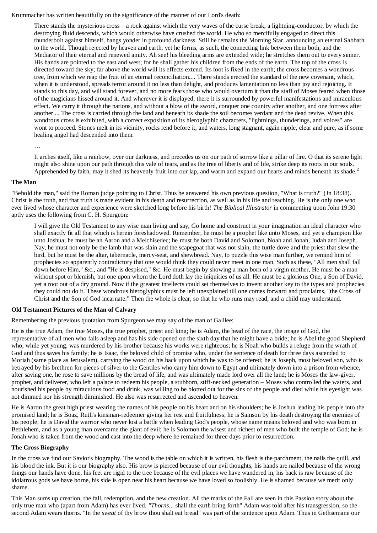Krummacher has written beautifully on the significance of the manner of our Lord's death:

There stands the mysterious cross – a rock against which the very waves of the curse break, a lightning-conductor, by which the destroying fluid descends, which would otherwise have crushed the world. He who so mercifully engaged to direct this thunderbolt against himself, hangs yonder in profound darkness. Still he remains the Morning Star, announcing an eternal Sabbath to the world. Though rejected by heaven and earth, yet he forms, as such, the connecting link between them both, and the Mediator of their eternal and renewed amity. Ah see! his bleeding arms are extended wide; he stretches them out to every sinner. His hands are pointed to the east and west; for he shall gather his children from the ends of the earth. The top of the cross is directed toward the sky; far above the world will its effects extend. Its foot is fixed in the earth; the cross becomes a wondrous tree, from which we reap the fruit of an eternal reconciliation.... There stands erected the standard of the new covenant, which, when it is understood, spreads terror around it no less than delight, and produces lamentation no less than joy and rejoicing. It stands to this day, and will stand forever, and no more fears those who would overturn it than the staff of Moses feared when those of the magicians hissed around it. And wherever it is displayed, there it is surrounded by powerful manifestations and miraculous effect. We carry it through the nations, and without a blow of the sword, conquer one country after another, and one fortress after another.... The cross is carried through the land and beneath its shade the soil becomes verdant and the dead revive. When this wondrous cross is exhibited, with a correct exposition of its hieroglyphic characters, "lightnings, thunderings, and voices" are wont to proceed. Stones melt in its vicinity, rocks rend before it, and waters, long stagnant, again ripple, clear and pure, as if some healing angel had descended into them.

…

It arches itself, like a rainbow, over our darkness, and precedes us on our path of sorrow like a pillar of fire. O that its serene light might also shine upon our path through this vale of tears, and as the tree of liberty and of life, strike deep its roots in our souls. Apprehended by faith, may it shed its heavenly fruit into our lap, and warm and expand our hearts and minds beneath its shade.<sup>2</sup>

### **The Man**

"Behold the man," said the Roman judge pointing to Christ. Thus he answered his own previous question, "What is truth?" (Jn 18:38). Christ is the truth, and that truth is made evident in his death and resurrection, as well as in his life and teaching. He is the only one who ever lived whose character and experience were sketched long before his birth! *The Biblical Illustrator* in commenting upon John 19:30 aptly uses the following from C. H. Spurgeon:

I will give the Old Testament to any wise man living and say, Go home and construct in your imagination an ideal character who shall exactly fit all that which is herein foreshadowed. Remember, he must be a prophet like unto Moses, and yet a champion like unto Joshua; he must be an Aaron and a Melchisedec; he must be both David and Solomon, Noah and Jonah, Judah and Joseph. Nay, he must not only be the lamb that was slain and the scapegoat that was not slain, the turtle dove and the priest that slew the bird, but he must be the altar, tabernacle, mercy-seat, and shewbread. Nay, to puzzle this wise man further, we remind him of prophecies so apparently contradictory that one would think they could never meet in one man. Such as these, "All men shall fall down before Him," &c., and "He is despised," &c. He must begin by showing a man born of a virgin mother, He must be a man without spot or blemish, but one upon whom the Lord doth lay the iniquities of us all. He must be a glorious One, a Son of David, yet a root out of a dry ground. Now if the greatest intellects could set themselves to invent another key to the types and prophecies they could not do it. These wondrous hieroglyphics must be left unexplained till one comes forward and proclaims, "the Cross of Christ and the Son of God incarnate." Then the whole is clear, so that he who runs may read, and a child may understand.

### **Old Testament Pictures of the Man of Calvary**

Remembering the previous quotation from Spurgeon we may say of the man of Galilee:

He is the true Adam, the true Moses, the true prophet, priest and king; he is Adam, the head of the race, the image of God, the representative of all men who falls asleep and has his side opened on the sixth day that he might have a bride; he is Abel the good Shepherd who, while yet young, was murdered by his brother because his works were righteous; he is Noah who builds a refuge from the wrath of God and thus saves his family; he is Isaac, the beloved child of promise who, under the sentence of death for three days ascended to Moriah (same place as Jerusalem), carrying the wood on his back upon which he was to be offered; he is Joseph, most beloved son, who is betrayed by his brethren for pieces of silver to the Gentiles who carry him down to Egypt and ultimately down into a prison from whence, after saving one, he rose to save millions by the bread of life, and was ultimately made lord over all the land; he is Moses the law-giver, prophet, and deliverer, who left a palace to redeem his people, a stubborn, stiff-necked generation – Moses who controlled the waters, and nourished his people by miraculous food and drink, was willing to be blotted out for the sins of the people and died while his eyesight was not dimmed nor his strength diminished. He also was resurrected and ascended to heaven.

He is Aaron the great high priest wearing the names of his people on his heart and on his shoulders; he is Joshua leading his people into the promised land; he is Boaz, Ruth's kinsman-redeemer giving her rest and fruitfulness; he is Samson by his death destroying the enemies of his people; he is David the warrior who never lost a battle when leading God's people, whose name means beloved and who was born in Bethlehem, and as a young man overcame the giant of evil; he is Solomon the wisest and richest of men who built the temple of God; he is Jonah who is taken from the wood and cast into the deep where he remained for three days prior to resurrection.

### **The Cross Biography**

In the cross we find our Savior's biography. The wood is the table on which it is written, his flesh is the parchment, the nails the quill, and his blood the ink. But it is our biography also. His brow is pierced because of our evil thoughts, his hands are nailed because of the wrong things our hands have done, his feet are rigid to the tree because of the evil places we have wandered in, his back is raw because of the idolatrous gods we have borne, his side is open near his heart because we have loved so foolishly. He is shamed because we merit only shame.

This Man sums up creation, the fall, redemption, and the new creation. All the marks of the Fall are seen in this Passion story about the only true man who (apart from Adam) has ever lived. *"Thorns*... shall the earth bring forth" Adam was told after his transgression, so the second Adam wears thorns. "In the *sweat* of thy brow thou shalt eat bread" was part of the sentence upon Adam. Thus in Gethsemane our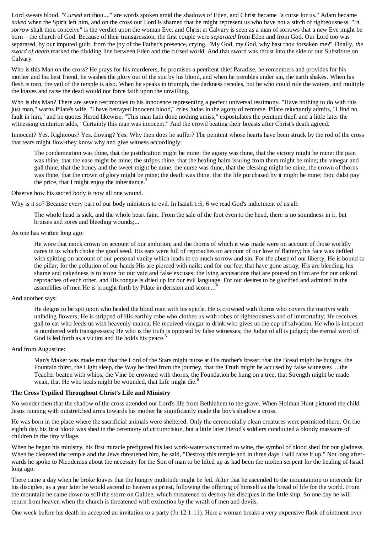Lord sweats blood. *"Cursed* art thou...." are words spoken amid the shadows of Eden, and Christ became "a curse for us." Adam became *naked* when the Spirit left him, and on the cross our Lord is shamed that he might represent us who have not a stitch of righteousness. "In *sorrow* shalt thou conceive" is the verdict upon the woman Eve, and Christ at Calvary is seen as a man of sorrows that a new Eve might be born – the church of God. Because of their transgression, the first couple were *separated* from Eden and from God. Our Lord too was separated, by our imputed guilt, from the joy of the Father's presence, crying, "My God, my God, why hast thou forsaken me?" Finally, *the sword of death* marked the dividing line between Eden and the cursed world. And that sword was thrust into the side of our Substitute on Calvary.

Who is this Man on the cross? He prays for his murderers, he promises a pentitent thief Paradise, he remembers and provides for his mother and his best friend, he washes the glory out of the sun by his blood, and when he trembles under sin, the earth shakes. When his flesh is torn, the veil of the temple is also. When he speaks in triumph, the darkness recedes, but he who could rule the waters, and multiply the loaves and raise the dead would not force faith upon the unwilling.

Who is this Man? There are seven testimonies to his innocence representing a perfect universal testimony. "Have nothing to do with this just man," warns Pilate's wife. "I have betrayed innocent blood," cries Judas in the agony of remorse. Pilate reluctantly admits, "I find no fault in him," and he quotes Herod likewise. "This man hath done nothing amiss," expostulates the penitent thief, and a little later the witnessing centurion adds, "Certainly this man was innocent." And the crowd beating their breasts after Christ's death agreed.

Innocent? Yes. Righteous? Yes. Loving? Yes. Why then does he suffer? The penitent whose hearts have been struck by the rod of the cross that tears might flow-they know why and give witness accordingly:

The condemnation was thine, that the justification might be mine; the agony was thine, that the victory might be mine; the pain was thine, that the ease might be mine; the stripes thine, that the healing balm issuing from them might be mine; the vinegar and gall thine, that the honey and the sweet might be mine; the curse was thine, that the blessing might be mine; the crown of thorns was thine, that the crown of glory might be mine; the death was thine, that the life purchased by it might be mine; thou didst pay the price, that I might enjoy the inheritance. $3$ 

Observe how his sacred body is now all one wound.

Why is it so? Because every part of our body ministers to evil. In Isaiah 1:5, 6 we read God's indictment of us all:

The whole head is sick, and the whole heart faint. From the sale of the foot even to the head, there is no soundness in it, but bruises and sores and bleeding wounds;...

As one has written long ago:

He wore that mock crown on account of our ambition; and the thorns of which it was made were on account of those worldly cares in us which choke the good seed. His ears were full of reproaches on account of our love of flattery; his face was defiled with spitting on account of our personal vanity which leads to so much sorrow and sin. For the abuse of our liberty, He is bound to the pillar; for the pollution of our hands His are pierced with nails; and for our feet that have gone astray, His are bleeding, his shame and nakedness is to atone for our vain and false excuses; the lying accusations that are poured on Him are for our unkind reproaches of each other, and His tongue is dried up for our evil language. For our desires to be glorified and admired in the assemblies of men He is brought forth by Pilate in derision and scorn....<sup>4</sup>

#### And another says:

He deigns to be spit upon who healed the blind man with his spittle. He is crowned with thorns who covers the martyrs with unfading flowers; He is stripped of His earthly robe who clothes us with robes of righteousness and of immortality; He receives gall to eat who feeds us with heavenly manna; He received vinegar to drink who gives us the cup of salvation; He who is innocent is numbered with transgressors; He who is the truth is opposed by false witnesses; the Judge of all is judged; the eternal word of God is led forth as a victim and He holds his peace.<sup>5</sup>

### And from Augustine:

Man's Maker was made man that the Lord of the Stars might nurse at His mother's breast; that the Bread might be hungry, the Fountain thirst, the Light sleep, the Way be tired from the journey, that the Truth might be accused by false witnesses ... the Teacher beaten with whips, the Vine be crowned with thorns, the Foundation be hung on a tree, that Strength might be made weak, that He who heals might be wounded, that Life might die.<sup>6</sup>

### **The Cross Typified Throughout Christ's Life and Ministry**

No wonder then that the shadow of the cross attended our Lord's life from Bethlehem to the grave. When Holman Hunt pictured the child Jesus running with outstretched arms towards his mother he significantly made the boy's shadow a cross.

He was born in the place where the sacrificial animals were sheltered. Only the ceremonially clean creatures were permitted there. On the eighth day his first blood was shed in the ceremony of circumcision, but a little later Herod's soldiers conducted a bloody massacre of children in the tiny village.

When he began his ministry, his first miracle prefigured his last work-water was turned to wine, the symbol of blood shed for our gladness. When he cleansed the temple and the Jews threatened him, he said, "Destroy this temple and in three days I will raise it up." Not long afterwards he spoke to Nicodemus about the necessity for the Son of man to be lifted up as had been the molten serpent for the healing of Israel long ago.

There came a day when he broke loaves that the hungry multitude might be fed. After that he ascended to the mountaintop to intercede for his disciples, as a year later he would ascend to heaven as priest, following the offering of himself as the bread of life for the world. From the mountain he came down to still the storm on Galilee, which threatened to destroy his disciples in the little ship. So one day he will return from heaven when the church is threatened with extinction by the wrath of men and devils.

One week before his death he accepted an invitation to a party (Jn 12:1-11). Here a woman breaks a very expensive flask of ointment over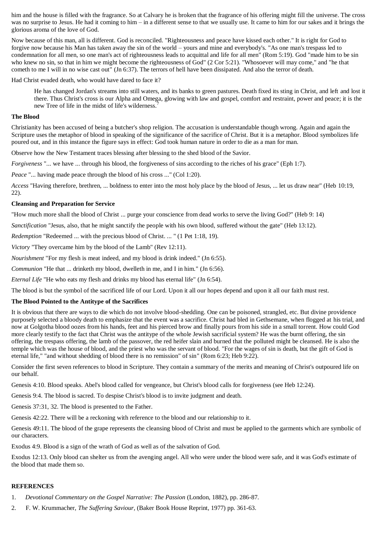him and the house is filled with the fragrance. So at Calvary he is broken that the fragrance of his offering might fill the universe. The cross was no surprise to Jesus. He had it coming to him – in a different sense to that we usually use. It came to him for our sakes and it brings the glorious aroma of the love of God.

Now because of this man, all is different. God is reconciled. "Righteousness and peace have kissed each other." It is right for God to forgive now because his Man has taken away the sin of the world – yours and mine and everybody's. "As one man's trespass led to condemnation for all men, so one man's act of righteousness leads to acquittal and life for all men" (Rom 5:19). God "made him to be sin who knew no sin, so that in him we might become the righteousness of God" (2 Cor 5:21). "Whosoever will may come," and "he that cometh to me I will in no wise cast out" (Jn 6:37). The terrors of hell have been dissipated. And also the terror of death.

Had Christ evaded death, who would have dared to face it?

He has changed Jordan's streams into still waters, and its banks to green pastures. Death fixed its sting in Christ, and left and lost it there. Thus Christ's cross is our Alpha and Omega, glowing with law and gospel, comfort and restraint, power and peace; it is the new Tree of life in the midst of life's wilderness.

#### **The Blood**

Christianity has been accused of being a butcher's shop religion. The accusation is understandable though wrong. Again and again the Scripture uses the metaphor of blood in speaking of the significance of the sacrifice of Christ. But it is a metaphor. Blood symbolizes life poured out, and in this instance the figure says in effect: God took human nature in order to die as a man for man.

Observe how the New Testament traces blessing after blessing to the shed blood of the Savior.

*Forgiveness* "... we have ... through his blood, the forgiveness of sins according to the riches of his grace" (Eph 1:7).

*Peace* "... having made peace through the blood of his cross ..." (Col 1:20).

*Access* "Having therefore, brethren, ... boldness to enter into the most holy place by the blood of Jesus, ... let us draw near" (Heb 10:19, 22).

#### **Cleansing and Preparation for Service**

"How much more shall the blood of Christ ... purge your conscience from dead works to serve the living God?" (Heb 9: 14)

*Sanctification* "Jesus, also, that he might sanctify the people with his own blood, suffered without the gate" (Heb 13:12).

*Redemption* "Redeemed ... with the precious blood of Christ. ... " (1 Pet 1:18, 19).

*Victory* "They overcame him by the blood of the Lamb" (Rev 12:11).

*Nourishment* "For my flesh is meat indeed, and my blood is drink indeed." (Jn 6:55).

*Communion* "He that ... drinketh my blood, dwelleth in me, and I in him." (Jn 6:56).

*Eternal Life* "He who eats my flesh and drinks my blood has eternal life" (Jn 6:54).

The blood is but the symbol of the sacrificed life of our Lord. Upon it all our hopes depend and upon it all our faith must rest.

### **The Blood Pointed to the Antitype of the Sacrifices**

It is obvious that there are ways to die which do not involve blood-shedding. One can be poisoned, strangled, etc. But divine providence purposely selected a bloody death to emphasize that the event was a sacrifice. Christ had bled in Gethsemane, when flogged at his trial, and now at Golgotha blood oozes from his hands, feet and his pierced brow and finally pours from his side in a small torrent. How could God more clearly testify to the fact that Christ was the antitype of the whole Jewish sacrificial system? He was the burnt offering, the sin offering, the trespass offering, the lamb of the passover, the red heifer slain and burned that the polluted might be cleansed. He is also the temple which was the house of blood, and the priest who was the servant of blood. "For the wages of sin is death, but the gift of God is eternal life," "and without shedding of blood there is no remission" of sin" (Rom 6:23; Heb 9:22).

Consider the first seven references to blood in Scripture. They contain a summary of the merits and meaning of Christ's outpoured life on our behalf.

Genesis 4:10. Blood speaks. Abel's blood called for vengeance, but Christ's blood calls for forgiveness (see Heb 12:24).

Genesis 9:4. The blood is sacred. To despise Christ's blood is to invite judgment and death.

Genesis 37:31, 32. The blood is presented to the Father.

Genesis 42:22. There will be a reckoning with reference to the blood and our relationship to it.

Genesis 49:11. The blood of the grape represents the cleansing blood of Christ and must be applied to the garments which are symbolic of our characters.

Exodus 4:9. Blood is a sign of the wrath of God as well as of the salvation of God.

Exodus 12:13. Only blood can shelter us from the avenging angel. All who were under the blood were safe, and it was God's estimate of the blood that made them so.

#### **REFERENCES**

1. *Devotional Commentary on the Gospel Narrative: The Passion* (London, 1882), pp. 286-87.

2. F. W. Krummacher, *The Suffering Saviour,* (Baker Book House Reprint, 1977) pp. 361-63.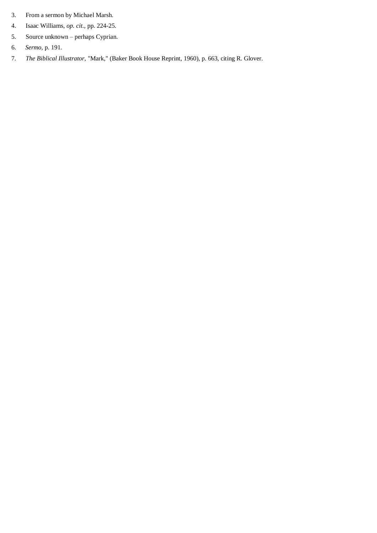- 3. From a sermon by Michael Marsh.
- 4. Isaac Williams, *op. cit.,* pp. 224-25.
- 5. Source unknown perhaps Cyprian.
- 6. *Sermo,* p. 191.
- 7. *The Biblical Illustrator,* "Mark," (Baker Book House Reprint, 1960), p. 663, citing R. Glover.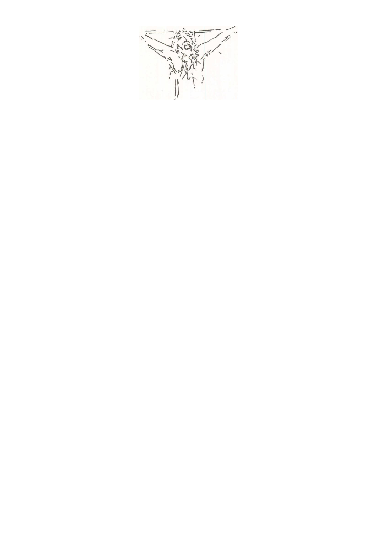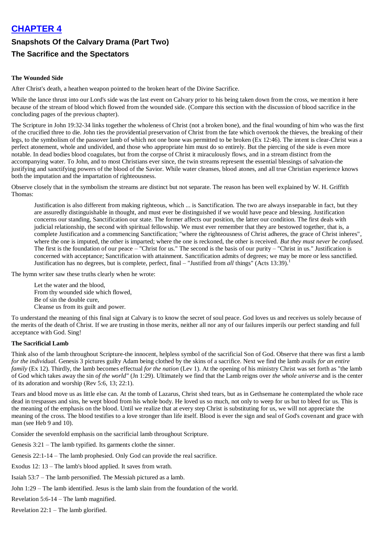# <span id="page-20-0"></span>**Snapshots Of the Calvary Drama (Part Two) The Sacrifice and the Spectators**

### **The Wounded Side**

After Christ's death, a heathen weapon pointed to the broken heart of the Divine Sacrifice.

While the lance thrust into our Lord's side was the last event on Calvary prior to his being taken down from the cross, we mention it here because of the stream of blood which flowed from the wounded side. (Compare this section with the discussion of blood sacrifice in the concluding pages of the previous chapter).

The Scripture in John 19:32-34 links together the wholeness of Christ (not a broken bone), and the final wounding of him who was the first of the crucified three to die. John ties the providential preservation of Christ from the fate which overtook the thieves, the breaking of their legs, to the symbolism of the passover lamb of which not one bone was permitted to be broken (Ex 12:46). The intent is clear-Christ was a perfect atonement, whole and undivided, and those who appropriate him must do so entirely. But the piercing of the side is even more notable. In dead bodies blood coagulates, but from the corpse of Christ it miraculously flows, and in a stream distinct from the accompanying water. To John, and to most Christians ever since, the twin streams represent the essential blessings of salvation-the justifying and sanctifying powers of the blood of the Savior. While water cleanses, blood atones, and all true Christian experience knows both the imputation and the impartation of righteousness.

Observe closely that in the symbolism the streams are distinct but not separate. The reason has been well explained by W. H. Griffith Thomas:

Justification is also different from making righteous, which ... is Sanctification. The two are always inseparable in fact, but they are assuredly distinguishable in thought, and must ever be distinguished if we would have peace and blessing. Justification concerns our standing, Sanctification our state. The former affects our position, the latter our condition. The first deals with judicial relationship, the second with spiritual fellowship. We must ever remember that they are bestowed together, that is, a complete Justification and a commencing Sanctification; "where the righteousness of Christ adheres, the grace of Christ inheres". where the one is imputed, the other is imparted; where the one is reckoned, the other is received. But they must never be confused. The first is the foundation of our peace – "Christ for us." The second is the basis of our purity – "Christ in us." Justification is concerned with acceptance; Sanctification with attainment. Sanctification admits of degrees; we may be more or less sanctified. Justification has no degrees, but is complete, perfect, final – "Justified from *all* things" (Acts 13:39).<sup>1</sup>

The hymn writer saw these truths clearly when he wrote:

Let the water and the blood, From thy wounded side which flowed, Be of sin the double cure, Cleanse us from its guilt and power.

To understand the meaning of this final sign at Calvary is to know the secret of soul peace. God loves us and receives us solely because of the merits of the death of Christ. If we are trusting in those merits, neither all nor any of our failures imperils our perfect standing and full acceptance with God. Sing!

### **The Sacrificial Lamb**

Think also of the lamb throughout Scripture-the innocent, helpless symbol of the sacrificial Son of God. Observe that there was first a lamb *for the individual.* Genesis 3 pictures guilty Adam being clothed by the skins of a sacrifice. Next we find the lamb avails *for an entire family* (Ex 12). Thirdly, the lamb becomes effectual *for the nation* (Lev 1). At the opening of his ministry Christ was set forth as "the lamb of God which takes away the sin *of the world"* (Jn 1:29). Ultimately we find that the Lamb reigns over *the whole universe* and is the center of its adoration and worship (Rev 5:6, 13; 22:1).

Tears and blood move us as little else can. At the tomb of Lazarus, Christ shed tears, but as in Gethsemane he contemplated the whole race dead in trespasses and sins, he wept blood from his whole body. He loved us so much, not only to weep for us but to bleed for us. This is the meaning of the emphasis on the blood. Until we realize that at every step Christ is substituting for us, we will not appreciate the meaning of the cross. The blood testifies to a love stronger than life itself. Blood is ever the sign and seal of God's covenant and grace with man (see Heb 9 and 10).

Consider the sevenfold emphasis on the sacrificial lamb throughout Scripture.

Genesis 3:21 – The lamb typified. Its garments clothe the sinner.

Genesis 22:1-14 – The lamb prophesied. Only God can provide the real sacrifice.

Exodus 12: 13 – The lamb's blood applied. It saves from wrath.

Isaiah 53:7 – The lamb personified. The Messiah pictured as a lamb.

John 1:29 – The lamb identified. Jesus is the lamb slain from the foundation of the world.

Revelation 5:6-14 – The lamb magnified.

Revelation 22:1 – The lamb glorified.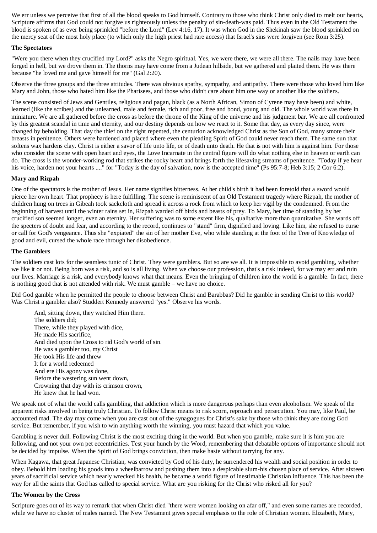We err unless we perceive that first of all the blood speaks to God himself. Contrary to those who think Christ only died to melt our hearts, Scripture affirms that God could not forgive us righteously unless the penalty of sin-death-was paid. Thus even in the Old Testament the blood is spoken of as ever being sprinkled "before the Lord" (Lev 4:16, 17). It was when God in the Shekinah saw the blood sprinkled on the mercy seat of the most holy place (to which only the high priest had rare access) that Israel's sins were forgiven (see Rom 3:25).

### **The Spectators**

"Were you there when they crucified my Lord?" asks the Negro spiritual. Yes, we were there, we were all there. The nails may have been forged in hell, but we drove them in. The thorns may have come from a Judean hillside, but we gathered and plaited them. He was there because "he loved me and gave himself for me" (Gal 2:20).

Observe the three groups and the three attitudes. There was obvious apathy, sympathy, and antipathy. There were those who loved him like Mary and John, those who hated him like the Pharisees, and those who didn't care about him one way or another like the soldiers.

The scene consisted of Jews and Gentiles, religious and pagan, black (as a North African, Simon of Cyrene may have been) and white, learned (like the scribes) and the unlearned, male and female, rich and poor, free and bond, young and old. The whole world was there in miniature. We are all gathered before the cross as before the throne of the King of the universe and his judgment bar. We are all confronted by this greatest scandal in time and eternity, and our destiny depends on how we react to it. Some that day, as every day since, were changed by beholding. That day the thief on the right repented, the centurion acknowledged Christ as the Son of God, many smote their breasts in penitence. Others were hardened and placed where even the pleading Spirit of God could never reach them. The same sun that softens wax hardens clay. Christ is either a savor of life unto life, or of death unto death. He that is not with him is against him. For those who consider the scene with open heart and eyes, the Love Incarnate in the central figure will do what nothing else in heaven or earth can do. The cross is the wonder-working rod that strikes the rocky heart and brings forth the lifesaving streams of penitence. "Today if ye hear his voice, harden not your hearts ...." for "Today is the day of salvation, now is the accepted time" (Ps 95:7-8; Heb 3:15; 2 Cor 6:2).

### **Mary and Rizpah**

One of the spectators is the mother of Jesus. Her name signifies bitterness. At her child's birth it had been foretold that a sword would pierce her own heart. That prophecy is here fulfilling. The scene is reminiscent of an Old Testament tragedy where Rizpah, the mother of children hung on trees in Gibeah took sackcloth and spread it across a rock from which to keep her vigil by the condemned. From the beginning of harvest until the winter rains set in, Rizpah warded off birds and beasts of prey. To Mary, her time of standing by her crucified son seemed longer, even an eternity. Her suffering was to some extent like his, qualitative more than quantitative. She wards off the specters of doubt and fear, and according to the record, continues to "stand" firm, dignified and loving. Like him, she refused to curse or call for God's vengeance. Thus she "expiated" the sin of her mother Eve, who while standing at the foot of the Tree of Knowledge of good and evil, cursed the whole race through her disobedience.

### **The Gamblers**

The soldiers cast lots for the seamless tunic of Christ. They were gamblers. But so are we all. It is impossible to avoid gambling, whether we like it or not. Being born was a risk, and so is all living. When we choose our profession, that's a risk indeed, for we may err and ruin our lives. Marriage is a risk, and everybody knows what that means. Even the bringing of children into the world is a gamble. In fact, there is nothing good that is not attended with risk. We must gamble – we have no choice.

Did God gamble when he permitted the people to choose between Christ and Barabbas? Did he gamble in sending Christ to this world? Was Christ a gambler also? Studdert Kennedy answered "yes." Observe his words.

And, sitting down, they watched Him there. The soldiers did; There, while they played with dice, He made His sacrifice, And died upon the Cross to rid God's world of sin. He was a gambler too, my Christ He took His life and threw It for a world redeemed And ere His agony was done, Before the westering sun went down, Crowning that day with its crimson crown, He knew that he had won.

We speak not of what the world calls gambling, that addiction which is more dangerous perhaps than even alcoholism. We speak of the apparent risks involved in being truly Christian. To follow Christ means to risk scorn, reproach and persecution. You may, like Paul, be accounted mad. The day may come when you are cast out of the synagogues for Christ's sake by those who think they are doing God service. But remember, if you wish to win anything worth the winning, you must hazard that which you value.

Gambling is never dull. Following Christ is the most exciting thing in the world. But when you gamble, make sure it is him you are following, and not your own pet eccentricities. Test your hunch by the Word, remembering that debatable options of importance should not be decided by impulse. When the Spirit of God brings conviction, then make haste without tarrying for any.

When Kagawa, that great Japanese Christian, was convicted by God of his duty, he surrendered his wealth and social position in order to obey. Behold him loading his goods into a wheelbarrow and pushing them into a despicable slum-his chosen place of service. After sixteen years of sacrificial service which nearly wrecked his health, he became a world figure of inestimable Christian influence. This has been the way for all the saints that God has called to special service. What are you risking for the Christ who risked all for you?

### **The Women by the Cross**

Scripture goes out of its way to remark that when Christ died "there were women looking on afar off," and even some names are recorded, while we have no cluster of males named. The New Testament gives special emphasis to the role of Christian women. Elizabeth, Mary,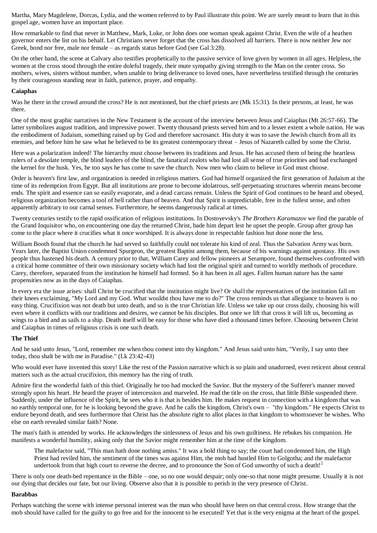Martha, Mary Magdelene, Dorcas, Lydia, and the women referred to by Paul illustrate this point. We are surely meant to learn that in this gospel age, women have an important place.

How remarkable to find that never in Matthew, Mark, Luke, or John does one woman speak against Christ. Even the wife of a heathen governor enters the list on his behalf. Let Christians never forget that the cross has dissolved all barriers. There is now neither Jew nor Greek, bond nor free, male nor female – as regards status before God (see Gal 3:28).

On the other hand, the scene at Calvary also testifies prophetically to the passive service of love given by women in all ages. Helpless, the women at the cross stood through the entire doleful tragedy, their mute sympathy giving strength to the Man on the center cross. So mothers, wives, sisters without number, when unable to bring deliverance to loved ones, have nevertheless testified through the centuries by their courageous standing near in faith, patience, prayer, and empathy.

### **Caiaphas**

Was he there in the crowd around the cross? He is not mentioned, but the chief priests are (Mk 15:31). In their persons, at least, he was there.

One of the most graphic narratives in the New Testament is the account of the interview between Jesus and Caiaphas (Mt 26:57-66). The latter symbolizes august tradition, and impressive power. Twenty thousand priests served him and to a lesser extent a whole nation. He was the embodiment of Judaism, something raised up by God and therefore sacrosanct. His duty it was to save the Jewish church from all its enemies, and before him he saw what he believed to be its greatest contemporary threat – Jesus of Nazareth called by some the Christ.

Here was a polarization indeed! The hierarchy must choose between its traditions and Jesus. He has accused them of being the heartless rulers of a desolate temple, the blind leaders of the blind, the fanatical zealots who had lost all sense of true priorities and had exchanged the kernel for the husk. Yes, he too says he has come to save the church. Now men who claim to believe in God must choose.

Order is heaven's first law, and organization is needed in religious matters. God had himself organized the first generation of Judaism at the time of its redemption from Egypt. But all institutions are prone to become idolatrous, self-perpetuating structures wherein means become ends. The spirit and essence can so easily evaporate, and a dead carcass remain. Unless the Spirit of God continues to be heard and obeyed, religious organization becomes a tool of hell rather than of heaven. And that Spirit is unpredictable, free in the fullest sense, and often apparently arbitrary to our carnal senses. Furthermore, he seems dangerously radical at times.

Twenty centuries testify to the rapid ossification of religious institutions. In Dostoyevsky's *The Brothers Karamazov* we find the parable of the Grand Inquisitor who, on encountering one day the returned Christ, bade him depart lest he upset the people. Group after group has come to the place where it crucifies what it once worshiped. It is always done in respectable fashion but done none the less.

William Booth found that the church he had served so faithfully could not tolerate his kind of zeal. Thus the Salvation Army was born. Years later, the Baptist Union condemned Spurgeon, the greatest Baptist among them, because of his warnings against apostasy. His own people thus hastened his death. A century prior to that, William Carey and fellow pioneers at Serampore, found themselves confronted with a critical home committee of their own missionary society which had lost the original spirit and turned to worldly methods of procedure. Carey, therefore, separated from the institution he himself had formed. So it has been in all ages. Fallen human nature has the same propensities now as in the days of Caiaphas.

In every era the issue arises: shall Christ be crucified that the institution might live? Or shall the representatives of the institution fall on their knees exclaiming, "My Lord and my God. What wouldst thou have me to do?" The cross reminds us that allegiance to heaven is no easy thing. Crucifixion was not death but unto death, and so is the true Christian life. Unless we take up our cross daily, choosing his will even where it conflicts with our traditions and desires, we cannot be his disciples. But once we lift that cross it will lift us, becoming as wings to a bird and as sails to a ship. Death itself will be easy for those who have died a thousand times before. Choosing between Christ and Caiaphas in times of religious crisis is one such death.

### **The Thief**

And he said unto Jesus, "Lord, remember me when thou comest into thy kingdom." And Jesus said unto him, "Verily, I say unto thee today, thou shalt be with me in Paradise." (Lk 23:42-43)

Who would ever have invented this story! Like the rest of the Passion narrative which is so plain and unadorned, even reticent about central matters such as the actual crucifixion, this memory has the ring of truth.

Admire first the wonderful faith of this thief. Originally he too had mocked the Savior. But the mystery of the Sufferer's manner moved strongly upon his heart. He heard the prayer of intercession and marveled. He read the title on the cross, that little Bible suspended there. Suddenly, under the influence of the Spirit, he sees who it is that is besides him. He makes request in connection with a kingdom that was no earthly temporal one, for he is looking beyond the grave. And he calls the kingdom, Christ's own – "thy kingdom." He expects Christ to endure beyond death, and sees furthermore that Christ has the absolute right to allot places in that kingdom to whomsoever he wishes. Who else on earth revealed similar faith? None.

The man's faith is attended by works. He acknowledges the sinlessness of Jesus and his own guiltiness. He rebukes his companion. He manifests a wonderful humility, asking only that the Savior might remember him at the time of the kingdom.

The malefactor said, "This man hath done nothing amiss." It was a bold thing to say; the court had condemned him, the High Priest had reviled him, the sentiment of the times was against Him, the mob had hustled Him to Golgotha; and the malefactor undertook from that high court to reverse the decree, and to pronounce the Son of God unworthy of such a death!<sup>2</sup>

There is only one death-bed repentance in the Bible – one, so no one would despair; only one-so that none might presume. Usually it is not our dying that decides our fate, but our living. Observe also that it is possible to perish in the very presence of Christ.

### **Barabbas**

Perhaps watching the scene with intense personal interest was the man who should have been on that central cross. How strange that the mob should have called for the guilty to go free and for the innocent to be executed! Yet that is the very enigma at the heart of the gospel.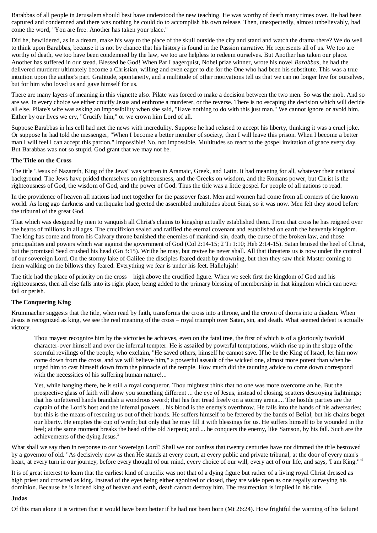Barabbas of all people in Jerusalem should best have understood the new teaching. He was worthy of death many times over. He had been captured and condemned and there was nothing he could do to accomplish his own release. Then, unexpectedly, almost unbelievably, had come the word, "You are free. Another has taken your place."

Did he, bewildered, as in a dream, make his way to the place of the skull outside the city and stand and watch the drama there? We do well to think upon Barabbas, because it is not by chance that his history is found in the Passion narrative. He represents all of us. We too are worthy of death, we too have been condemned by the law, we too are helpless to redeem ourselves. But Another has taken our place. Another has suffered in our stead. Blessed be God! When Par Laagerquist, Nobel prize winner, wrote his novel *Barabbas,* he had the delivered murderer ultimately become a Christian, willing and even eager to die for the One who had been his substitute. This was a true intuition upon the author's part. Gratitude, spontaneity, and a multitude of other motivations tell us that we can no longer live for ourselves, but for him who loved us and gave himself for us.

There are many layers of meaning in this vignette also. Pilate was forced to make a decision between the two men. So was the mob. And so are we. In every choice we either crucify Jesus and enthrone a murderer, or the reverse. There is no escaping the decision which will decide all else. Pilate's wife was asking an impossibility when she said, "Have nothing to do with this just man." We cannot ignore or avoid him. Either by our lives we cry, "Crucify him," or we crown him Lord of all.

Suppose Barabbas in his cell had met the news with incredulity. Suppose he had refused to accept his liberty, thinking it was a cruel joke. Or suppose he had told the messenger, "When I become a better member of society, then I will leave this prison. When I become a better man I will feel I can accept this pardon." Impossible! No, not impossible. Multitudes so react to the gospel invitation of grace every day. But Barabbas was not so stupid. God grant that we may not be.

### **The Title on the Cross**

The title "Jesus of Nazareth, King of the Jews" was written in Aramaic, Greek, and Latin. It had meaning for all, whatever their national background. The Jews have prided themselves on righteousness, and the Greeks on wisdom, and the Romans power, but Christ is the righteousness of God, the wisdom of God, and the power of God. Thus the title was a little gospel for people of all nations to read.

In the providence of heaven all nations had met together for the passover feast. Men and women had come from all corners of the known world. As long ago darkness and earthquake had greeted the assembled multitudes about Sinai, so it was now. Men felt they stood before the tribunal of the great God.

That which was designed by men to vanquish all Christ's claims to kingship actually established them. From that cross he has reigned over the hearts of millions in all ages. The crucifixion sealed and ratified the eternal covenant and established on earth the heavenly kingdom. The king has come and from his Calvary throne banished the enemies of mankind-sin, death, the curse of the broken law, and those principalities and powers which war against the government of God (Col 2:14-15; 2 Ti 1:10; Heb 2:14-15). Satan bruised the heel of Christ, but the promised Seed crushed his head (Gn 3:15). Writhe he may, but revive he never shall. All that threatens us is now under the control of our sovereign Lord. On the stormy lake of Galilee the disciples feared death by drowning, but then they saw their Master coming to them walking on the billows they feared. Everything we fear is under his feet. Hallelujah!

The title had the place of priority on the cross – high above the crucified figure. When we seek first the kingdom of God and his righteousness, then all else falls into its right place, being added to the primary blessing of membership in that kingdom which can never fail or perish.

### **The Conquering King**

Krummacher suggests that the title, when read by faith, transforms the cross into a throne, and the crown of thorns into a diadem. When Jesus is recognized as king, we see the real meaning of the cross – royal triumph over Satan, sin, and death. What seemed defeat is actually victory.

Thou mayest recognize him by the victories he achieves, even on the fatal tree, the first of which is of a gloriously twofold character-over himself and over the infernal tempter. He is assailed by powerful temptations, which rise up in the shape of the scornful revilings of the people, who exclaim, "He saved others, himself he cannot save. If he be the King of Israel, let him now come down from the cross, and we will believe him," a powerful assault of the wicked one, almost more potent than when he urged him to cast himself down from the pinnacle of the temple. How much did the taunting advice to come down correspond with the necessities of his suffering human nature!...

Yet, while hanging there, he is still a royal conqueror. Thou mightest think that no one was more overcome an he. But the prospective glass of faith will show you something different ... the eye of Jesus, instead of closing, scatters destroying lightnings; that his unfettered hands brandish a wondrous sword; that his feet tread freely on a stormy arena.... The hostile parties are the captain of the Lord's host and the infernal powers... his blood is the enemy's overthrow. He falls into the hands of his adversaries; but this is the means of rescuing us out of their hands. He suffers himself to be fettered by the bands of Belial; but his chains beget our liberty. He empties the cup of wrath; but only that he may fill it with blessings for us. He suffers himself to be wounded in the heel; at the same moment breaks the head of the old Serpent; and ... he conquers the enemy, like Samson, by his fall. Such are the achievements of the dying Jesus.<sup>3</sup>

What shall we say then in response to our Sovereign Lord? Shall we not confess that twenty centuries have not dimmed the title bestowed by a governor of old. "As decisively now as then He stands at every court, at every public and private tribunal, at the door of every man's heart, at every turn in our journey, before every thought of our mind, every choice of our will, every act of our life, and says, 'I am King."<sup>4</sup>

It is of great interest to learn that the earliest kind of crucifix was not that of a dying figure but rather of a living royal Christ dressed as high priest and crowned as king. Instead of the eyes being either agonized or closed, they are wide open as one regally surveying his dominion. Because he is indeed king of heaven and earth, death cannot destroy him. The resurrection is implied in his title.

### **Judas**

Of this man alone it is written that it would have been better if he had not been born (Mt 26:24). How frightful the warning of his failure!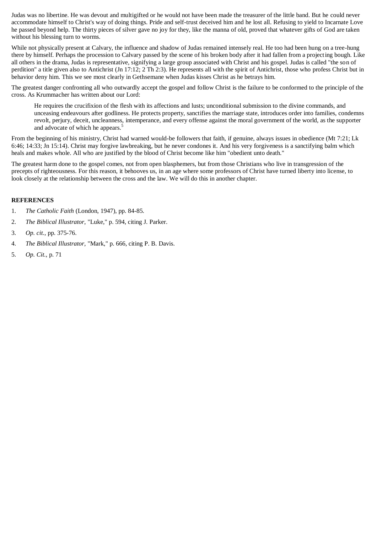Judas was no libertine. He was devout and multigifted or he would not have been made the treasurer of the little band. But he could never accommodate himself to Christ's way of doing things. Pride and self-trust deceived him and he lost all. Refusing to yield to Incarnate Love he passed beyond help. The thirty pieces of silver gave no joy for they, like the manna of old, proved that whatever gifts of God are taken without his blessing turn to worms.

While not physically present at Calvary, the influence and shadow of Judas remained intensely real. He too had been hung on a tree-hung there by himself. Perhaps the procession to Calvary passed by the scene of his broken body after it had fallen from a projecting bough. Like all others in the drama, Judas is representative, signifying a large group associated with Christ and his gospel. Judas is called "the son of perdition" a title given also to Antichrist (Jn 17:12; 2 Th 2:3). He represents all with the spirit of Antichrist, those who profess Christ but in behavior deny him. This we see most clearly in Gethsemane when Judas kisses Christ as he betrays him.

The greatest danger confronting all who outwardly accept the gospel and follow Christ is the failure to be conformed to the principle of the cross. As Krummacher has written about our Lord:

He requires the crucifixion of the flesh with its affections and lusts; unconditional submission to the divine commands, and unceasing endeavours after godliness. He protects property, sanctifies the marriage state, introduces order into families, condemns revolt, perjury, deceit, uncleanness, intemperance, and every offense against the moral government of the world, as the supporter and advocate of which he appears.<sup>5</sup>

From the beginning of his ministry, Christ had warned would-be followers that faith, if genuine, always issues in obedience (Mt 7:21; Lk 6:46; 14:33; Jn 15:14). Christ may forgive lawbreaking, but he never condones it. And his very forgiveness is a sanctifying balm which heals and makes whole. All who are justified by the blood of Christ become like him "obedient unto death."

The greatest harm done to the gospel comes, not from open blasphemers, but from those Christians who live in transgression of the precepts of righteousness. For this reason, it behooves us, in an age where some professors of Christ have turned liberty into license, to look closely at the relationship between the cross and the law. We will do this in another chapter.

### **REFERENCES**

- 1. *The Catholic Faith* (London, 1947), pp. 84-85.
- 2. *The Biblical Illustrator,* "Luke," p. 594, citing J. Parker.
- 3. *Op. cit.,* pp. 375-76.
- 4. *The Biblical Illustrator,* "Mark," p. 666, citing P. B. Davis.
- 5. *Op. Cit.,* p. 71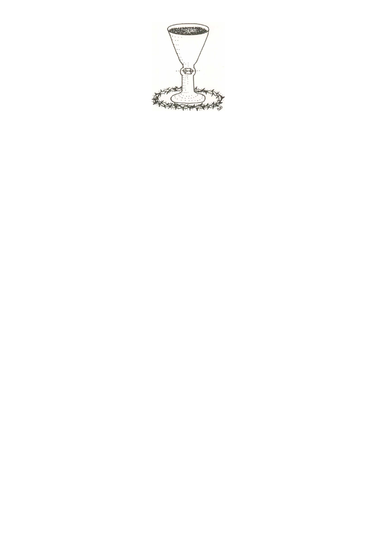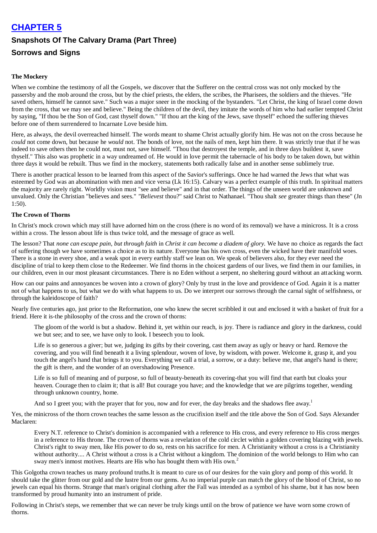# <span id="page-26-0"></span>**[CHAPTER 5](#page-4-0) Snapshots Of The Calvary Drama (Part Three)**

# **Sorrows and Signs**

# **The Mockery**

When we combine the testimony of all the Gospels, we discover that the Sufferer on the central cross was not only mocked by the passersby and the mob around the cross, but by the chief priests, the elders, the scribes, the Pharisees, the soldiers and the thieves. "He saved others, himself he cannot save." Such was a major sneer in the mocking of the bystanders. "Let Christ, the king of Israel come down from the cross, that we may see and believe." Being the children of the devil, they imitate the words of him who had earlier tempted Christ by saying, "If thou be the Son of God, cast thyself down." "If thou art the king of the Jews, save thyself" echoed the suffering thieves before one of them surrendered to Incarnate Love beside him.

Here, as always, the devil overreached himself. The words meant to shame Christ actually glorify him. He was not on the cross because he *could* not come down, but because he *would* not. The bonds of love, not the nails of men, kept him there. It was strictly true that if he was indeed to save others then he could not, must not, save himself. "Thou that destroyest the temple, and in three days buildest it, save thyself." This also was prophetic in a way undreamed of. He would in love permit the tabernacle of his body to be taken down, but within three days it would be rebuilt. Thus we find in the mockery, statements both radically false and in another sense sublimely true.

There is another practical lesson to be learned from this aspect of the Savior's sufferings. Once he had warned the Jews that what was esteemed by God was an abomination with men and vice versa (Lk 16:15). Calvary was a perfect example of this truth. In spiritual matters the majority are rarely right. Worldly vision must "see and believe" and in that order. The things of the unseen world are unknown and unvalued. Only the Christian "believes and sees." *"Believest* thou?" said Christ to Nathanael. "Thou shalt *see* greater things than these" (Jn 1:50).

### **The Crown of Thorns**

In Christ's mock crown which may still have adorned him on the cross (there is no word of its removal) we have a minicross. It is a cross within a cross. The lesson about life is thus twice told, and the message of grace as well.

The lesson? That *none can escape pain, but through faith* in *Christ it can become a diadem of glory.* We have no choice as regards the fact of suffering though we have sometimes a choice as to its nature. Everyone has his own cross, even the wicked have their manifold woes. There is a stone in every shoe, and a weak spot in every earthly staff we lean on. We speak of believers also, for they ever need the discipline of trial to keep them close to the Redeemer. We find thorns in the choicest gardens of our lives, we find them in our families, in our children, even in our most pleasant circumstances. There is no Eden without a serpent, no sheltering gourd without an attacking worm.

How can our pains and annoyances be woven into a crown of glory? Only by trust in the love and providence of God. Again it is a matter not of what happens to us, but what we do with what happens to us. Do we interpret our sorrows through the carnal sight of selfishness, or through the kaleidoscope of faith?

Nearly five centuries ago, just prior to the Reformation, one who knew the secret scribbled it out and enclosed it with a basket of fruit for a friend. Here it is-the philosophy of the cross and the crown of thorns:

The gloom of the world is but a shadow. Behind it, yet within our reach, is joy. There is radiance and glory in the darkness, could we but see; and to see, we have only to look. I beseech you to look.

Life is so generous a giver; but we, judging its gifts by their covering, cast them away as ugly or heavy or hard. Remove the covering, and you will find beneath it a living splendour, woven of love, by wisdom, with power. Welcome it, grasp it, and you touch the angel's hand that brings it to you. Everything we call a trial, a sorrow, or a duty: believe me, that angel's hand is there; the gift is there, and the wonder of an overshadowing Presence.

Life is so full of meaning and of purpose, so full of beauty-beneath its covering-that you will find that earth but cloaks your heaven. Courage then to claim it; that is all! But courage you have; and the knowledge that we are pilgrims together, wending through unknown country, home.

And so I greet you; with the prayer that for you, now and for ever, the day breaks and the shadows flee away.<sup>1</sup>

Yes, the minicross of the thorn crown teaches the same lesson as the crucifixion itself and the title above the Son of God. Says Alexander Maclaren:

Every N.T. reference to Christ's dominion is accompanied with a reference to His cross, and every reference to His cross merges in a reference to His throne. The crown of thorns was a revelation of the cold circlet within a golden covering blazing with jewels. Christ's right to sway men, like His power to do so, rests on his sacrifice for men. A Christianity without a cross is a Christianity without authority.... A Christ without a cross is a Christ without a kingdom. The dominion of the world belongs to Him who can sway men's inmost motives. Hearts are His who has bought them with His own.<sup>2</sup>

This Golgotha crown teaches us many profound truths.It is meant to cure us of our desires for the vain glory and pomp of this world. It should take the glitter from our gold and the lustre from our gems. As no imperial purple can match the glory of the blood of Christ, so no jewels can equal his thorns. Strange that man's original clothing after the Fall was intended as a symbol of his shame, but it has now been transformed by proud humanity into an instrument of pride.

Following in Christ's steps, we remember that we can never be truly kings until on the brow of patience we have worn some crown of thorns.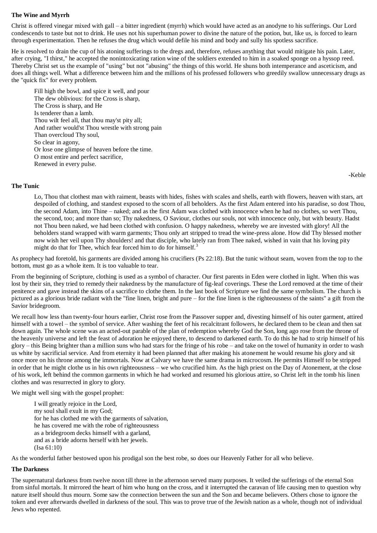### **The Wine and Myrrh**

Christ is offered vinegar mixed with gall – a bitter ingredient (myrrh) which would have acted as an anodyne to his sufferings. Our Lord condescends to taste but not to drink. He uses not his superhuman power to divine the nature of the potion, but, like us, is forced to learn through experimentation. Then he refuses the drug which would defile his mind and body and sully his spotless sacrifice.

He is resolved to drain the cup of his atoning sufferings to the dregs and, therefore, refuses anything that would mitigate his pain. Later, after crying, "I thirst," he accepted the nonintoxicating ration wine of the soldiers extended to him in a soaked sponge on a hyssop reed. Thereby Christ set us the example of "using" but not "abusing" the things of this world. He shuns both intemperance and asceticism, and does all things well. What a difference between him and the millions of his professed followers who greedily swallow unnecessary drugs as the "quick fix" for every problem.

Fill high the bowl, and spice it well, and pour The dew oblivious: for the Cross is sharp, The Cross is sharp, and He Is tenderer than a lamb. Thou wilt feel all, that thou may'st pity all; And rather would'st Thou wrestle with strong pain Than overcloud Thy soul, So clear in agony, Or lose one glimpse of heaven before the time. O most entire and perfect sacrifice, Renewed in every pulse.

-Keble

### **The Tunic**

Lo, Thou that clothest man with raiment, beasts with hides, fishes with scales and shells, earth with flowers, heaven with stars, art despoiled of clothing, and standest exposed to the scorn of all beholders. As the first Adam entered into his paradise, so dost Thou, the second Adam, into Thine – naked; and as the first Adam was clothed with innocence when he had no clothes, so wert Thou, the second, too; and more than so; Thy nakedness, O Saviour, clothes our souls, not with innocence only, but with beauty. Hadst not Thou been naked, we had been clothed with confusion. O happy nakedness, whereby we are invested with glory! All the beholders stand wrapped with warm garments; Thou only art stripped to tread the wine-press alone. How did Thy blessed mother now wish her veil upon Thy shoulders! and that disciple, who lately ran from Thee naked, wished in vain that his loving pity might do that for Thee, which fear forced him to do for himself. $3$ 

As prophecy had foretold, his garments are divided among his crucifiers (Ps 22:18). But the tunic without seam, woven from the top to the bottom, must go as a whole item. It is too valuable to tear.

From the beginning of Scripture, clothing is used as a symbol of character. Our first parents in Eden were clothed in light. When this was lost by their sin, they tried to remedy their nakedness by the manufacture of fig-leaf coverings. These the Lord removed at the time of their penitence and gave instead the skins of a sacrifice to clothe them. In the last book of Scripture we find the same symbolism. The church is pictured as a glorious bride radiant with the "fine linen, bright and pure – for the fine linen is the righteousness of the saints" a gift from the Savior bridegroom.

We recall how less than twenty-four hours earlier, Christ rose from the Passover supper and, divesting himself of his outer garment, attired himself with a towel – the symbol of service. After washing the feet of his recalcitrant followers, he declared them to be clean and then sat down again. The whole scene was an acted-out parable of the plan of redemption whereby God the Son, long ago rose from the throne of the heavenly universe and left the feast of adoration he enjoyed there, to descend to darkened earth. To do this he had to strip himself of his glory – this Being brighter than a million suns who had stars for the fringe of his robe – and take on the towel of humanity in order to wash us white by sacrificial service. And from eternity it had been planned that after making his atonement he would resume his glory and sit once more on his throne among the immortals. Now at Calvary we have the same drama in microcosm. He permits Himself to be stripped in order that he might clothe us in his own righteousness – we who crucified him. As the high priest on the Day of Atonement, at the close of his work, left behind the common garments in which he had worked and resumed his glorious attire, so Christ left in the tomb his linen clothes and was resurrected in glory to glory.

We might well sing with the gospel prophet:

I will greatly rejoice in the Lord, my soul shall exult in my God; for he has clothed me with the garments of salvation, he has covered me with the robe of righteousness as a bridegroom decks himself with a garland, and as a bride adorns herself with her jewels. (Isa 61:10)

As the wonderful father bestowed upon his prodigal son the best robe, so does our Heavenly Father for all who believe.

### **The Darkness**

The supernatural darkness from twelve noon till three in the afternoon served many purposes. It veiled the sufferings of the eternal Son from sinful mortals. It mirrored the heart of him who hung on the cross, and it interrupted the caravan of life causing men to question why nature itself should thus mourn. Some saw the connection between the sun and the Son and became believers. Others chose to ignore the token and ever afterwards dwelled in darkness of the soul. This was to prove true of the Jewish nation as a whole, though not of individual Jews who repented.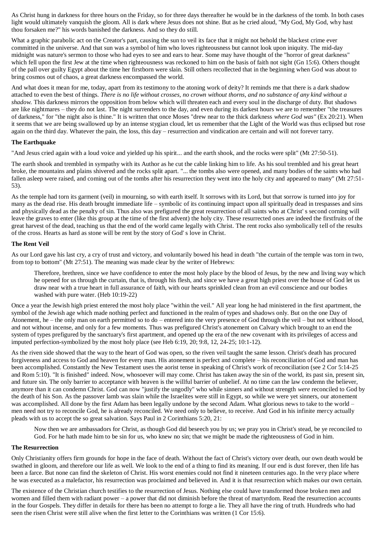As Christ hung in darkness for three hours on the Friday, so for three days thereafter he would be in the darkness of the tomb. In both cases light would ultimately vanquish the gloom. All is dark where Jesus does not shine. But as he cried aloud, "My God, My God, why hast thou forsaken me?" his words banished the darkness. And so they do still.

What a graphic parabolic act on the Creator's part, causing the sun to veil its face that it might not behold the blackest crime ever committed in the universe. And that sun was a symbol of him who loves righteousness but cannot look upon iniquity. The mid-day midnight was nature's sermon to those who had eyes to see and ears to hear. Some may have thought of the "horror of great darkness" which fell upon the first Jew at the time when righteousness was reckoned to him on the basis of faith not sight (Gn 15:6). Others thought of the pall over guilty Egypt about the time her firstborn were slain. Still others recollected that in the beginning when God was about to bring cosmos out of chaos, a great darkness encompassed the world.

And what does it mean for me, today, apart from its testimony to the atoning work of deity? It reminds me that there is a dark shadow attached to even the best of things. *There is no life without crosses, no crown without thorns, and no substance of any kind without a shadow.* This darkness mirrors the opposition from below which will threaten each and every soul in the discharge of duty. But shadows are like nightmares – they do not last. The night surrenders to the day, and even during its darkest hours we are to remember "the treasures of darkness," for "the night also is thine." It is written that once Moses "drew near to the thick darkness *where God was"* (Ex 20:21). When it seems that we are being swallowed up by an intense stygian cloud, let us remember that the Light of the World was thus eclipsed but rose again on the third day. Whatever the pain, the loss, this day – resurrection and vindication are certain and will not forever tarry.

### **The Earthquake**

"And Jesus cried again with a loud voice and yielded up his spirit... and the earth shook, and the rocks were split" (Mt 27:50-51).

The earth shook and trembled in sympathy with its Author as he cut the cable linking him to life. As his soul trembled and his great heart broke, the mountains and plains shivered and the rocks split apart. "... the tombs also were opened, and many bodies of the saints who had fallen asleep were raised, and coming out of the tombs after his resurrection they went into the holy city and appeared to many" (Mt 27:51-53).

As the temple had torn its garment (veil) in mourning, so with earth itself. It sorrows with its Lord, but that sorrow is turned into joy for many as the dead rise. His death brought immediate life – symbolic of its continuing impact upon all spiritually dead in trespasses and sins and physically dead as the penalty of sin. Thus also was prefigured the great resurrection of all saints who at Christ' s second corning will leave the graves to enter (like this group at the time of the first advent) the holy city. These resurrected ones are indeed the firstfruits of the great harvest of the dead, teaching us that the end of the world came legally with Christ. The rent rocks also symbolically tell of the results of the cross. Hearts as hard as stone will be rent by the story of God' s love in Christ.

### **The Rent Veil**

As our Lord gave his last cry, a cry of trust and victory, and voluntarily bowed his head in death "the curtain of the temple was torn in two, from top to bottom" (Mt 27:51). The meaning was made clear by the writer of Hebrews:

Therefore, brethren, since we have confidence to enter the most holy place by the blood of Jesus, by the new and living way which he opened for us through the curtain, that is, through his flesh, and since we have a great high priest over the house of God let us draw near with a true heart in full assurance of faith, with our hearts sprinkled clean from an evil conscience and our bodies washed with pure water. (Heb 10:19-22)

Once a year the Jewish high priest entered the most holy place "within the veil." All year long he had ministered in the first apartment, the symbol of the Jewish age which made nothing perfect and functioned in the realm of types and shadows only. But on the one Day of Atonement, he – the only man on earth permitted so to do – entered into the very presence of God through the veil – but not without blood, and not without incense, and only for a few moments. Thus was prefigured Christ's atonement on Calvary which brought to an end the system of types prefigured by the sanctuary's first apartment, and opened up the era of the new covenant with its privileges of access and imputed perfection-symbolized by the most holy place (see Heb 6:19, 20; 9:8, 12, 24-25; 10:1-12).

As the riven side showed that the way to the heart of God was open, so the riven veil taught the same lesson. Christ's death has procured forgiveness and access to God and heaven for every man. His atonement is perfect and complete – his reconciliation of God and man has been accomplished. Constantly the New Testament uses the aorist tense in speaking of Christ's work of reconciliation (see 2 Cor 5:14-25 and Rom 5:10). "It is finished" indeed. Now, whosoever will may come. Christ has taken away the sin of the world, its past sin, present sin, and future sin. The only barrier to acceptance with heaven is the willful barrier of unbelief. At no time can the law condemn the believer, anymore than it can condemn Christ. God can now "justify the ungodly" who while sinners and without strength *were* reconciled to God by the death of his Son. As the passover lamb was slain while the Israelites were still in Egypt, so while we were yet sinners, our atonement was accomplished. All done by the first Adam has been legally undone by the second Adam. What glorious news to take to the world – men need not try to reconcile God, he is already reconciled. We need only to believe, to receive. And God in his infinite mercy actually pleads with us to accept the so great salvation. Says Paul in 2 Corinthians 5:20, 21:

Now then we are ambassadors for Christ, as though God did beseech you by us; we pray you in Christ's stead, be ye reconciled to God. For he hath made him to be sin for us, who knew no sin; that we might be made the righteousness of God in him.

#### **The Resurrection**

Only Christianity offers firm grounds for hope in the face of death. Without the fact of Christ's victory over death, our own death would be swathed in gloom, and therefore our life as well. We look to the end of a thing to find its meaning. If our end is dust forever, then life has been a farce. But none can find the skeleton of Christ. His worst enemies could not find it nineteen centuries ago. In the very place where he was executed as a malefactor, his resurrection was proclaimed and believed in. And it is that resurrection which makes our own certain.

The existence of the Christian church testifies to the resurrection of Jesus. Nothing else could have transformed those broken men and women and filled them with radiant power – a power that did not diminish before the threat of martyrdom. Read the resurrection accounts in the four Gospels. They differ in details for there has been no attempt to forge a lie. They all have the ring of truth. Hundreds who had seen the risen Christ were still alive when the first letter to the Corinthians was written (1 Cor 15:6).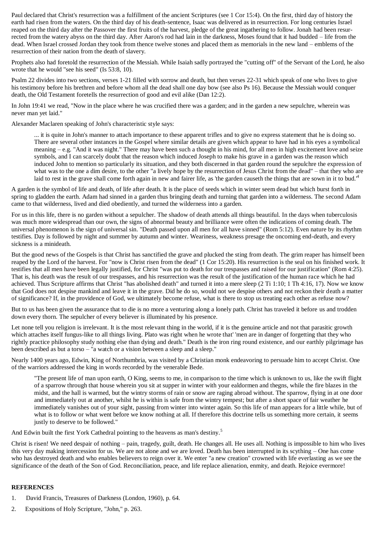Paul declared that Christ's resurrection was a fulfillment of the ancient Scriptures (see 1 Cor 15:4). On the first, third day of history the earth had risen from the waters. On the third day of his death-sentence, Isaac was delivered as in resurrection. For long centuries Israel reaped on the third day after the Passover the first fruits of the harvest, pledge of the great ingathering to follow. Jonah had been resurrected from the watery abyss on the third day. After Aaron's rod had lain in the darkness, Moses found that it had budded – life from the dead. When Israel crossed Jordan they took from thence twelve stones and placed them as memorials in the new land – emblems of the resurrection of their nation from the death of slavery.

Prophets also had foretold the resurrection of the Messiah. While Isaiah sadly portrayed the "cutting off" of the Servant of the Lord, he also wrote that he would "see his seed" (Is 53:8, 10).

Psalm 22 divides into two sections, verses 1-21 filled with sorrow and death, but then verses 22-31 which speak of one who lives to give his testimony before his brethren and before whom all the dead shall one day bow (see also Ps 16). Because the Messiah would conquer death, the Old Testament foretells the resurrection of good and evil alike (Dan 12:2).

In John 19:41 we read, "Now in the place where he was crucified there was a garden; and in the garden a new sepulchre, wherein was never man yet laid."

Alexander Maclaren speaking of John's characteristic style says:

... it is quite in John's manner to attach importance to these apparent trifles and to give no express statement that he is doing so. There are several other instances in the Gospel where similar details are given which appear to have had in his eyes a symbolical meaning – e.g. "And it was night." There may have been such a thought in his mind, for all men in high excitement love and seize symbols, and I can scarcely doubt that the reason which induced Joseph to make his grave in a garden was the reason which induced John to mention so particularly its situation, and they both discerned in that garden round the sepulchre the expression of what was to the one a dim desire, to the other "a lively hope by the resurrection of Jesus Christ from the dead" – that they who are laid to rest in the grave shall come forth again in new and fairer life, as 'the garden causeth the things that are sown in it to bud.<sup>4</sup>

A garden is the symbol of life and death, of life after death. It is the place of seeds which in winter seem dead but which burst forth in spring to gladden the earth. Adam had sinned in a garden thus bringing death and turning that garden into a wilderness. The second Adam came to that wilderness, lived and died obediently, and turned the wilderness into a garden.

For us in this life, there is no garden without a sepulcher. The shadow of death attends all things beautiful. In the days when tuberculosis was much more widespread than our own, the signs of abnormal beauty and brilliance were often the indications of coming death. The universal phenomenon is the sign of universal sin. "Death passed upon all men for all have sinned" (Rom 5:12). Even nature by its rhythm testifies. Day is followed by night and summer by autumn and winter. Weariness, weakness presage the oncoming end-death, and every sickness is a minideath.

But the good news of the Gospels is that Christ has sanctified the grave and plucked the sting from death. The grim reaper has himself been reaped by the Lord of the harvest. For "now is Christ risen from the dead" (1 Cor 15:20). His resurrection is the seal on his finished work. It testifies that all men have been legally justified, for Christ "was put to death for our trespasses and raised for our justification" (Rom 4:25). That is, his death was the result of our trespasses, and his resurrection was the result of the justification of the human race which he had achieved. Thus Scripture affirms that Christ "has abolished death" and turned it into a mere sleep (2 Ti 1:10; 1 Th 4:16, 17). Now we know that God does not despise mankind and leave it in the grave. Did he do so, would not we despise others and not reckon their death a matter of significance? If, in the providence of God, we ultimately become refuse, what is there to stop us treating each other as refuse now?

But to us has been given the assurance that to die is no more a venturing along a lonely path. Christ has traveled it before us and trodden down every thorn. The sepulcher of every believer is illuminated by his presence.

Let none tell you religion is irrelevant. It is the most relevant thing in the world, if it is the genuine article and not that parasitic growth which attaches itself fungus-like to all things living. Plato was right when he wrote that' 'men are in danger of forgetting that they who rightly practice philosophy study nothing else than dying and death." Death is the iron ring round existence, and our earthly pilgrimage has been described as but a torso – "a watch or a vision between a sleep and a sleep."

Nearly 1400 years ago, Edwin, King of Northumbria, was visited by a Christian monk endeavoring to persuade him to accept Christ. One of the warriors addressed the king in words recorded by the venerable Bede.

"The present life of man upon earth, O King, seems to me, in comparison to the time which is unknown to us, like the swift flight of a sparrow through that house wherein you sit at supper in winter with your ealdormen and thegns, while the fire blazes in the midst, and the hall is warmed, but the wintry storms of rain or snow are raging abroad without. The sparrow, flying in at one door and immediately out at another, whilst he is within is safe from the wintry tempest; but after a short space of fair weather he immediately vanishes out of your sight, passing from winter into winter again. So this life of man appears for a little while, but of what is to follow or what went before we know nothing at all. If therefore this doctrine tells us something more certain, it seems justly to deserve to be followed."

And Edwin built the first York Cathedral pointing to the heavens as man's destiny.<sup>5</sup>

Christ is risen! We need despair of nothing – pain, tragedy, guilt, death. He changes all. He uses all. Nothing is impossible to him who lives this very day making intercession for us. We are not alone and we are loved. Death has been interrupted in its scything – One has come who has destroyed death and who enables believers to reign over it. We enter "a new creation" crowned with life everlasting as we see the significance of the death of the Son of God. Reconciliation, peace, and life replace alienation, enmity, and death. Rejoice evermore!

### **REFERENCES**

- 1. David Francis, Treasures of Darkness (London, 1960), p. 64.
- 2. Expositions of Holy Scripture, "John," p. 263.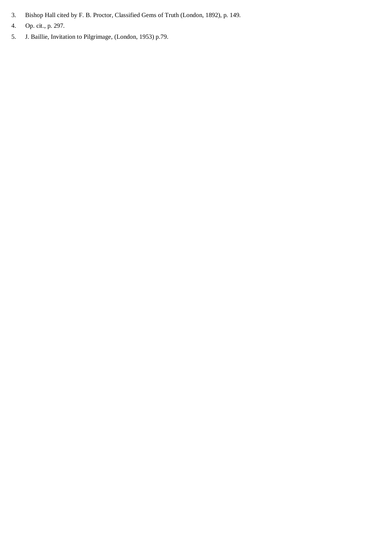- 3. Bishop Hall cited by F. B. Proctor, Classified Gems of Truth (London, 1892), p. 149.
- 4. Op. cit., p. 297.
- 5. J. Baillie, Invitation to Pilgrimage, (London, 1953) p.79.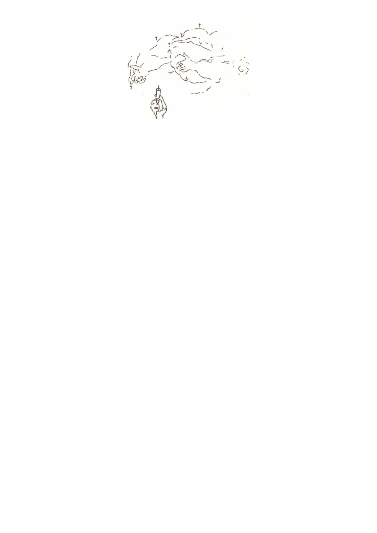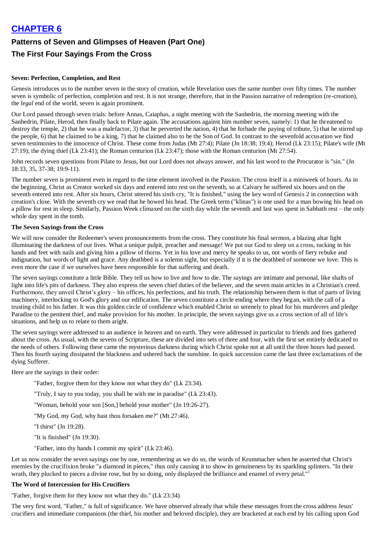# <span id="page-32-0"></span>**Patterns of Seven and Glimpses of Heaven (Part One) The First Four Sayings From the Cross**

### **Seven: Perfection, Completion, and Rest**

Genesis introduces us to the number seven in the story of creation, while Revelation uses the same number over fifty times. The number seven is symbolic of perfection, completion and rest. It is not strange, therefore, that in the Passion narrative of redemption (re-creation), the *legal* end of the world, seven is again prominent.

Our Lord passed through seven trials: before Annas, Caiaphas, a night meeting with the Sanhedrin, the morning meeting with the Sanhedrin, Pilate, Herod, then finally back to Pilate again. The accusations against him number seven, namely: 1) that he threatened to destroy the temple, 2) that he was a malefactor, 3) that he perverted the nation, 4) that he forbade the paying of tribute, 5) that he stirred up the people, 6) that he claimed to be a king, 7) that he claimed also to be the Son of God. In contrast to the sevenfold accusation we find seven testimonies to the innocence of Christ. These come from Judas (Mt 27:4); Pilate (Jn 18:38; 19:4); Herod (Lk 23:15); Pilate's wife (Mt 27:19); the dying thief (Lk 23:41); the Roman centurion (Lk 23:47); those with the Roman centurion (Mt 27:54).

John records seven questions from Pilate to Jesus, but our Lord does not always answer, and his last word to the Procurator is "sin." (Jn 18:33, 35, 37-38; 19:9-11).

The number seven is prominent even in regard to the time element involved in the Passion. The cross itself is a miniweek of hours. As in the beginning, Christ as Creator worked six days and entered into rest on the seventh, so at Calvary he suffered six hours and on the seventh entered into rest. After six hours, Christ uttered his sixth cry, "It is finished," using the key word of Genesis 2 in connection with creation's close. With the seventh cry we read that he bowed his head. The Greek term ("klinas") is one used for a man bowing his head on a pillow for rest in sleep. Similarly, Passion Week climaxed on the sixth day while the seventh and last was spent in Sabbath rest – the only whole day spent in the tomb.

### **The Seven Sayings from the Cross**

We will now consider the Redeemer's seven pronouncements from the cross. They constitute his final sermon, a blazing altar light illuminating the darkness of our lives. What a unique pulpit, preacher and message! We put our God to sleep on a cross, tucking in his hands and feet with nails and giving him a pillow of thorns. Yet in his love and mercy he speaks to us, not words of fiery rebuke and indignation, but words of light and grace. Any deathbed is a solemn sight, but especially if it is the deathbed of someone we love. This is even more the case if we ourselves have been responsible for that suffering and death.

The seven sayings constitute a little Bible. They tell us how to live and how to die. The sayings are intimate and personal, like shafts of light into life's pits of darkness. They also express the seven chief duties of the believer, and the seven main articles in a Christian's creed. Furthermore, they unveil Christ's glory – his offices, his perfections, and his truth. The relationship between them is that of parts of living machinery, interlocking to God's glory and our edification. The seven constitute a circle ending where they began, with the call of a trusting child to his father. It was this golden circle of confidence which enabled Christ so serenely to plead for his murderers and pledge Paradise to the penitent thief, and make provision for his mother. In principle, the seven sayings give us a cross section of all of life's situations, and help us to relate to them aright.

The seven sayings were addressed to an audience in heaven and on earth. They were addressed in particular to friends and foes gathered about the cross. As usual, with the sevens of Scripture, these are divided into sets of three and four, with the first set entirely dedicated to the needs of others. Following these came the mysterious darkness during which Christ spoke not at all until the three hours had passed. Then his fourth saying dissipated the blackness and ushered back the sunshine. In quick succession came the last three exclamations of the dying Sufferer.

Here are the sayings in their order:

"Father, forgive them for they know not what they do" (Lk 23:34).

"Truly, I say to you today, you shall be with me in paradise" (Lk 23:43).

"Woman, behold your son [Son,] behold your mother" (Jn 19:26-27).

"My God, my God, why hast thou forsaken me?" (Mt 27:46).

"I thirst" (Jn 19:28).

"It is finished" (Jn 19:30).

"Father, into thy hands I commit my spirit" (Lk 23:46).

Let us now consider the seven sayings one by one, remembering as we do so, the words of Krummacher when he asserted that Christ's enemies by the crucifixion broke "a diamond in pieces," thus only causing it to show its genuineness by its sparkling splinters. "In their wrath, they plucked to pieces a divine rose, but by so doing, only displayed the brilliance and enamel of every petal."<sup>1</sup>

### **The Word of Intercession for His Crucifiers**

"Father, forgive them for they know not what they do." (Lk 23:34)

The very first word, "Father," is full of significance. We have observed already that while these messages from the cross address Jesus' crucifiers and immediate companions (the thief, his mother and beloved disciple), they are bracketed at each end by his calling upon God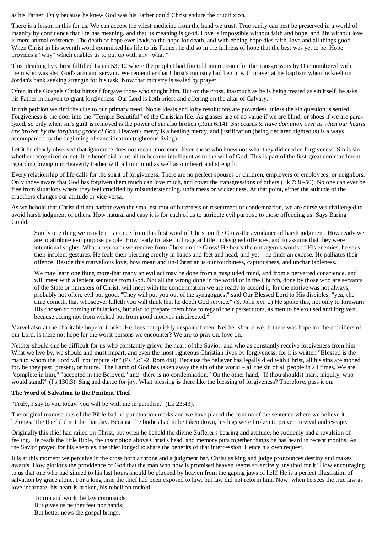as his Father. Only because he knew God was his Father could Christ endure the crucifixion.

There is a lesson in this for us. We can accept the vilest medicine from the hand we trust. True sanity can best be preserved in a world of insanity by confidence that life has meaning, and that its meaning is good. Love is impossible without faith and hope, and life without love is mere animal existence. The death of hope ever leads to the hope for death, and with ebbing hope dies faith, love and all things good. When Christ in his seventh word committed his life to his Father, he did so in the fullness of hope that the best was yet to be. Hope provides a "why" which enables us to put up with any "what."

This pleading by Christ fulfilled Isaiah 53: 12 where the prophet had foretold intercession for the transgressors by One numbered with them who was also God's arm and servant. We remember that Christ's ministry had begun with prayer at his baptism when he knelt on Jordan's bank seeking strength for his task. Now that ministry is sealed by prayer.

Often in the Gospels Christ himself forgave those who sought him. But on the cross, inasmuch as he is being treated as sin itself, he asks his Father in heaven to grant forgiveness. Our Lord is both priest and offering on the altar of Calvary.

In this petition we find the clue to our primary need. Noble ideals and lofty resolutions are powerless unless the sin question is settled. Forgiveness is the door into the "Temple Beautiful" of the Christian life. As glasses are of no value if we are blind, or shoes if we are paralyzed, so only when sin's guilt is removed is the power of sin also broken (Rom 6:14). *Sin ceases to have dominion over us when our hearts are broken by the forgiving grace of God.* Heaven's mercy is a healing mercy, and justification (being declared righteous) is always accompanied by the beginning of sanctification (righteous living).

Let it be clearly observed that ignorance does not mean innocence. Even those who knew not what they did needed forgiveness. Sin is sin whether recognized or not. It is beneficial to us all to become intelligent as to the will of God. This is part of the first great commandment regarding loving our Heavenly Father with all our mind as well as our heart and strength.

Every relationship of life calls for the spirit of forgiveness. There are no perfect spouses or children, employers or employees, or neighbors. Only those aware that God has forgiven them much can love much, and cover the transgressions of others (Lk 7:36-50). No one can ever be free from situations where they feel crucified by misunderstanding, unfairness or wickedness. At that point, either the attitude of the crucifiers changes our attitude or vice versa.

As we behold that Christ did not harbor even the smallest root of bitterness or resentment or condemnation, we are ourselves challenged to avoid harsh judgment of others. How natural and easy it is for each of us to attribute evil purpose to those offending us! Says Baring Gould:

Surely one thing we may learn at once from this first word of Christ on the Cross-the avoidance of harsh judgment. How ready we are to attribute evil purpose people. How ready to take umbrage at little undesigned offences, and to assume that they were intentional slights. What a reproach we receive from Christ on the Cross! He hears the outrageous words of His enemies, he sees their insolent gestures, He feels their piercing cruelty in hands and feet and head, and yet – he finds an excuse, He palliates their offence. Beside this marvellous love, how mean and un-Christian is our touchiness, captiousness, and uncharitableness.

We may learn one thing more-that many an evil act may be done from a misguided mind, and from a perverted conscience, and will meet with a lenient sentence from God. Not all the wrong done in the world or in the Church, done by those who are servants of the State or ministers of Christ, will meet with the condemnation we are ready to accord it, for the motive was not always, probably not often, evil but good. "They will put you out of the synagogues;" said Our Blessed Lord to His disciples, "yea, the time cometh, that whosoever killeth you will think that he doeth God service." (S. John xvi. 2) He spoke this, not only to forewarn His chosen of coming tribulations, but also to prepare them how to regard their persecutors, as men to be excused and forgiven, because acting not from wicked but from good motives misdirected.<sup>2</sup>

Marvel also at the charitable hope of Christ. He does not quickly despair of men. Neither should we. If there was hope for the crucifiers of our Lord, is there not hope for the worst persons we encounter? We are to pray on, love on.

Neither should this be difficult for us who constantly grieve the heart of the Savior, and who as constantly receive forgiveness from him. What we live by, we should and must impart, and even the most righteous Christian lives by forgiveness, for it is written "Blessed is the man to whom the Lord will not impute sin" (Ps 32:1-2; Rom 4:8). Because the believer has legally died with Christ, all his sins are atoned for, be they past, present, or future. The Lamb of God has taken away the sin of the world – all the sin of all people in all times. We are "complete in him," "accepted in the Beloved," and "there is no condemnation." On the other hand, "If thou shouldst mark iniquity, who would stand?" (Ps 130:3). Sing and dance for joy. What blessing is there like the blessing of forgiveness? Therefore, pass it on.

### **The Word of Salvation to the Penitent Thief**

"Truly, I say to you today, you will be with me in paradise." (Lk 23:43).

The original manuscripts of the Bible had no punctuation marks and we have placed the comma of the sentence where we believe it belongs. The thief did not die that day. Because the bodies had to be taken down, his legs were broken to prevent revival and escape.

Originally this thief had railed on Christ, but when he beheld the divine Sufferer's bearing and attitude, he suddenly had a revulsion of feeling. He reads the little Bible, the inscription above Christ's head, and memory puts together things he has heard in recent months. As the Savior prayed for his enemies, the thief longed to share the benefits of that intercession. Hence his own request.

It is at this moment we perceive in the cross both a throne and a judgment bar. Christ as king and judge pronounces destiny and makes awards. How glorious the providence of God that the man who now is promised heaven seems so entirely unsuited for it! How encouraging to us that one who had sinned to his last hours should be plucked by heaven from the gaping jaws of hell! He is a perfect illustration of salvation by grace alone. For a long time the thief had been exposed to law, but law did not reform him. Now, when he sees the true law as love incarnate, his heart is broken, his rebellion melted.

To run and work the law commands But gives us neither feet nor hands; But better news the gospel brings,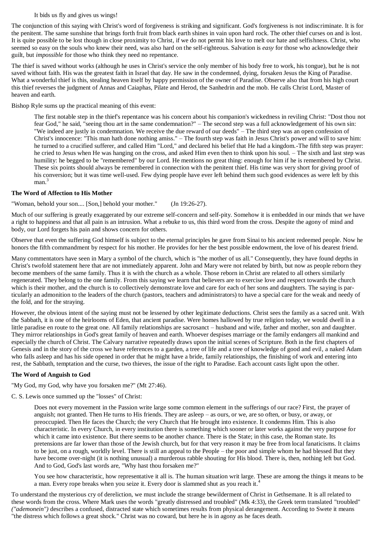### It bids us fly and gives us wings!

The conjunction of this saying with Christ's word of forgiveness is striking and significant. God's forgiveness is not indiscriminate. It is for the penitent. The same sunshine that brings forth fruit from black earth shines in vain upon hard rock. The other thief curses on and is lost. It is quite possible to be lost though in close proximity to Christ, if we do not permit his love to melt our hate and selfishness. Christ, who seemed so easy on the souls who knew their need, was also hard on the self-righteous. Salvation is *easy* for those who acknowledge their guilt, but *impossible* for those who think they need no repentance.

The thief is saved without works (although he uses in Christ's service the only member of his body free to work, his tongue), but he is not saved without faith. His was the greatest faith in Israel that day. He saw in the condemned, dying, forsaken Jesus the King of Paradise. What a wonderful thief is this, stealing heaven itself by happy permission of the owner of Paradise. Observe also that from his high court this thief reverses the judgment of Annas and Caiaphas, Pilate and Herod, the Sanhedrin and the mob. He calls Christ Lord, Master of heaven and earth.

Bishop Ryle sums up the practical meaning of this event:

The first notable step in the thief's repentance was his concern about his companion's wickedness in reviling Christ: "Dost thou not fear God," he said, "seeing thou art in the same condemnation?" – The second step was a full acknowledgement of his own sin: "We indeed are justly in condemnation. We receive the due reward of our deeds" – The third step was an open confession of Christ's innocence: "This man hath done nothing amiss." – The fourth step was faith in Jesus Christ's power and will to save him: he turned to a crucified sufferer, and called Him "Lord," and declared his belief that He had a kingdom.-The fifth step was prayer: he cried to Jesus when He was hanging on the cross, and asked Him even then to think upon his soul. – The sixth and last step was humility: he begged to be "remembered" by our Lord. He mentions no great thing: enough for him if he is remembered by Christ. These six points should always be remembered in connection with the penitent thief. His time was very short for giving proof of his conversion; but it was time well-used. Few dying people have ever left behind them such good evidences as were left by this man. 3

### **The Word of Affection to His Mother**

"Woman, behold your son.... [Son,] behold your mother." (Jn 19:26-27).

Much of our suffering is greatly exaggerated by our extreme self-concern and self-pity. Somehow it is embedded in our minds that we have a right to happiness and that all pain is an intrusion. What a rebuke to us, this third word from the cross. Despite the agony of mind and body, our Lord forgets his pain and shows concern for others.

Observe that even the suffering God himself is subject to the eternal principles he gave from Sinai to his ancient redeemed people. Now he honors the fifth commandment by respect for his mother. He provides for her the best possible endowment, the love of his dearest friend.

Many commentators have seen in Mary a symbol of the church, which is "the mother of us all." Consequently, they have found depths in Christ's twofold statement here that are not immediately apparent. John and Mary were not related by birth, but now as people reborn they become members of the same family. Thus it is with the church as a whole. Those reborn in Christ are related to all others similarly regenerated. They belong to the one family. From this saying we learn that believers are to exercise love and respect towards the church which is their mother, and the church is to collectively demonstrate love and care for each of her sons and daughters. The saying is particularly an admonition to the leaders of the church (pastors, teachers and administrators) to have a special care for the weak and needy of the fold, and for the straying.

However, the obvious intent of the saying must not be lessened by other legitimate deductions. Christ sees the family as a sacred unit. With the Sabbath, it is one of the heirlooms of Eden, that ancient paradise. Were homes hallowed by true religion today, we would dwell in a little paradise en route to the great one. All family relationships are sacrosanct – husband and wife, father and mother, son and daughter. They mirror relationships in God's great family of heaven and earth. Whoever despises marriage or the family endangers all mankind and especially the church of Christ. The Calvary narrative repeatedly draws upon the initial scenes of Scripture. Both in the first chapters of Genesis and in the story of the cross we have references to a garden, a tree of life and a tree of knowledge of good and evil, a naked Adam who falls asleep and has his side opened in order that he might have a bride, family relationships, the finishing of work and entering into rest, the Sabbath, temptation and the curse, two thieves, the issue of the right to Paradise. Each account casts light upon the other.

### **The Word of Anguish to God**

"My God, my God, why have you forsaken me?" (Mt 27:46).

C. S. Lewis once summed up the "losses" of Christ:

Does not every movement in the Passion write large some common element in the sufferings of our race? First, the prayer of anguish; not granted. Then He turns to His friends. They are asleep – as ours, or we, are so often, or busy, or away, or preoccupied. Then He faces the Church; the very Church that He brought into existence. It condemns Him. This is also characteristic. In every Church, in every institution there is something which sooner or later works against the very purpose for which it came into existence. But there seems to be another chance. There is the State; in this case, the Roman state. Its pretensions are far lower than those of the Jewish church, but for that very reason it may be free from local fanaticisms. It claims to be just, on a rough, worldly level. There is still an appeal to the People – the poor and simple whom he had blessed But they have become over-night (it is nothing unusual) a murderous rabble shouting for His blood. There is, then, nothing left but God. And to God, God's last words are, "Why hast thou forsaken me?"

You see how characteristic, how representative it all is. The human situation writ large. These are among the things it means to be a man. Every rope breaks when you seize it. Every door is slammed shut as you reach it.<sup>4</sup>

To understand the mysterious cry of dereliction, we must include the strange bewilderment of Christ in Gethsemane. It is all related to these words from the cross. Where Mark uses the words "greatly distressed and troubled" (Mk 4:33), the Greek term translated "troubled" *("ademonein")* describes a confused, distracted state which sometimes results from physical derangement. According to Swete it means "the distress which follows a great shock." Christ was no coward, but here he is in agony as he faces death.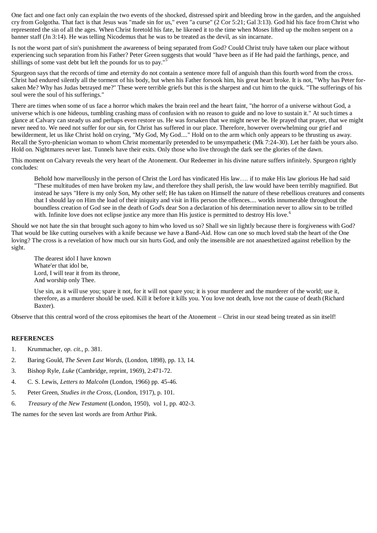One fact and one fact only can explain the two events of the shocked, distressed spirit and bleeding brow in the garden, and the anguished cry from Golgotha. That fact is that Jesus was "made sin for us," even "a curse" (2 Cor 5:21; Gal 3:13). God hid his face from Christ who represented the sin of all the ages. When Christ foretold his fate, he likened it to the time when Moses lifted up the molten serpent on a banner staff (Jn 3:14). He was telling Nicodemus that he was to be treated as the devil, as sin incarnate.

Is not the worst part of sin's punishment the awareness of being separated from God? Could Christ truly have taken our place without experiencing such separation from his Father? Peter Green suggests that would "have been as if He had paid the farthings, pence, and shillings of some vast debt but left the pounds for us to pay."<sup>5</sup>

Spurgeon says that the records of time and eternity do not contain a sentence more full of anguish than this fourth word from the cross. Christ had endured silently all the torment of his body, but when his Father forsook him, his great heart broke. It is not, "Why has Peter forsaken Me? Why has Judas betrayed me?" These were terrible griefs but this is the sharpest and cut him to the quick. "The sufferings of his soul were the soul of his sufferings."

There are times when some of us face a horror which makes the brain reel and the heart faint, "the horror of a universe without God, a universe which is one hideous, tumbling crashing mass of confusion with no reason to guide and no love to sustain it." At such times a glance at Calvary can steady us and perhaps even restore us. He was forsaken that we might never be. He prayed that prayer, that we might never need to. We need not suffer for our sin, for Christ has suffered in our place. Therefore, however overwhelming our grief and bewilderment, let us like Christ hold on crying, "My God, My God...." Hold on to the arm which only appears to be thrusting us away. Recall the Syro-phenician woman to whom Christ momentarily pretended to be unsympathetic (Mk 7:24-30). Let her faith be yours also. Hold on. Nightmares never last. Tunnels have their exits. Only those who live through the dark see the glories of the dawn.

This moment on Calvary reveals the very heart of the Atonement. Our Redeemer in his divine nature suffers infinitely. Spurgeon rightly concludes:

Behold how marvellously in the person of Christ the Lord has vindicated His law…. if to make His law glorious He had said "These multitudes of men have broken my law, and therefore they shall perish, the law would have been terribly magnified. But instead he says "Here is my only Son, My other self; He has taken on Himself the nature of these rebellious creatures and consents that I should lay on Him the load of their iniquity and visit in His person the offences.... worlds innumerable throughout the boundless creation of God see in the death of God's dear Son a declaration of his determination never to allow sin to be trifled with. Infinite love does not eclipse justice any more than His justice is permitted to destroy His love.<sup>6</sup>

Should we not hate the sin that brought such agony to him who loved us so? Shall we sin lightly because there is forgiveness with God? That would be like cutting ourselves with a knife because we have a Band-Aid. How can one so much loved stab the heart of the One loving? The cross is a revelation of how much our sin hurts God, and only the insensible are not anaesthetized against rebellion by the sight.

The dearest idol I have known Whate'er that idol be, Lord, I will tear it from its throne, And worship only Thee.

Use sin, as it will use you; spare it not, for it will not spare you; it is your murderer and the murderer of the world; use it, therefore, as a murderer should be used. Kill it before it kills you. You love not death, love not the cause of death (Richard Baxter).

Observe that this central word of the cross epitomises the heart of the Atonement – Christ in our stead being treated as sin itself!

### **REFERENCES**

- 1. Krummacher, *op. cit.,* p. 381.
- 2. Baring Gould, *The Seven Last Words,* (London, 1898), pp. 13, 14.
- 3. Bishop Ryle, *Luke* (Cambridge, reprint, 1969), 2:471-72.
- 4. C. S. Lewis, *Letters to Malcolm* (London, 1966) pp. 45-46.
- 5. Peter Green, *Studies in the Cross,* (London, 1917), p. 101.
- 6. *Treasury of the New Testament* (London, 1950), vol 1, pp. 402-3.

The names for the seven last words are from Arthur Pink.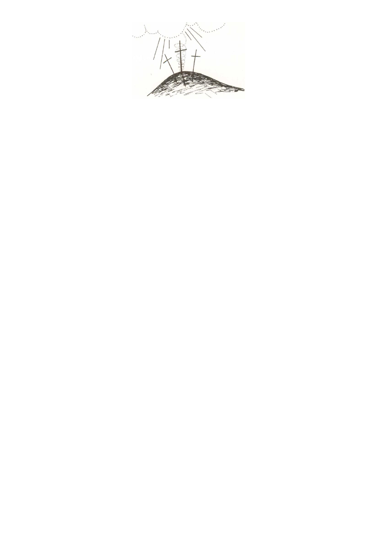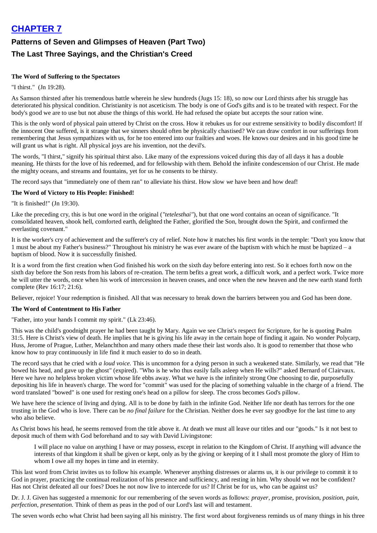# <span id="page-37-0"></span>**Patterns of Seven and Glimpses of Heaven (Part Two) The Last Three Sayings, and the Christian's Creed**

### **The Word of Suffering to the Spectators**

### "I thirst." (Jn 19:28).

As Samson thirsted after his tremendous battle wherein he slew hundreds (Jugs 15: 18), so now our Lord thirsts after his struggle has deteriorated his physical condition. Christianity is not asceticism. The body is one of God's gifts and is to be treated with respect. For the body's good we are to use but not abuse the things of this world. He had refused the opiate but accepts the sour ration wine.

This is the only word of physical pain uttered by Christ on the cross. How it rebukes us for our extreme sensitivity to bodily discomfort! If the innocent One suffered, is it strange that we sinners should often be physically chastised? We can draw comfort in our sufferings from remembering that Jesus sympathizes with us, for he too entered into our frailties and woes. He knows our desires and in his good time he will grant us what is right. All physical joys are his invention, not the devil's.

The words, "I thirst," signify his spiritual thirst also. Like many of the expressions voiced during this day of all days it has a double meaning. He thirsts for the love of his redeemed, and for fellowship with them. Behold the infinite condescension of our Christ. He made the mighty oceans, and streams and fountains, yet for us he consents to be thirsty.

The record says that "immediately one of them ran" to alleviate his thirst. How slow *we* have been and how deaf!

### **The Word of Victory to His People: Finished!**

"It is finished!" (Jn 19:30).

Like the preceding cry, this is but one word in the original (*"tetelesthai"*), but that one word contains an ocean of significance. "It consolidated heaven, shook hell, comforted earth, delighted the Father, glorified the Son, brought down the Spirit, and confirmed the everlasting covenant."

It is the worker's cry of achievement and the sufferer's cry of relief. Note how it matches his first words in the temple: "Don't you know that 1 must be about my Father's business?" Throughout his ministry he was ever aware of the baptism with which he must be baptized – a baptism of blood. Now it is successfully finished.

It is a word from the first creation when God finished his work on the sixth day before entering into rest. So it echoes forth now on the sixth day before the Son rests from his labors of re-creation. The term befits a great work, a difficult work, and a perfect work. Twice more he will utter the words, once when his work of intercession in heaven ceases, and once when the new heaven and the new earth stand forth complete (Rev 16:17; 21:6).

Believer, rejoice! Your redemption is finished. All that was necessary to break down the barriers between you and God has been done.

#### **The Word of Contentment to His Father**

"Father, into your hands I commit my spirit." (Lk 23:46).

This was the child's goodnight prayer he had been taught by Mary. Again we see Christ's respect for Scripture, for he is quoting Psalm 31:5. Here is Christ's view of death. He implies that he is giving his life away in the certain hope of finding it again. No wonder Polycarp, Huss, Jerome of Prague, Luther, Melanchthon and many others made these their last words also. It is good to remember that those who know how to pray continuously in life find it much easier to do so in death.

The record says that he cried with *a loud voice.* This is uncommon for a dying person in such a weakened state. Similarly, we read that "He bowed his head, and gave up the ghost" (expired). "Who is he who thus easily falls asleep when He wills?" asked Bernard of Clairvaux. Here we have no helpless broken victim whose life ebbs away. What we have is the infinitely strong One choosing to die, purposefully depositing his life in heaven's charge. The word for "commit" was used for the placing of something valuable in the charge of a friend. The word translated "bowed" is one used for resting one's head on a pillow for sleep. The cross becomes God's pillow.

We have here the science of living and dying. All is to be done by faith in the infinite God. Neither life nor death has terrors for the one trusting in the God who is love. There can be *no final failure* for the Christian. Neither does he ever say goodbye for the last time to any who also believe.

As Christ bows his head, he seems removed from the title above it. At death we must all leave our titles and our "goods." Is it not best to deposit much of them with God beforehand and to say with David Livingstone:

I will place no value on anything I have or may possess, except in relation to the Kingdom of Christ. If anything will advance the interests of that kingdom it shall be given or kept, only as by the giving or keeping of it I shall most promote the glory of Him to whom I owe all my hopes in time and in eternity.

This last word from Christ invites us to follow his example. Whenever anything distresses or alarms us, it is our privilege to commit it to God in prayer, practicing the continual realization of his presence and sufficiency, and resting in him. Why should we not be confident? Has not Christ defeated all our foes? Does he not now live to intercede for us? If Christ be for us, who can be against us?

Dr. J. J. Given has suggested a mnemonic for our remembering of the seven words as follows: *prayer, pro*mise, provision, *position, pain, perfection, presentation.* Think of them as peas in the pod of our Lord's last will and testament.

The seven words echo what Christ had been saying all his ministry. The first word about forgiveness reminds us of many things in his three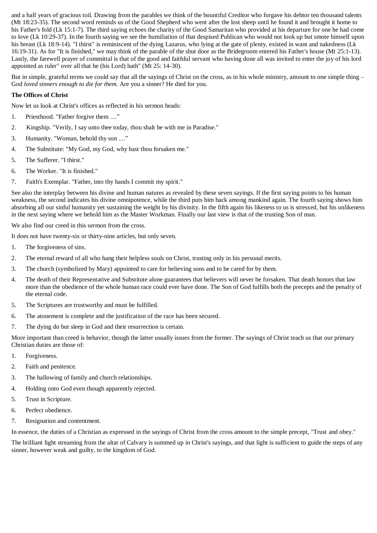and a half years of gracious toil. Drawing from the parables we think of the bountiful Creditor who forgave his debtor ten thousand talents (Mt 18:23-35). The second word reminds us of the Good Shepherd who went after the lost sheep until he found it and brought it home to his Father's fold (Lk 15:1-7). The third saying echoes the charity of the Good Samaritan who provided at his departure for one he had come to love (Lk 10:29-37). In the fourth saying we see the humiliation of that despised Publican who would not look up but smote himself upon his breast (Lk 18:9-14). "I thirst" is reminiscent of the dying Lazarus, who lying at the gate of plenty, existed in want and nakedness (Lk 16:19-31). As for "It is finished," we may think of the parable of the shut door as the Bridegroom entered his Father's house (Mt 25:1-13). Lastly, the farewell prayer of committal is that of the good and faithful servant who having done all was invited to enter the joy of his lord appointed as ruler" over all that he (his Lord) hath" (Mt 25: 14-30).

But in simple, grateful terms we could say that all the sayings of Christ on the cross, as in his whole ministry, amount to one simple thing – God *loved sinners enough to die for them.* Are you a sinner? He died for you.

### **The Offices of Christ**

Now let us look at Christ's offices as reflected in his sermon heads:

- 1. Priesthood. "Father forgive them ...."
- 2. Kingship. "Verily, I say unto thee today, thou shalt be with me in Paradise."
- 3. Humanity. "Woman, behold thy son ...."
- 4. The Substitute: "My God, my God, why hast thou forsaken me."
- 5. The Sufferer. "I thirst."
- 6. The Worker. "It is finished."
- 7. Faith's Exemplar. "Father, into thy hands I commit my spirit."

See also the interplay between his divine and human natures as revealed by these seven sayings. If the first saying points to his human weakness, the second indicates his divine omnipotence, while the third puts him back among mankind again. The fourth saying shows him absorbing all our sinful humanity yet sustaining the weight by his divinity. In the fifth again his likeness to us is stressed, but his unlikeness in the next saying where we behold him as the Master Workman. Finally our last view is that of the trusting Son of man.

We also find our creed in this sermon from the cross.

It does not have twenty-six or thirty-nine articles, but only seven.

- 1. The forgiveness of sins.
- 2. The eternal reward of all who hang their helpless souls on Christ, trusting only in his personal merits.
- 3. The church (symbolized by Mary) appointed to care for believing sons and to be cared for by them.
- 4. The death of their Representative and Substitute alone guarantees that believers will never be forsaken. That death honors that law more than the obedience of the whole human race could ever have done. The Son of God fulfills both the precepts and the penalty of the eternal code.
- 5. The Scriptures are trustworthy and must be fulfilled.
- 6. The atonement is complete and the justification of the race has been secured.
- 7. The dying do but sleep in God and their resurrection is certain.

More important than creed is behavior, though the latter usually issues from the former. The sayings of Christ teach us that our primary Christian duties are those of:

- 1. Forgiveness.
- 2. Faith and penitence.
- 3. The hallowing of family and church relationships.
- 4. Holding onto God even though apparently rejected.
- 5. Trust in Scripture.
- 6. Perfect obedience.
- 7. Resignation and contentment.

In essence, the duties of a Christian as expressed in the sayings of Christ from the cross amount to the simple precept, "Trust and obey."

The brilliant light streaming from the altar of Calvary is summed up in Christ's sayings, and that light is sufficient to guide the steps of any sinner, however weak and guilty, to the kingdom of God.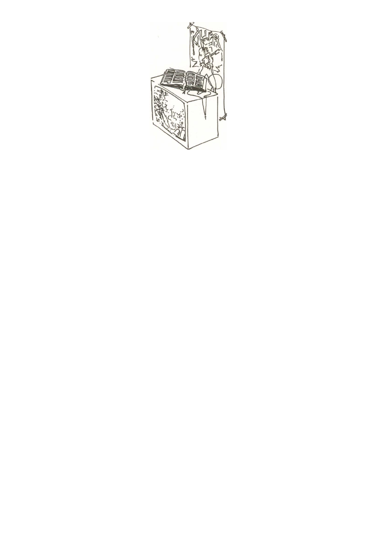![](_page_39_Picture_0.jpeg)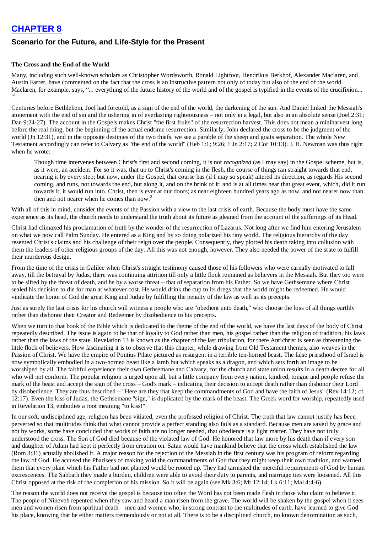# <span id="page-40-0"></span>**Scenario for the Future, and Life-Style for the Present**

### **The Cross and the End of the World**

Many, including such well-known scholars as Christopher Wordsworth, Ronald Lightfoot, Hendrikus Berkhof, Alexander Maclaren, and Austin Farrer, have commented on the fact that the cross is an instructive pattern not only of today but also of the end of the world. Maclaren, for example, says, "... everything of the future history of the world and of the gospel is typified in the events of the crucifixion... " 1

Centuries before Bethlehem, Joel had foretold, as a sign of the end of the world, the darkening of the sun. And Daniel linked the Messiah's atonement with the end of sin and the ushering in of everlasting righteousness – not only in a legal, but also in an absolute sense (Joel 2:31; Dan 9:24-27). The account in the Gospels makes Christ "the first fruits" of the resurrection harvest. This does not mean a miniharvest long before the real thing, but the beginning of the actual endtime resurrection. Similarly, John declared the cross to be the judgment of the world (Jn 12:31), and in the opposite destinies of the two thiefs, we see a parable of the sheep and goats separation. The whole New Testament accordingly can refer to Calvary as "the end of the world" (Heb 1:1; 9:26; 1 Jn 2:17; 2 Cor 10:13). J. H. Newman was thus right when he wrote:

Though time intervenes between Christ's first and second coming, it is not *recognized* (as I may say) in the Gospel scheme, but is, as it were, an accident. For so it was, that up to Christ's coming in the flesh, the course of things ran straight towards that end, nearing it by every step; but now, under the Gospel, that course has (if I may so speak) altered its direction, as regards His second coming, and runs, not towards the end, but along it, and on the brink of it: and is at all times near that great event, which, did it run towards it, it would run into. Christ, then is ever at our doors; as near eighteen hundred years ago as now, and not nearer now than then and not nearer when he comes than now.<sup>2</sup>

With all of this in mind, consider the events of the Passion with a view to the last crisis of earth. Because the body must have the same experience as its head, the church needs to understand the truth about its future as gleaned from the account of the sufferings of its Head.

Christ had climaxed his proclamation of truth by the wonder of the resurrection of Lazarus. Not long after we find him entering Jerusalem on what we now call Palm Sunday. He entered as a King and by so doing polarized his tiny world. The religious hierarchy of the day resented Christ's claims and his challenge of their reign over the people. Consequently, they plotted his death taking into collusion with them the leaders of other religious groups of the day. All this was not enough, however. They also needed the power of the state to fulfill their murderous design.

From the time of the crisis in Galilee when Christ's straight testimony caused those of his followers who were carnally motivated to fall away, till the betrayal by Judas, there was continuing attrition till only a little flock remained as believers in the Messiah. But they too were to be sifted by the threat of death, and he by a worse threat – that of separation from his Father. So we have Gethsemane where Christ sealed his decision to die for man at whatever cost. He would drink the cup to its dregs that the world might be redeemed. He would vindicate the honor of God the great King and Judge by fulfilling the penalty of the law as well as its precepts.

Just as surely the last crisis for his church will witness a people who are "obedient unto death," who choose the loss of all things earthly rather than dishonor their Creator and Redeemer by disobedience to his precepts.

When we turn to that book of the Bible which is dedicated to the theme of the end of the world, we have the last days of the body of Christ repeatedly described. The issue is again to be that of loyalty to God rather than men, his gospel rather than the religion of tradition, his laws rather than the laws of the state. Revelation 13 is known as the chapter of the last tribulation, for there Antichrist is seen as threatening the little flock of believers. How fascinating it is to observe that this chapter, while drawing from Old Testament themes, also weaves in the Passion of Christ. We have the empire of Pontius Pilate pictured as resurgent in a terrible ten-horned beast. The false priesthood of Israel is now symbolically embodied in a two-horned beast like a lamb but which speaks as a dragon, and which sets forth an image to be worshiped by all. The faithful experience their own Gethsemane and Calvary, for the church and state union results in a death decree for all who will not conform. The popular religion is urged upon all, but a little company from every nation, kindred, tongue and people refuse the mark of the beast and accept the sign of the cross – God's mark – indicating their decision to accept death rather than dishonor their Lord by disobedience. They are thus described – "Here are they that keep the commandments of God and have the faith of Jesus" (Rev 14:12; cf. 12:17). Even the kiss of Judas, the Gethsemane "sign," is duplicated by the mark of the beast. The Greek word for worship, repeatedly used in Revelation 13, embodies a root meaning "to kiss!"

In our soft, undisciplined age, religion has been vitiated, even the professed religion of Christ. The truth that law cannot justify has been perverted so that multitudes think that what cannot provide a perfect standing also fails as a standard. Because men are saved by grace and not by works, some have concluded that works of faith are no longer needed, that obedience is a light matter. They have not truly understood the cross. The Son of God died because of the violated law of God. He honored that law more by his death than if every son and daughter of Adam had kept it perfectly from creation on. Satan would have mankind believe that the cross which established the law (Rom 3:31) actually abolished it. A major reason for the rejection of the Messiah in the first century was his program of reform regarding the law of God. He accused the Pharisees of making void the commandments of God that they might keep their own tradition, and warned them that every plant which his Father had not planted would be rooted up. They had tarnished the merciful requirements of God by human excrescences. The Sabbath they made a burden, children were able to avoid their duty to parents, and marriage ties were loosened. All this Christ opposed at the risk of the completion of his mission. So it will be again (see Mk 3:6; Mt 12:14; Lk 6:11; Mal 4:4-6).

The reason the world does not receive the gospel is because too often the Word has not been made flesh in those who claim to believe it. The people of Nineveh repented when they saw and heard a man risen from the grave. The world will be shaken by the gospel when it sees men and women risen from spiritual death – men and women who, in strong contrast to the multitudes of earth, have learned to give God his place, knowing that he either matters tremendously or not at all. There is to be a disciplined church, no known denomination as such,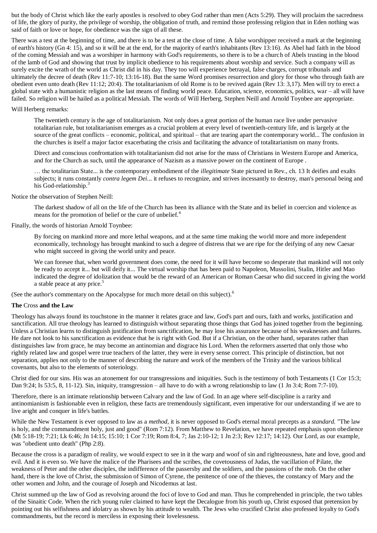but the body of Christ which like the early apostles is resolved to obey God rather than men (Acts 5:29). They will proclaim the sacredness of life, the glory of purity, the privilege of worship, the obligation of truth, and remind those professing religion that in Eden nothing was said of faith or love or hope, for obedience was the sign of all these.

There was a test at the beginning of time, and there is to be a test at the close of time. A false worshipper received a mark at the beginning of earth's history (Gn 4: 15), and so it will be at the end, for the majority of earth's inhabitants (Rev 13:16). As Abel had faith in the blood of the coming Messiah and was a worshiper in harmony with God's requirements, so there is to be a church of Abels trusting in the blood of the lamb of God and showing that trust by implicit obedience to his requirements about worship and service. Such a company will as surely excite the wrath of the world as Christ did in his day. They too will experience betrayal, false charges, corrupt tribunals and ultimately the decree of death (Rev 11:7-10; 13:16-18). But the same Word promises resurrection and glory for those who through faith are obedient even unto death (Rev 11:12; 20:4). The totalitarianism of old Rome is to be revived again (Rev 13: 3,17). Men will try to erect a global state with a humanistic religion as the last means of finding world peace. Education, science, economics, politics, war – all will have failed. So religion will be hailed as a political Messiah. The words of Will Herberg, Stephen Neill and Arnold Toynbee are appropriate.

### Will Herberg remarks:

The twentieth century is the age of totalitarianism. Not only does a great portion of the human race live under pervasive totalitarian rule, but totalitarianism emerges as a crucial problem at every level of twentieth-century life, and is largely at the source of the great conflicts – economic, political, and spiritual – that are tearing apart the contemporary world... The confusion in the churches is itself a major factor exacerbating the crisis and facilitating the advance of totalitarianism on many fronts.

Direct and conscious confrontation with totalitarianism did not arise for the mass of Christians in Western Europe and America, and for the Church as such, until the appearance of Nazism as a massive power on the continent of Europe .

… the totalitarian State... is the contemporary embodiment of the *illegitimate* State pictured in Rev., ch. 13 It deifies and exalts subjects; it runs constantly *contra legem Dei*... it refuses to recognize, and strives incessantly to destroy, man's personal being and his God-relationship.<sup>3</sup>

### Notice the observation of Stephen Neill:

The darkest shadow of all on the life of the Church has been its alliance with the State and its belief in coercion and violence as means for the promotion of belief or the cure of unbelief.<sup>4</sup>

### Finally, the words of historian Arnold Toynbee:

By forcing on mankind more and more lethal weapons, and at the same time making the world more and more independent economically, technology has brought mankind to such a degree of distress that we are ripe for the deifying of any new Caesar who might succeed in giving the world unity and peace.

We can foresee that, when world government does come, the need for it will have become so desperate that mankind will not only be ready to accept it... but will deify it... The virtual worship that has been paid to Napoleon, Mussolini, Stalin, Hitler and Mao indicated the degree of idolization that would be the reward of an American or Roman Caesar who did succeed in giving the world a stable peace at any price.<sup>5</sup>

(See the author's commentary on the Apocalypse for much more detail on this subject).<sup>6</sup>

#### **The** Cross **and the Law**

Theology has always found its touchstone in the manner it relates grace and law, God's part and ours, faith and works, justification and sanctification. All true theology has learned to distinguish without separating those things that God has joined together from the beginning. Unless a Christian learns to distinguish justification from sanctification, he may lose his assurance because of his weaknesses and failures. He dare not look to his sanctification as evidence that he is right with God. But if a Christian, on the other hand, separates rather than distinguishes law from grace, he may become an antinomian and disgrace his Lord. When the reformers asserted that only those who rightly related law and gospel were true teachers of the latter, they were in every sense correct. This principle of distinction, but not separation, applies not only to the manner of describing the nature and work of the members of the Trinity and the various biblical covenants, but also to the elements of soteriology.

Christ died for our sins. His was an atonement for our transgressions and iniquities. Such is the testimony of both Testaments (1 Cor 15:3; Dan 9:24; Is 53:5, 8, 11-12). Sin, iniquity, transgression – all have to do with a wrong relationship to law (1 Jn 3:4; Rom 7:7-10).

Therefore, there is an intimate relationship between Calvary and the law of God. In an age where self-discipline is a rarity and antinomianism is fashionable even in religion, these facts are tremendously significant, even imperative for our understanding if we are to live aright and conquer in life's battles.

While the New Testament is ever opposed to law as a *method,* it is never opposed to God's eternal moral precepts as a *standard.* "The law is holy, and the commandment holy, just and good" (Rom 7:12). From Matthew to Revelation, we have repeated emphasis upon obedience (Mt 5:18-19; 7:21; Lk 6:46; Jn 14:15; 15:10; 1 Cor 7:19; Rom 8:4, 7; Jas 2:10-12; 1 Jn 2:3; Rev 12:17; 14:12). Our Lord, as our example, was "obedient unto death" (Php 2:8).

Because the cross is a paradigm of reality, we would expect to see in it the warp and woof of sin and righteousness, hate and love, good and evil. And it is even so. We have the malice of the Pharisees and the scribes, the covetousness of Judas, the vacillation of Pilate, the weakness of Peter and the other disciples, the indifference of the passersby and the soldiers, and the passions of the mob. On the other hand, there is the love of Christ, the submission of Simon of Cyrene, the penitence of one of the thieves, the constancy of Mary and the other women and John, and the courage of Joseph and Nicodemus at last.

Christ summed up the law of God as revolving around the foci of love to God and man. Thus he comprehended in principle, the two tables of the Sinaitic Code. When the rich young ruler claimed to have kept the Decalogue from his youth up, Christ exposed that pretension by pointing out his selfishness and idolatry as shown by his attitude to wealth. The Jews who crucified Christ also professed loyalty to God's commandments, but the record is merciless in exposing their lovelessness.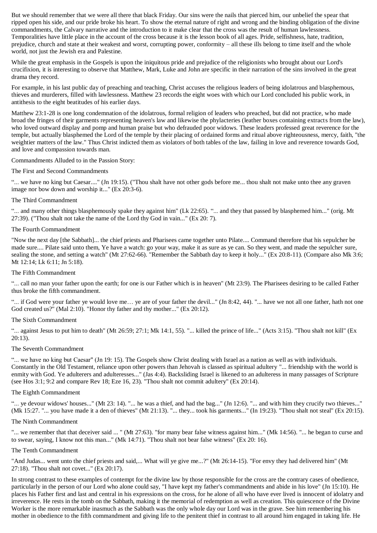But we should remember that we were all there that black Friday. Our sins were the nails that pierced him, our unbelief the spear that ripped open his side, and our pride broke his heart. To show the eternal nature of right and wrong and the binding obligation of the divine commandments, the Calvary narrative and the introduction to it make clear that the cross was the result of human lawlessness. Temporalities have little place in the account of the cross because it is the lesson book of all ages. Pride, selfishness, hate, tradition, prejudice, church and state at their weakest and worst, corrupting power, conformity – all these ills belong to time itself and the whole world, not just the Jewish era and Palestine.

While the great emphasis in the Gospels is upon the iniquitous pride and prejudice of the religionists who brought about our Lord's crucifixion, it is interesting to observe that Matthew, Mark, Luke and John are specific in their narration of the sins involved in the great drama they record.

For example, in his last public day of preaching and teaching, Christ accuses the religious leaders of being idolatrous and blasphemous, thieves and murderers, filled with lawlessness. Matthew 23 records the eight woes with which our Lord concluded his public work, in antithesis to the eight beatitudes of his earlier days.

Matthew 23:1-28 is one long condemnation of the idolatrous, formal religion of leaders who preached, but did not practice, who made broad the fringes of their garments representing heaven's law and likewise the phylacteries (leather boxes containing extracts from the law), who loved outward display and pomp and human praise but who defrauded poor widows. These leaders professed great reverence for the temple, but actually blasphemed the Lord of the temple by their placing of ordained forms and ritual above righteousness, mercy, faith, "the weightier matters of the law." Thus Christ indicted them as violators of both tables of the law, failing in love and reverence towards God, and love and compassion towards man.

### Commandments Alluded to in the Passion Story:

### The First and Second Commandments

"... we have no king but Caesar...." (Jn 19:15). ("Thou shalt have not other gods before me... thou shalt not make unto thee any graven image nor bow down and worship it..." (Ex 20:3-6).

#### The Third Commandment

"... and many other things blasphemously spake they against him" (Lk 22:65). "... and they that passed by blasphemed him..." (orig. Mt 27:39). ("Thou shalt not take the name of the Lord thy God in vain..." (Ex 20: 7).

#### The Fourth Commandment

"Now the next day [the Sabbath]... the chief priests and Pharisees came together unto Pilate.... Command therefore that his sepulcher be made sure.... Pilate said unto them, Ye have a watch: go your way, make it as sure as ye can. So they went, and made the sepulcher sure, sealing the stone, and setting a watch" (Mt 27:62-66). "Remember the Sabbath day to keep it holy..." (Ex 20:8-11). (Compare also Mk 3:6; Mt 12:14; Lk 6:11; Jn 5:18).

### The Fifth Commandment

"... call no man your father upon the earth; for one is our Father which is in heaven" (Mt 23:9). The Pharisees desiring to be called Father thus broke the fifth commandment.

"... if God were your father ye would love me... ye are of your father the devil..." (Jn 8:42, 44). "... have we not all one father, hath not one God created us?" (Mal 2:10). "Honor thy father and thy mother..." (Ex 20:12).

#### The Sixth Commandment

"... against Jesus to put him to death" (Mt 26:59; 27:1; Mk 14:1, 55). "... killed the prince of life..." (Acts 3:15). "Thou shalt not kill" (Ex 20:13).

### The Seventh Commandment

"... we have no king but Caesar" (Jn 19: 15). The Gospels show Christ dealing with Israel as a nation as well as with individuals. Constantly in the Old Testament, reliance upon other powers than Jehovah is classed as spiritual adultery "... friendship with the world is enmity with God. Ye adulterers and adulteresses..." (Jas 4:4). Backsliding Israel is likened to an adulteress in many passages of Scripture (see Hos 3:1; 9:2 and compare Rev 18; Eze 16, 23). "Thou shalt not commit adultery" (Ex 20:14).

#### The Eighth Commandment

"... ye devour widows' houses..." (Mt 23: 14). "... he was a thief, and had the bag..." (Jn 12:6). "... and with him they crucify two thieves..." (Mk 15:27. "... you have made it a den of thieves" (Mt 21:13). "... they... took his garments..." (In 19:23). "Thou shalt not steal" (Ex 20:15).

#### The Ninth Commandment

"... we remember that that deceiver said ... " (Mt 27:63). "for many bear false witness against him..." (Mk 14:56). "... he began to curse and to swear, saying, I know not this man..." (Mk 14:71). "Thou shalt not bear false witness" (Ex 20: 16).

#### The Tenth Commandment

"And Judas... went unto the chief priests and said,... What will ye give me...?" (Mt 26:14-15). "For envy they had delivered him" (Mt 27:18). "Thou shalt not covet..." (Ex 20:17).

In strong contrast to these examples of contempt for the divine law by those responsible for the cross are the contrary cases of obedience, particularly in the person of our Lord who alone could say, "I have kept my father's commandments and abide in his love" (Jn 15:10). He places his Father first and last and central in his expressions on the cross, for he alone of all who have ever lived is innocent of idolatry and irreverence. He rests in the tomb on the Sabbath, making it the memorial of redemption as well as creation. This quiescence of the Divine Worker is the more remarkable inasmuch as the Sabbath was the only whole day our Lord was in the grave. See him remembering his mother in obedience to the fifth commandment and giving life to the penitent thief in contrast to all around him engaged in taking life. He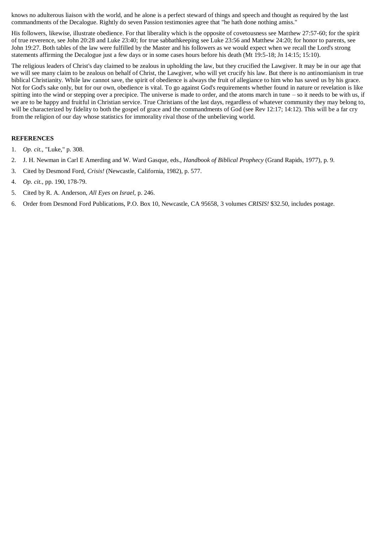knows no adulterous liaison with the world, and he alone is a perfect steward of things and speech and thought as required by the last commandments of the Decalogue. Rightly do seven Passion testimonies agree that "he hath done nothing amiss."

His followers, likewise, illustrate obedience. For that liberality which is the opposite of covetousness see Matthew 27:57-60; for the spirit of true reverence, see John 20:28 and Luke 23:40; for true sabbathkeeping see Luke 23:56 and Matthew 24:20; for honor to parents, see John 19:27. Both tables of the law were fulfilled by the Master and his followers as we would expect when we recall the Lord's strong statements affirming the Decalogue just a few days or in some cases hours before his death (Mt 19:5-18; Jn 14:15; 15:10).

The religious leaders of Christ's day claimed to be zealous in upholding the law, but they crucified the Lawgiver. It may be in our age that we will see many claim to be zealous on behalf of Christ, the Lawgiver, who will yet crucify his law. But there is no antinomianism in true biblical Christianity. While law cannot save, the spirit of obedience is always the fruit of allegiance to him who has saved us by his grace. Not for God's sake only, but for our own, obedience is vital. To go against God's requirements whether found in nature or revelation is like spitting into the wind or stepping over a precipice. The universe is made to order, and the atoms march in tune – so it needs to be with us, if we are to be happy and fruitful in Christian service. True Christians of the last days, regardless of whatever community they may belong to, will be characterized by fidelity to both the gospel of grace and the commandments of God (see Rev 12:17; 14:12). This will be a far cry from the religion of our day whose statistics for immorality rival those of the unbelieving world.

### **REFERENCES**

- 1. *Op. cit.,* "Luke," p. 308.
- 2. J. H. Newman in Carl E Amerding and W. Ward Gasque, eds., *Handbook of Biblical Prophecy* (Grand Rapids, 1977), p. 9.
- 3. Cited by Desmond Ford, *Crisis!* (Newcastle, California, 1982), p. 577.
- 4. *Op. cit.,* pp. 190, 178-79.
- 5. Cited by R. A. Anderson, *All Eyes on Israel,* p. 246.
- 6. Order from Desmond Ford Publications, P.O. Box 10, Newcastle, CA 95658, 3 volumes *CRISIS!* \$32.50, includes postage.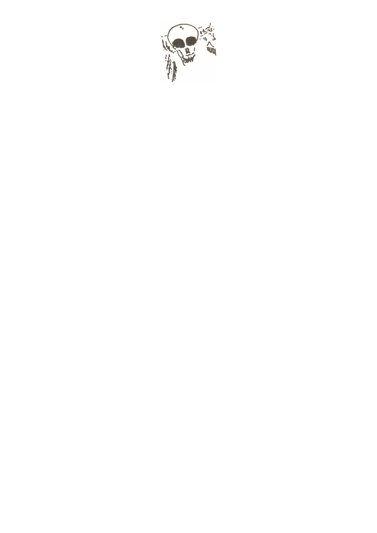![](_page_44_Picture_0.jpeg)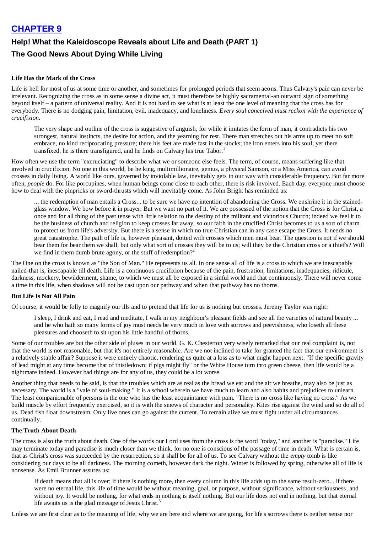# <span id="page-45-0"></span>**Help! What the Kaleidoscope Reveals about Life and Death (PART 1) The Good News About Dying While Living**

### **Life Has the Mark of the Cross**

Life is hell for most of us at some time or another, and sometimes for prolonged periods that seem aeons. Thus Calvary's pain can never be irrelevant. Recognizing the cross as in some sense a divine act, it must therefore be highly sacramental-an outward sign of something beyond itself – a pattern of universal reality. And it is not hard to see what is at least the one level of meaning that the cross has for everybody. There is no dodging pain, limitation, evil, inadequacy, and loneliness. *Every soul conceived must reckon with the experience of crucifixion.* 

The very shape and outline of the cross is suggestive of anguish, for while it imitates the form of man, it contradicts his two strongest, natural instincts, the desire for action, and the yearning for rest. There man stretches out his arms up to meet no soft embrace, no kind reciprocating pressure; there his feet are made fast in the stocks; the iron enters into his soul; yet there transfixed, he is there transfigured, and he finds on Calvary his true Tabor.<sup>1</sup>

How often we use the term "excruciating" to describe what we or someone else feels. The term, of course, means suffering like that involved in crucifixion. No one in this world, be he king, multimillionaire, genius, a physical Samson, or a Miss America, can avoid crosses in daily living. A world like ours, governed by inviolable law, inevitably gets in our way with considerable frequency. But far more often, *people* do. For like porcupines, when human beings come close to each other, there is risk involved. Each day, everyone must choose how to deal with the pinpricks or sword-thrusts which will inevitably come. As John Bright has reminded us:

... the redemption of man entails a Cross... to be sure we have no intention of abandoning the Cross. We enshrine it in the stainedglass window. We bow before it in prayer. But we want no part of it. We are possessed of the notion that the Cross is for Christ, a once and for all thing of the past tense with little relation to the destiny of the militant and victorious Church; indeed we feel it to be the business of church and religion to keep crosses far away, so our faith in the crucified Christ becomes to us a sort of charm to protect us from life's adversity. But there is a sense in which no true Christian can in any case escape the Cross. It needs no great catastrophe. The path of life is, however pleasant, dotted with crosses which men must bear. The question is not if we should bear them for bear them we shall, but only what sort of crosses they will be to us; will they be the Christian cross or a thief's? Will we find in them dumb brute agony, or the stuff of redemption?<sup>2</sup>

The One on the cross is known as "the Son of Man." He represents us all. In one sense all of life is a cross to which we are inescapably nailed-that is, inescapable till death. Life is a continuous crucifixion because of the pain, frustration, limitations, inadequacies, ridicule, darkness, mockery, bewilderment, shame, to which we must all be exposed in a sinful world and that continuously. There will never come a time in this life, when shadows will not be cast upon our pathway and when that pathway has no thorns.

### **But Life Is Not All Pain**

Of course, it would be folly to magnify our ills and to pretend that life for us is nothing but crosses. Jeremy Taylor was right:

I sleep, I drink and eat, I read and meditate, I walk in my neighbour's pleasant fields and see all the varieties of natural beauty ... and he who hath so many forms of joy must needs be very much in love with sorrows and peevishness, who loseth all these pleasures and chooseth to sit upon his little handful of thorns.

Some of our troubles are but the other side of pluses in our world. G. K. Chesterton very wisely remarked that our real complaint is, not that the world is not reasonable, but that it's not entirely reasonable. Are we not inclined to take for granted the fact that our environment is a relatively stable affair? Suppose it were entirely chaotic, rendering us quite at a loss as to what might happen next. "If the specific gravity of lead might at any time become that of thistledown; if pigs might fly" or the White House turn into green cheese, then life would be a nightmare indeed. However bad things are for any of us, they could be a lot worse.

Another thing that needs to be said, is that the troubles which are as real as the bread we eat and the air we breathe, may also be just as necessary. The world is a "vale of soul-making." It is a school wherein we have much to learn and also habits and prejudices to unlearn. The least companionable of persons is the one who has the least acquaintance with pain. "There is no cross like having no cross." As we build muscle by effort frequently exercised, so it is with the sinews of character and personality. Kites rise against the wind and so do all of us. Dead fish float downstream. Only live ones can go against the current. To remain alive we must fight under all circumstances continually.

### **The Truth About Death**

The cross is also the truth about death. One of the words our Lord uses from the cross is the word "today," and another is "paradise." Life may terminate today and paradise is much closer than we think, for no one is conscious of the passage of time in death. What is certain is, that as Christ's cross was succeeded by the resurrection, so it shall be for all of us. To see Calvary without the *empty* tomb is like considering our days to be all darkness. The morning cometh, however dark the night. Winter is followed by spring, otherwise all of life is nonsense. As Emil Brunner assures us:

If death means that all is over; if there is nothing more, then every column in this life adds up to the same result-zero... if there were no eternal life, this life of time would be without meaning, goal, or purpose, without significance, without seriousness, and without joy. It would be nothing, for what ends in nothing is itself nothing. But our life does not end in nothing, but that eternal life awaits us is the glad message of Jesus Christ. $3$ 

Unless we are first clear as to the meaning of life, why we are here and where we are going, for life's sorrows there is neither sense nor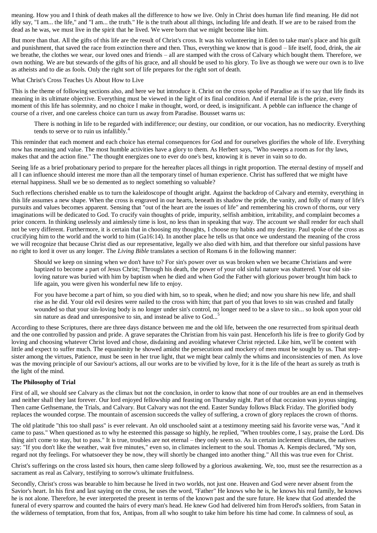meaning. How you and I think of death makes all the difference to how we live. Only in Christ does human life find meaning. He did not idly say, "I am... the life," and "I am... the truth." He is the truth about all things, including life and death. If we are to be raised from the dead as he was, we must live in the spirit that he lived. We were born that we might become like him.

But more than that. All the gifts of this life are the result of Christ's cross. It was his volunteering in Eden to take man's place and his guilt and punishment, that saved the race from extinction there and then. Thus, everything we know that is good – life itself, food, drink, the air we breathe, the clothes we wear, our loved ones and friends – all are stamped with the cross of Calvary which bought them. Therefore, we own nothing. We are but stewards of the gifts of his grace, and all should be used to his glory. To live as though we were our own is to live as atheists and to die as fools. Only the right sort of life prepares for the right sort of death.

What Christ's Cross Teaches Us About How to Live

This is the theme of following sections also, and here we but introduce it. Christ on the cross spoke of Paradise as if to say that life finds its meaning in its ultimate objective. Everything must be viewed in the light of its final condition. And if eternal life is the prize, every moment of this life has solemnity, and no choice I make in thought, word, or deed, is insignificant. A pebble can influence the change of course of a river, and one careless choice can turn us away from Paradise. Bousset warns us:

There is nothing in life to be regarded with indifference; our destiny, our condition, or our vocation, has no mediocrity. Everything tends to serve or to ruin us infallibly.<sup>4</sup>

This reminder that each moment and each choice has eternal consequences for God and for ourselves glorifies the whole of life. Everything now has meaning and value. The most humble activities have a glory to them. As Herbert says, "Who sweeps a room as for thy laws, makes that and the action fine." The thought energizes one to ever do one's best, knowing it is never in vain so to do.

Seeing life as a brief probationary period to prepare for the hereafter places all things in right proportion. The eternal destiny of myself and all I can influence should interest me more than all the temporary tinsel of human experience. Christ has suffered that we might have eternal happiness. Shall we be so demented as to neglect something so valuable?

Such reflections cherished enable us to turn the kaleidoscope of thought aright. Against the backdrop of Calvary and eternity, everything in this life assumes a new shape. When the cross is engraved in our hearts, beneath its shadow the pride, the vanity, and folly of many of life's pursuits and values becomes apparent. Sensing that "out of the heart are the issues of life" and remembering his crown of thorns, our very imaginations will be dedicated to God. To crucify vain thoughts of pride, impurity, selfish ambition, irritability, and complaint becomes a prior concern. In thinking uselessly and aimlessly time is lost, no less than in speaking that way. The account we shall render for each shall not be very different. Furthermore, it is certain that in choosing my thoughts, I choose my habits and my destiny. Paul spoke of the cross as crucifying him to the world and the world to him (Ga16:14). In another place he tells us that once we understand the meaning of the cross we will recognize that because Christ died as our representative, legally we also died with him, and that therefore our sinful passions have no right to lord it over us any longer. The *Living Bible* translates a section of Romans 6 in the following manner:

Should we keep on sinning when we don't have to? For sin's power over us was broken when we became Christians and were baptized to become a part of Jesus Christ; Through his death, the power of your old sinful nature was shattered. Your old sinloving nature was buried with him by baptism when he died and when God the Father with glorious power brought him back to life again, you were given his wonderful new life to enjoy.

For you have become a part of him, so you died with him, so to speak, when he died; and now you share his new life, and shall rise as he did. Your old evil desires were nailed to the cross with him; that part of you that loves to sin was crushed and fatally wounded so that your sin-loving body is no longer under sin's control, no longer need to be a slave to sin... so look upon your old sin nature as dead and unresponsive to sin, and instead be alive to God...

According to these Scriptures, there are three days distance between me and the old life, between the one resurrected from spiritual death and the one controlled by passion and pride. A grave separates the Christian from his vain past. Henceforth his life is free to glorify God by loving and choosing whatever Christ loved and chose, disdaining and avoiding whatever Christ rejected. Like him, we'll be content with little and expect to suffer much. The equanimity he showed amidst the persecutions and mockery of men must be sought by us. That stepsister among the virtues, Patience, must be seen in her true light, that we might bear calmly the whims and inconsistencies of men. As love was the moving principle of our Saviour's actions, all our works are to be vivified by love, for it is the life of the heart as surely as truth is the light of the mind.

### **The Philosophy of Trial**

First of all, we should see Calvary as the climax but not the conclusion, in order to know that none of our troubles are an end in themselves and neither shall they last forever. Our lord enjoyed fellowship and feasting on Thursday night. Part of that occasion was joyous singing. Then came Gethsemane, the Trials, and Calvary. But Calvary was not the end. Easter Sunday follows Black Friday. The glorified body replaces the wounded corpse. The mountain of ascension succeeds the valley of suffering, a crown of glory replaces the crown of thorns.

The old platitude "this too shall pass" is ever relevant. An old unschooled saint at a testimony meeting said his favorite verse was, "And it came to pass." When questioned as to why he esteemed this passage so highly, he replied, "When troubles come, I say, praise the Lord. Dis thing ain't come to stay, but to pass." It is true, troubles are not eternal – they only seem so. As in certain inclement climates, the natives say: "If you don't like the weather, wait five minutes," even so, in climates inclement to the soul. Thomas A. Kempis declared, "My son, regard not thy feelings. For whatsoever they be now, they will shortly be changed into another thing." All this was true even for Christ.

Christ's sufferings on the cross lasted six hours, then came sleep followed by a glorious awakening. We, too, must see the resurrection as a sacrament as real as Calvary, testifying to sorrow's ultimate fruitfulness.

Secondly, Christ's cross was bearable to him because he lived in two worlds, not just one. Heaven and God were never absent from the Savior's heart. In his first and last saying on the cross, he uses the word, "Father" He knows who he is, he knows his real family, he knows he is not alone. Therefore, he ever interpreted the present in terms of the known past and the sure future. He knew that God attended the funeral of every sparrow and counted the hairs of every man's head. He knew God had delivered him from Herod's soldiers, from Satan in the wilderness of temptation, from that fox, Antipas, from all who sought to take him before his time had come. In calmness of soul, as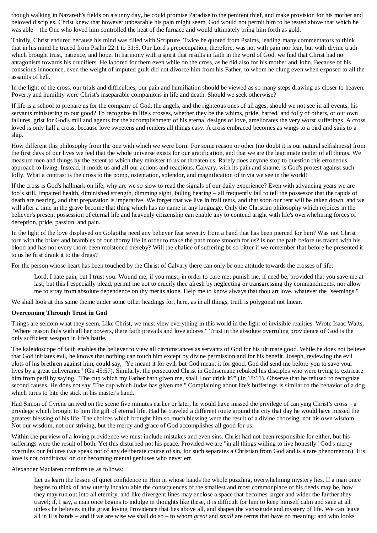though walking in Nazareth's fields on a sunny day, he could promise Paradise to the penitent thief, and make provision for his mother and beloved disciples. Christ knew that however unbearable his pain might seem, God would not permit him to be tested above that which he was able – the One who loved him controlled the heat of the furnace and would ultimately bring him forth as gold.

Thirdly, Christ endured because his mind was filled with Scripture. Twice he quoted from Psalms, leading many commentators to think that in his mind he traced from Psalm 22:1 to 31:5. Our Lord's preoccupation, therefore, was not with pain nor fear, but with divine truth which brought trust, patience, and hope. In harmony with a spirit that results in faith in the word of God, we find that Christ had no antagonism towards his crucifiers. He labored for them even while on the cross, as he did also for his mother and John. Because of his conscious innocence, even the weight of imputed guilt did not divorce him from his Father, to whom he clung even when exposed to all the assaults of hell.

In the light of the cross, our trials and difficulties, our pain and humiliation should be viewed as so many steps drawing us closer to heaven. Poverty and humility were Christ's inseparable companions in life and death. Should we seek otherwise?

If life is a school to prepare us for the company of God, the angels, and the righteous ones of all ages, should we not see in all events, his servants ministering to our good? To recognize in life's crosses, whether they be the whims, pride, hatred, and folly of others, or our own failures, grist for God's mill and agents for the accomplishment of his eternal designs of love, ameliorates the very worst sufferings. A cross loved is only half a cross, because love sweetens and renders all things easy. A cross embraced becomes as wings to a bird and sails to a ship.

How different this philosophy from the one with which we were born! For some reason or other (no doubt it is our natural selfishness) from the first days of our lives we feel that the whole universe exists for our gratification, and that we are the legitimate center of all things. We measure men and things by the extent to which they minister to us or threaten us. Rarely does anyone stop to question this erroneous approach to living. Instead, it molds us and all our actions and reactions. Calvary, with its pain and shame, is God's protest against such folly. What a contrast is the cross to the pomp, ostentation, splendor, and magnification of trivia we see in the world!

If the cross is God's hallmark on life, why are we so slow to read the signals of our daily experience? Even with advancing years we are fools still. Impaired health, diminished strength, dimming sight, failing hearing – all frequently fail to tell the possessor that the rapids of death are nearing, and that preparation is imperative. We forget that we live in frail tents, and that soon our tent will be taken down, and we will after a time in the grave become that thing which has no name in any language. Only the Christian philosophy which rejoices in the believer's present possession of eternal life and heavenly citizenship can enable any to contend aright with life's overwhelming forces of deception, pride, passion, and pain.

In the light of the love displayed on Golgotha need any believer fear severity from a hand that has been pierced for him? Was not Christ torn with the briars and brambles of our thorny life in order to make the path more smooth for us? Is not the path before us traced with his blood and has not every thorn been moistened thereby? Will the chalice of suffering be so bitter if we remember that before he presented it to us he first drank it to the dregs?

For the person whose heart has been touched by the Christ of Calvary there can only be one attitude towards the crosses of life:

Lord, I hate pain, but I trust you. Wound me, if you must, in order to cure me; punish me, if need be, provided that you save me at last; but this I especially plead, permit me not to crucify thee afresh by neglecting or transgressing thy commandments, nor allow me to stray from absolute dependence on thy merits alone. Help me to know always that thou art love, whatever the "seemings."

We shall look at this same theme under some other headings for, here, as in all things, truth is polygonal not linear.

### **Overcoming Through Trust in God**

Things are seldom what they seem. Like Christ, we must view everything in this world in the light of invisible realities. Wrote Isaac Watts, "Where reason fails with all her powers, there faith prevails and love adores." Trust in the absolute overruling providence of God is the only sufficient weapon in life's battle.

The kaleidoscope of faith enables the believer to view all circumstances as servants of God for his ultimate good. While he does not believe that God initiates evil, he knows that nothing can touch him except by divine permission and for his benefit. Joseph, reviewing the evil plots of his brethren against him, could say, "Ye meant it for evil, but God meant it for good. God did send me before you to save your lives by a great deliverance" (Gn 45:57). Similarly, the persecuted Christ in Gethsemane rebuked his disciples who were trying to extricate him from peril by saying, "The cup which my Father hath given me, shall I not drink it?" (Jn 18:11). Observe that he refused to recognize second causes. He does not say' 'The cup which Judas has given me." Complaining about life's buffetings is similar to the behavior of a dog which turns to bite the stick in his master's hand.

Had Simon of Cyrene arrived on the scene five minutes earlier or later, he would have missed the privilege of carrying Christ's cross – a privilege which brought to him the gift of eternal life. Had he traveled a different route around the city that day he would have missed the greatest blessing of his life. The choices which brought him so much blessing were the result of a divine choosing, not his own wisdom. Not our wisdom, not our striving, but the mercy and grace of God accomplishes all good for us.

Within the purview of a loving providence we must include mistakes and even sins. Christ had not been responsible for either, but his sufferings were the result of both. Yet this disturbed not his peace. Provided we are "in all things willing to live honestly" God's mercy overrules our failures (we speak not of any deliberate course of sin, for such separates a Christian from God and is a rare phenomenon). His love is not conditional on our becoming mental geniuses who never err.

Alexander Maclaren comforts us as follows:

Let us learn the lesson of quiet confidence in Him in whose hands the whole puzzling, overwhelming mystery lies. If a man once begins to think of how utterly incalculable the consequences of the smallest and most commonplace of his deeds may be, how they may run out into all eternity, and like divergent lines may enclose a space that becomes larger and wider the further they travel; if, I say, a man once begins to indulge in thoughts like these, it is difficult for him to keep himself calm and sane at all, unless he believes in the great loving Providence that lies above all, and shapes the vicissitude and mystery of life. We can leave all in His hands – and if we are wise we shall do so – to whom *great* and *small* are terms that have no meaning; and who looks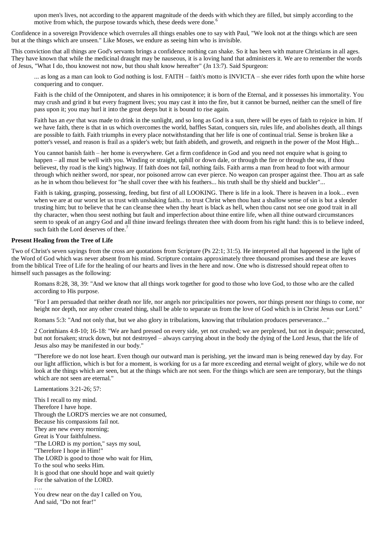upon men's lives, not according to the apparent magnitude of the deeds with which they are filled, but simply according to the motive from which, the purpose towards which, these deeds were done.<sup>6</sup>

Confidence in a sovereign Providence which overrules all things enables one to say with Paul, "We look not at the things which are seen but at the things which are unseen." Like Moses, we endure as seeing him who is invisible.

This conviction that all things are God's servants brings a confidence nothing can shake. So it has been with mature Christians in all ages. They have known that while the medicinal draught may be nauseous, it is a loving hand that administers it. We are to remember the words of Jesus, "What I do, thou knowest not now, but thou shalt know hereafter" (Jn 13:7). Said Spurgeon:

... as long as a man can look to God nothing is lost. FAITH – faith's motto is INVICTA – she ever rides forth upon the white horse conquering and to conquer.

Faith is the child of the Omnipotent, and shares in his omnipotence; it is born of the Eternal, and it possesses his immortality. You may crush and grind it but every fragment lives; you may cast it into the fire, but it cannot be burned, neither can the smell of fire pass upon it; you may hurl it into the great deeps but it is bound to rise again.

Faith has an *eye* that was made to drink in the sunlight, and so long as God is a sun, there will be eyes of faith to rejoice in him. If we have faith, there is that in us which overcomes the world, baffles Satan, conquers sin, rules life, and abolishes death, all things are possible to faith. Faith triumphs in every place notwithstanding that her life is one of continual trial. Sense is broken like a potter's vessel, and reason is frail as a spider's web; but faith abideth, and groweth, and reigneth in the power of the Most High...

You cannot banish faith – her home is everywhere. Get a firm confidence in God and you need not enquire what is going to happen – all must be well with you. Winding or straight, uphill or down dale, or through the fire or through the sea, if thou believest, thy road is the king's highway. If faith does not fail, nothing fails. Faith arms a man from head to foot with armour through which neither sword, nor spear, nor poisoned arrow can ever pierce. No weapon can prosper against thee. Thou art as safe as he in whom thou believest for "he shall cover thee with his feathers... his truth shall be thy shield and buckler"...

Faith is taking, grasping, possessing, feeding, but first of all LOOKING. There is life in a look. There is heaven in a look... even when we are at our worst let us trust with unshaking faith... to trust Christ when thou hast a shallow sense of sin is but a slender trusting him; but to believe that he can cleanse thee when thy heart is black as hell, when thou canst not see one good trait in all thy character, when thou seest nothing but fault and imperfection about thine entire life, when all thine outward circumstances seem to speak of an angry God and all thine inward feelings threaten thee with doom from his right hand: this is to believe indeed, such faith the Lord deserves of thee.<sup>7</sup>

### **Present Healing from the Tree of Life**

Two of Christ's seven sayings from the cross are quotations from Scripture (Ps 22:1; 31:5). He interpreted all that happened in the light of the Word of God which was never absent from his mind. Scripture contains approximately three thousand promises and these are leaves from the biblical Tree of Life for the healing of our hearts and lives in the here and now. One who is distressed should repeat often to himself such passages as the following:

Romans 8:28, 38, 39: "And we know that all things work together for good to those who love God, to those who are the called according to His purpose.

"For I am persuaded that neither death nor life, nor angels nor principalities nor powers, nor things present nor things to come, nor height nor depth, nor any other created thing, shall be able to separate us from the love of God which is in Christ Jesus our Lord."

Romans 5:3: "And not only that, but we also glory in tribulations, knowing that tribulation produces perseverance..."

2 Corinthians 4:8-10; 16-18: "We are hard pressed on every side, yet not crushed; we are perplexed, but not in despair; persecuted, but not forsaken; struck down, but not destroyed – always carrying about in the body the dying of the Lord Jesus, that the life of Jesus also may be manifested in our body."

"Therefore we do not lose heart. Even though our outward man is perishing, yet the inward man is being renewed day by day. For our light affliction, which is but for a moment, is working for us a far more exceeding and eternal weight of glory, while we do not look at the things which are seen, but at the things which are not seen. For the things which are seen are temporary, but the things which are not seen are eternal."

#### Lamentations 3:21-26; 57:

This I recall to my mind. Therefore I have hope. Through the LORD'S mercies we are not consumed, Because his compassions fail not. They are new every morning; Great is Your faithfulness. "The LORD is my portion," says my soul, "Therefore I hope in Him!" The LORD is good to those who wait for Him, To the soul who seeks Him. It is good that one should hope and wait quietly For the salvation of the LORD.

You drew near on the day I called on You, And said, "Do not fear!"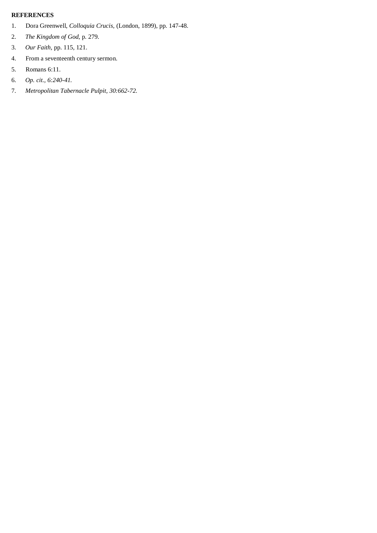### **REFERENCES**

- 1. Dora Greenwell, *Colloquia Crucis,* (London, 1899), pp. 147-48.
- 2. *The Kingdom of God,* p. 279.
- 3. *Our Faith,* pp. 115, 121.
- 4. From a seventeenth century sermon.
- 5. Romans 6:11.
- 6. *Op. cit., 6:240-41.*
- 7. *Metropolitan Tabernacle Pulpit, 30:662-72.*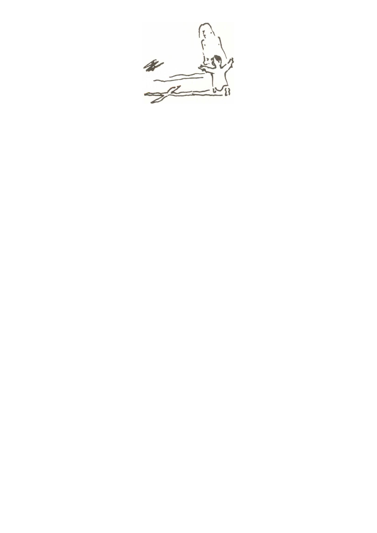![](_page_50_Picture_0.jpeg)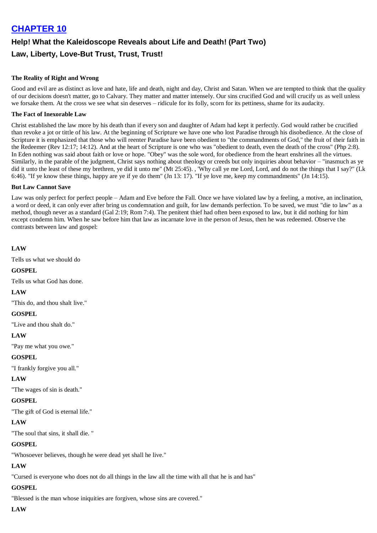# <span id="page-51-0"></span>**Help! What the Kaleidoscope Reveals about Life and Death! (Part Two) Law, Liberty, Love-But Trust, Trust, Trust!**

# **The Reality of Right and Wrong**

Good and evil are as distinct as love and hate, life and death, night and day, Christ and Satan. When we are tempted to think that the quality of our decisions doesn't matter, go to Calvary. They matter and matter intensely. Our sins crucified God and will crucify us as well unless we forsake them. At the cross we see what sin deserves – ridicule for its folly, scorn for its pettiness, shame for its audacity.

# **The Fact of Inexorable Law**

Christ established the law more by his death than if every son and daughter of Adam had kept it perfectly. God would rather be crucified than revoke a jot or tittle of his law. At the beginning of Scripture we have one who lost Paradise through his disobedience. At the close of Scripture it is emphasized that those who will reenter Paradise have been obedient to "the commandments of God," the fruit of their faith in the Redeemer (Rev 12:17; 14:12). And at the heart of Scripture is one who was "obedient to death, even the death of the cross" (Php 2:8). In Eden nothing was said about faith or love or hope. "Obey" was the sole word, for obedience from the heart enshrines all the virtues. Similarly, in the parable of the judgment, Christ says nothing about theology or creeds but only inquiries about behavior – "inasmuch as ye did it unto the least of these my brethren, ye did it unto me" (Mt 25:45). , 'Why call ye me Lord, Lord, and do not the things that I say?" (Lk 6:46). "If ye know these things, happy are ye if ye do them" (Jn 13: 17). "If ye love me, keep my commandments" (Jn 14:15).

### **But Law Cannot Save**

Law was only perfect for perfect people – Adam and Eve before the Fall. Once we have violated law by a feeling, a motive, an inclination, a word or deed, it can only ever after bring us condemnation and guilt, for law demands perfection. To be saved, we must "die to law" as a method, though never as a standard (Gal 2:19; Rom 7:4). The penitent thief had often been exposed to law, but it did nothing for him except condemn him. When he saw before him that law as incarnate love in the person of Jesus, then he was redeemed. Observe the contrasts between law and gospel:

# **LAW**

Tells us what we should do

### **GOSPEL**

Tells us what God has done.

### **LAW**

"This do, and thou shalt live."

### **GOSPEL**

"Live and thou shalt do."

### **LAW**

"Pay me what you owe."

### **GOSPEL**

"I frankly forgive you all."

### **LAW**

"The wages of sin is death."

### **GOSPEL**

"The gift of God is eternal life."

### **LAW**

"The soul that sins, it shall die. "

### **GOSPEL**

"Whosoever believes, though he were dead yet shall he live."

### **LAW**

"Cursed is everyone who does not do all things in the law all the time with all that he is and has"

# **GOSPEL**

"Blessed is the man whose iniquities are forgiven, whose sins are covered."

### **LAW**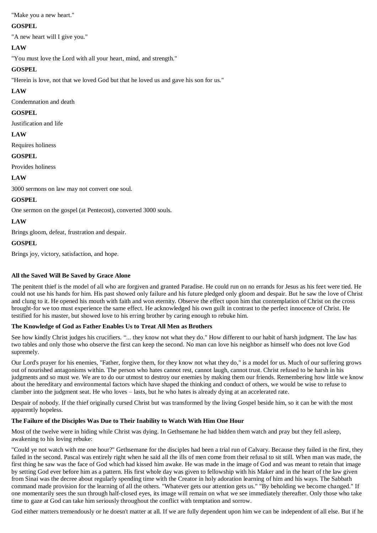"Make you a new heart."

# **GOSPEL**

"A new heart will I give you."

# **LAW**

"You must love the Lord with all your heart, mind, and strength."

# **GOSPEL**

"Herein is love, not that we loved God but that he loved us and gave his son for us."

# **LAW**

Condemnation and death

# **GOSPEL**

Justification and life

# **LAW**

Requires holiness

# **GOSPEL**

Provides holiness

**LAW**

3000 sermons on law may not convert one soul.

# **GOSPEL**

One sermon on the gospel (at Pentecost), converted 3000 souls.

# **LAW**

Brings gloom, defeat, frustration and despair.

# **GOSPEL**

Brings joy, victory, satisfaction, and hope.

# **All the Saved Will Be Saved by Grace Alone**

The penitent thief is the model of all who are forgiven and granted Paradise. He could run on no errands for Jesus as his feet were tied. He could not use his hands for him. His past showed only failure and his future pledged only gloom and despair. But he saw the love of Christ and clung to it. He opened his mouth with faith and won eternity. Observe the effect upon him that contemplation of Christ on the cross brought-for we too must experience the same effect. He acknowledged his own guilt in contrast to the perfect innocence of Christ. He testified for his master, but showed love to his erring brother by caring enough to rebuke him.

### **The Knowledge of God as Father Enables Us to Treat All Men as Brothers**

See how kindly Christ judges his crucifiers. "... they know not what they do." How different to our habit of harsh judgment. The law has two tables and only those who observe the first can keep the second. No man can love his neighbor as himself who does not love God supremely.

Our Lord's prayer for his enemies, "Father, forgive them, for they know not what they do," is a model for us. Much of our suffering grows out of nourished antagonisms within. The person who hates cannot rest, cannot laugh, cannot trust. Christ refused to be harsh in his judgments and so must we. We are to do our utmost to destroy our enemies by making them our friends. Remembering how little we know about the hereditary and environmental factors which have shaped the thinking and conduct of others, we would be wise to refuse to clamber into the judgment seat. He who loves – lasts, but he who hates is already dying at an accelerated rate.

Despair of nobody. If the thief originally cursed Christ but was transformed by the living Gospel beside him, so it can be with the most apparently hopeless.

# **The Failure of the Disciples Was Due to Their Inability to Watch With Him One Hour**

Most of the twelve were in hiding while Christ was dying. In Gethsemane he had bidden them watch and pray but they fell asleep, awakening to his loving rebuke:

"Could ye not watch with me one hour?" Gethsemane for the disciples had been a trial run of Calvary. Because they failed in the first, they failed in the second. Pascal was entirely right when he said all the ills of men come from their refusal to sit still. When man was made, the first thing he saw was the face of God which had kissed him awake. He was made in the image of God and was meant to retain that image by setting God ever before him as a pattern. His first whole day was given to fellowship with his Maker and in the heart of the law given from Sinai was the decree about regularly spending time with the Creator in holy adoration learning of him and his ways. The Sabbath command made provision for the learning of all the others. "Whatever gets our attention gets us." "By beholding we become changed." If one momentarily sees the sun through half-closed eyes, its image will remain on what we see immediately thereafter. Only those who take time to gaze at God can take him seriously throughout the conflict with temptation and sorrow.

God either matters tremendously or he doesn't matter at all. If we are fully dependent upon him we can be independent of all else. But if he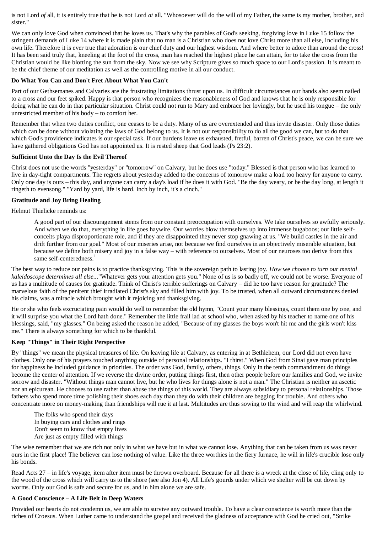is not Lord *of* all, it is entirely true that he is not Lord *at* all. "Whosoever will do the will of my Father, the same is my mother, brother, and sister."

We can only love God when convinced that he loves us. That's why the parables of God's seeking, forgiving love in Luke 15 follow the stringent demands of Luke 14 where it is made plain that no man is a Christian who does not love Christ more than all else, including his own life. Therefore it is ever true that adoration is our chief duty and our highest wisdom. And where better to adore than around the cross! It has been said truly that, kneeling at the foot of the cross, man has reached the highest place he can attain, for to take the cross from the Christian would be like blotting the sun from the sky. Now we see why Scripture gives so much space to our Lord's passion. It is meant to be the chief theme of our meditation as well as the controlling motive in all our conduct.

### **Do What You Can and Don't Fret About What You Can't**

Part of our Gethsemanes and Calvaries are the frustrating limitations thrust upon us. In difficult circumstances our hands also seem nailed to a cross and our feet spiked. Happy is that person who recognizes the reasonableness of God and knows that he is only responsible for doing what he can do in that particular situation. Christ could not run to Mary and embrace her lovingly, but he used his tongue – the only unrestricted member of his body – to comfort her.

Remember that when two duties conflict, one ceases to be a duty. Many of us are overextended and thus invite disaster. Only those duties which can be done without violating the laws of God belong to us. It is not our responsibility to do all the good we can, but to do that which God's providence indicates is our special task. If our burdens leave us exhausted, fretful, barren of Christ's peace, we can be sure we have gathered obligations God has not appointed us. It is rested sheep that God leads (Ps 23:2).

### **Sufficient Unto the Day Is the Evil Thereof**

Christ does not use the words "yesterday" or "tomorrow" on Calvary, but he does use "today." Blessed is that person who has learned to live in day-tight compartments. The regrets about yesterday added to the concerns of tomorrow make a load too heavy for anyone to carry. Only one day is ours – this day, and anyone can carry a day's load if he does it with God. "Be the day weary, or be the day long, at length it ringeth to evensong." "Yard by yard, life is hard. Inch by inch, it's a cinch."

### **Gratitude and Joy Bring Healing**

Helmut Thielicke reminds us:

A good part of our discouragement stems from our constant preoccupation with ourselves. We take ourselves so awfully seriously. And when we do that, everything in life goes haywire. Our worries blow themselves up into immense bugaboos; our little selfconceits playa disproportionate role, and if they are disappointed they never stop gnawing at us. "We build castles in the air and drift further from our goal." Most of our miseries arise, not because we find ourselves in an objectively miserable situation, but because we define both misery and joy in a false way – with reference to ourselves. Most of our neuroses too derive from this same self-centeredness. $<sup>1</sup>$ </sup>

The best way to reduce our pains is to practice thanksgiving. This is the sovereign path to lasting joy. *How* we *choose to turn our mental kaleidoscope determines all else...*"Whatever gets your attention gets you." None of us is so badly off, we could not be worse. Everyone of us has a multitude of causes for gratitude. Think of Christ's terrible sufferings on Calvary – did he too have reason for gratitude? The marvelous faith of the penitent thief irradiated Christ's sky and filled him with joy. To be trusted, when all outward circumstances denied his claims, was a miracle which brought with it rejoicing and thanksgiving.

He or she who feels excruciating pain would do well to remember the old hymn, "Count your many blessings, count them one by one, and it will surprise you what the Lord hath done." Remember the little frail lad at school who, when asked by his teacher to name one of his blessings, said, "my glasses." On being asked the reason he added, "Because of my glasses the boys won't hit me and the girls won't kiss me." There is always something for which to be thankful.

#### **Keep "Things" in Their Right Perspective**

By "things" we mean the physical treasures of life. On leaving life at Calvary, as entering in at Bethlehem, our Lord did not even have clothes. Only one of his prayers touched anything outside of personal relationships. "I thirst." When God from Sinai gave man principles for happiness he included guidance in priorities. The order was God, family, others, things. Only in the tenth commandment do things become the center of attention. If we reverse the divine order, putting things first, then other people before our families and God, we invite sorrow and disaster. "Without things man cannot live, but he who lives for things alone is not a man." The Christian is neither an ascetic nor an epicurean. He chooses to use rather than abuse the things of this world. They are always subsidiary to personal relationships. Those fathers who spend more time polishing their shoes each day than they do with their children are begging for trouble. And others who concentrate more on money-making than friendships will rue it at last. Multitudes are thus sowing to the wind and will reap the whirlwind.

The folks who spend their days In buying cars and clothes and rings Don't seem to know that empty lives Are just as empty filled with things

The wise remember that we are rich not only in what we have but in what we cannot lose. Anything that can be taken from us was never ours in the first place! The believer can lose nothing of value. Like the three worthies in the fiery furnace, he will in life's crucible lose only his bonds.

Read Acts 27 – in life's voyage, item after item must be thrown overboard. Because for all there is a wreck at the close of life, cling only to the wood of the cross which will carry us to the shore (see also Jon 4). All Life's gourds under which we shelter will be cut down by worms. Only our God is safe and secure for us, and in him alone we are safe.

### **A Good Conscience – A Life Belt in Deep Waters**

Provided our hearts do not condemn us, we are able to survive any outward trouble. To have a clear conscience is worth more than the riches of Croesus. When Luther came to understand the gospel and received the gladness of acceptance with God he cried out, "Strike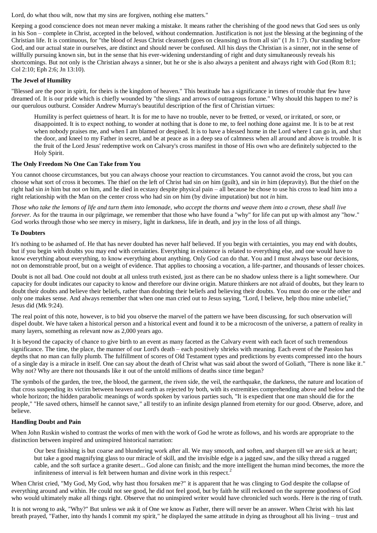Lord, do what thou wilt, now that my sins are forgiven, nothing else matters."

Keeping a good conscience does not mean never making a mistake. It means rather the cherishing of the good news that God sees us only in his Son – complete in Christ, accepted in the beloved, without condemnation. Justification is not just the blessing at the beginning of the Christian life. It is continuous, for "the blood of Jesus Christ cleanseth (goes on cleansing) us from all sin" (1 Jn 1:7). Our standing before God, and our actual state in ourselves, are distinct and should never be confused. All his days the Christian is a sinner, not in the sense of willfully pursuing known sin, but in the sense that his ever-widening understanding of right and duty simultaneously reveals his shortcomings. But not only is the Christian always a sinner, but he or she is also always a penitent and always right with God (Rom 8:1; Col 2:10; Eph 2:6; Jn 13:10).

### **The Jewel of Humility**

"Blessed are the poor in spirit, for theirs is the kingdom of heaven." This beatitude has a significance in times of trouble that few have dreamed of. It is our pride which is chiefly wounded by "the slings and arrows of outrageous fortune." Why should this happen to me? is our querulous outburst. Consider Andrew Murray's beautiful description of the first of Christian virtues:

Humility is perfect quietness of heart. It is for me to have no trouble, never to be fretted, or vexed, or irritated, or sore, or disappointed. It is to expect nothing, to wonder at nothing that is done to me, to feel nothing done against me. It is to be at rest when nobody praises me, and when I am blamed or despised. It is to have a blessed home in the Lord where I can go in, and shut the door, and kneel to my Father in secret, and be at peace as in a deep sea of calmness when all around and above is trouble. It is the fruit of the Lord Jesus' redemptive work on Calvary's cross manifest in those of His own who are definitely subjected to the Holy Spirit.

### **The Only Freedom No One Can Take from You**

You cannot choose circumstances, but you can always choose your reaction to circumstances. You cannot avoid the cross, but you can choose what sort of cross it becomes. The thief on the left of Christ had sin *on* him (guilt), and sin *in* him (depravity). But the thief on the right had sin *in* him but not *on* him, and he died in ecstasy despite physical pain – all because he chose to use his cross to lead him into a right relationship with the Man on the center cross who had sin *on* him (by divine imputation) but not *in* him.

*Those who take the lemons of life and turn them into lemonade, who accept the thorns and weave them into a crown, these shall live forever.* As for the trauma in our pilgrimage, we remember that those who have found a "why" for life can put up with almost any "how." God works through those who see mercy in misery, light in darkness, life in death, and joy in the loss of all things.

### **To Doubters**

It's nothing to be ashamed of. He that has never doubted has never half believed. If you begin with certainties, you may end with doubts, but if you begin with doubts you may end with certainties. Everything in existence is related to everything else, and one would have to know everything about everything, to know everything about anything. Only God can do that. You and I must always base our decisions, not on demonstrable proof, but on a weight of evidence. That applies to choosing a vocation, a life-partner, and thousands of lesser choices.

Doubt is not all bad. One could not doubt at all unless truth existed, just as there can be no shadow unless there is a light somewhere. Our capacity for doubt indicates our capacity to know and therefore our divine origin. Mature thinkers are not afraid of doubts, but they learn to doubt their doubts and believe their beliefs, rather than doubting their beliefs and believing their doubts. You must do one or the other and only one makes sense. And always remember that when one man cried out to Jesus saying, "Lord, I believe, help thou mine unbelief," Jesus did (Mk 9:24).

The real point of this note, however, is to bid you observe the marvel of the pattern we have been discussing, for such observation will dispel doubt. We have taken a historical person and a historical event and found it to be a microcosm of the universe, a pattern of reality in many layers, something as relevant now as 2,000 years ago.

It is beyond the capacity of chance to give birth to an event as many faceted as the Calvary event with each facet of such tremendous significance. The time, the place, the manner of our Lord's death – each positively shrieks with meaning. Each event of the Passion has depths that no man can fully plumb. The fulfillment of scores of Old Testament types and predictions by events compressed into the hours of a single day is a miracle in itself. One can say about the death of Christ what was said about the sword of Goliath, "There is none like it." Why not? Why are there not thousands like it out of the untold millions of deaths since time began?

The symbols of the garden, the tree, the blood, the garment, the riven side, the veil, the earthquake, the darkness, the nature and location of that cross suspending its victim between heaven and earth as rejected by both, with its extremities comprehending above and below and the whole horizon; the hidden parabolic meanings of words spoken by various parties such, "It is expedient that one man should die for the people," "He saved others, himself he cannot save," all testify to an infinite design planned from eternity for our good. Observe, adore, and believe.

### **Handling Doubt and Pain**

When John Ruskin wished to contrast the works of men with the work of God he wrote as follows, and his words are appropriate to the distinction between inspired and uninspired historical narration:

Our best finishing is but coarse and blundering work after all. We may smooth, and soften, and sharpen till we are sick at heart; but take a good magnifying glass to our miracle of skill, and the invisible edge is a jagged saw, and the silky thread a rugged cable, and the soft surface a granite desert... God alone can finish; and the more intelligent the human mind becomes, the more the infiniteness of interval is felt between human and divine work in this respect.<sup>2</sup>

When Christ cried, "My God, My God, why hast thou forsaken me?" it is apparent that he was clinging to God despite the collapse of everything around and within. He could not see good, he did not feel good, but by faith he still reckoned on the supreme goodness of God who would ultimately make all things right. Observe that no uninspired writer would have chronicled such words. Here is the ring of truth.

It is not wrong to ask, "Why?" But unless we ask it of One we know as Father, there will never be an answer. When Christ with his last breath prayed, "Father, into thy hands I commit my spirit," he displayed the same attitude in dying as throughout all his living – trust and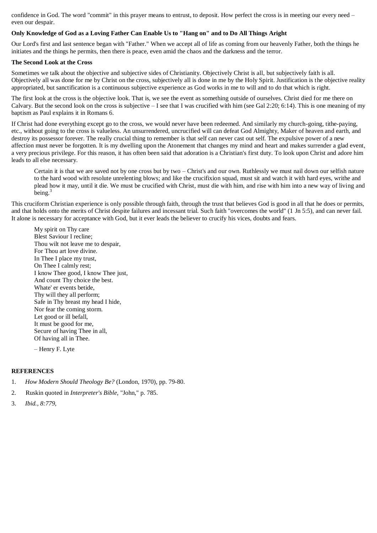confidence in God. The word "commit" in this prayer means to entrust, to deposit. How perfect the cross is in meeting our every need – even our despair.

### **Only Knowledge of God as a Loving Father Can Enable Us to "Hang on" and to Do All Things Aright**

Our Lord's first and last sentence began with "Father." When we accept all of life as coming from our heavenly Father, both the things he initiates and the things he permits, then there is peace, even amid the chaos and the darkness and the terror.

### **The Second Look at the Cross**

Sometimes we talk about the objective and subjective sides of Christianity. Objectively Christ is all, but subjectively faith is all. Objectively all was done for me by Christ on the cross, subjectively all is done in me by the Holy Spirit. Justification is the objective reality appropriated, but sanctification is a continuous subjective experience as God works in me to will and to do that which is right.

The first look at the cross is the objective look. That is, we see the event as something outside of ourselves. Christ died for me there on Calvary. But the second look on the cross is subjective  $-$  I see that I was crucified with him (see Gal 2:20; 6:14). This is one meaning of my baptism as Paul explains it in Romans 6.

If Christ had done everything except go to the cross, we would never have been redeemed. And similarly my church-going, tithe-paying, etc., without going to the cross is valueless. An unsurrendered, uncrucified will can defeat God Almighty, Maker of heaven and earth, and destroy its possessor forever. The really crucial thing to remember is that self can never cast out self. The expulsive power of a new affection must never be forgotten. It is my dwelling upon the Atonement that changes my mind and heart and makes surrender a glad event, a very precious privilege. For this reason, it has often been said that adoration is a Christian's first duty. To look upon Christ and adore him leads to all else necessary.

Certain it is that we are saved not by one cross but by two – Christ's and our own. Ruthlessly we must nail down our selfish nature to the hard wood with resolute unrelenting blows; and like the crucifixion squad, must sit and watch it with hard eyes, writhe and plead how it may, until it die. We must be crucified with Christ, must die with him, and rise with him into a new way of living and being.<sup>3</sup>

This cruciform Christian experience is only possible through faith, through the trust that believes God is good in all that he does or permits, and that holds onto the merits of Christ despite failures and incessant trial. Such faith "overcomes the world" (1 Jn 5:5), and can never fail. It alone is necessary for acceptance with God, but it ever leads the believer to crucify his vices, doubts and fears.

My spirit on Thy care Blest Saviour I recline; Thou wilt not leave me to despair, For Thou art love divine. In Thee I place my trust, On Thee I calmly rest; I know Thee good, I know Thee just, And count Thy choice the best. Whate' er events betide, Thy will they all perform; Safe in Thy breast my head I hide, Nor fear the coming storm. Let good or ill befall, It must be good for me, Secure of having Thee in all, Of having all in Thee.

– Henry F. Lyte

### **REFERENCES**

- 1. *How Modern Should Theology Be?* (London, 1970), pp. 79-80.
- 2. Ruskin quoted in *Interpreter's Bible,* "John," p. 785.
- 3. *Ibid., 8:779,*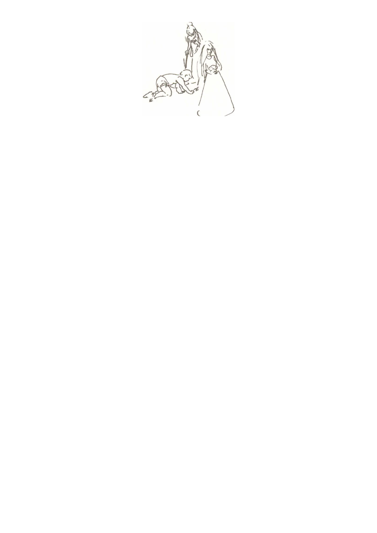![](_page_56_Picture_0.jpeg)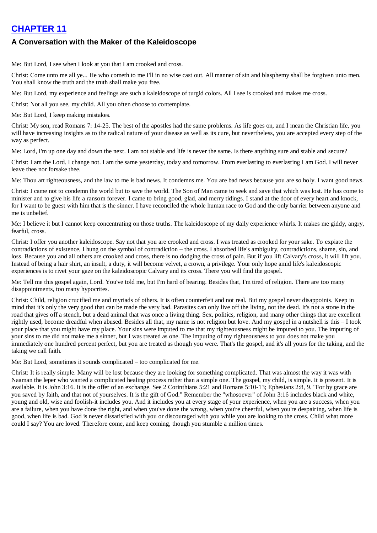# <span id="page-57-0"></span>**A Conversation with the Maker of the Kaleidoscope**

Me: But Lord, I see when I look at you that I am crooked and cross.

Christ: Come unto me all ye... He who cometh to me I'll in no wise cast out. All manner of sin and blasphemy shall be forgiven unto men. You shall know the truth and the truth shall make you free.

Me: But Lord, my experience and feelings are such a kaleidoscope of turgid colors. All I see is crooked and makes me cross.

Christ: Not all you see, my child. All you often choose to contemplate.

Me: But Lord, I keep making mistakes.

Christ: My son, read Romans 7: 14-25. The best of the apostles had the same problems. As life goes on, and I mean the Christian life, you will have increasing insights as to the radical nature of your disease as well as its cure, but nevertheless, you are accepted every step of the way as perfect.

Me: Lord, I'm up one day and down the next. I am not stable and life is never the same. Is there anything sure and stable and secure?

Christ: I am the Lord. I change not. I am the same yesterday, today and tomorrow. From everlasting to everlasting I am God. I will never leave thee nor forsake thee.

Me: Thou art righteousness, and the law to me is bad news. It condemns me. You are bad news because you are so holy. I want good news.

Christ: I came not to condemn the world but to save the world. The Son of Man came to seek and save that which was lost. He has come to minister and to give his life a ransom forever. I came to bring good, glad, and merry tidings. I stand at the door of every heart and knock, for I want to be guest with him that is the sinner. I have reconciled the whole human race to God and the only barrier between anyone and me is unbelief.

Me: I believe it but I cannot keep concentrating on those truths. The kaleidoscope of my daily experience whirls. It makes me giddy, angry, fearful, cross.

Christ: I offer you another kaleidoscope. Say not that you are crooked and cross. I was treated as crooked for your sake. To expiate the contradictions of existence, I hung on the symbol of contradiction – the cross. I absorbed life's ambiguity, contradictions, shame, sin, and loss. Because you and all others are crooked and cross, there is no dodging the cross of pain. But if you lift Calvary's cross, it will lift you. Instead of being a hair shirt, an insult, a duty, it will become velvet, a crown, a privilege. Your only hope amid life's kaleidoscopic experiences is to rivet your gaze on the kaleidoscopic Calvary and its cross. There you will find the gospel.

Me: Tell me this gospel again, Lord. You've told me, but I'm hard of hearing. Besides that, I'm tired of religion. There are too many disappointments, too many hypocrites.

Christ: Child, religion crucified me and myriads of others. It is often counterfeit and not real. But my gospel never disappoints. Keep in mind that it's only the very good that can be made the very bad. Parasites can only live off the living, not the dead. It's not a stone in the road that gives off a stench, but a dead animal that was once a living thing. Sex, politics, religion, and many other things that are excellent rightly used, become dreadful when abused. Besides all that, my name is not religion but love. And my gospel in a nutshell is this – I took your place that you might have my place. Your sins were imputed to me that my righteousness might be imputed to you. The imputing of your sins to me did not make me a sinner, but I was treated as one. The imputing of my righteousness to you does not make you immediately one hundred percent perfect, but you are treated as though you were. That's the gospel, and it's all yours for the taking, and the taking we call faith.

Me: But Lord, sometimes it sounds complicated – too complicated for me.

Christ: It is really simple. Many will be lost because they are looking for something complicated. That was almost the way it was with Naaman the leper who wanted a complicated healing process rather than a simple one. The gospel, my child, is simple. It is present. It is available. It is John 3:16. It is the offer of an exchange. See 2 Corinthians 5:21 and Romans 5:10-13; Ephesians 2:8, 9. "For by grace are you saved by faith, and that not of yourselves. It is the gift of God." Remember the "whosoever" of John 3:16 includes black and white, young and old, wise and foolish-it includes you. And it includes you at every stage of your experience, when you are a success, when you are a failure, when you have done the right, and when you've done the wrong, when you're cheerful, when you're despairing, when life is good, when life is bad. God is never dissatisfied with you or discouraged with you while you are looking to the cross. Child what more could I say? You are loved. Therefore come, and keep coming, though you stumble a million times.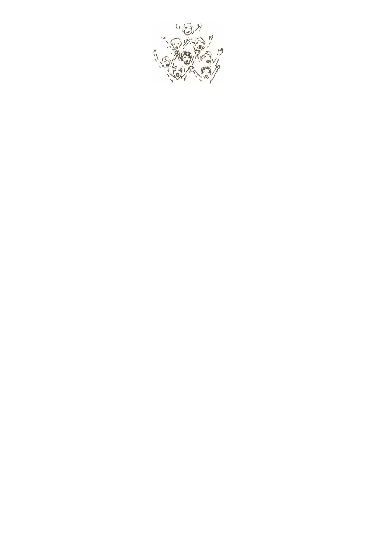![](_page_58_Picture_0.jpeg)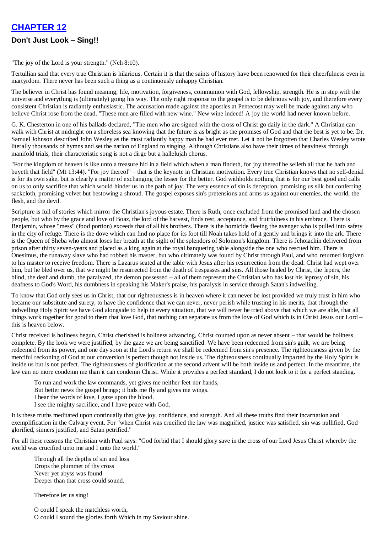# <span id="page-59-0"></span>**Don't Just Look – Sing!!**

"The joy of the Lord is your strength." (Neh 8:10).

Tertullian said that every true Christian is hilarious. Certain it is that the saints of history have been renowned for their cheerfulness even in martyrdom. There never has been such a thing as a continuously unhappy Christian.

The believer in Christ has found meaning, life, motivation, forgiveness, communion with God, fellowship, strength. He is in step with the universe and everything is (ultimately) going his way. The only right response to the gospel is to be delirious with joy*,* and therefore every consistent Christian is radiantly enthusiastic. The accusation made against the apostles at Pentecost may well be made against any who believe Christ rose from the dead. "These men are filled with new wine." New wine indeed! A joy the world had never known before.

G. K. Chesterton in one of his ballads declared, "The men who are signed with the cross of Christ go daily in the dark." A Christian can walk with Christ at midnight on a shoreless sea knowing that the future is as bright as the promises of God and that the best is yet to be. Dr. Samuel Johnson described John Wesley as the most radiantly happy man he had ever met. Let it not be forgotten that Charles Wesley wrote literally thousands of hymns and set the nation of England to singing. Although Christians also have their times of heaviness through manifold trials, their characteristic song is not a dirge but a hallelujah chorus.

"For the kingdom of heaven is like unto a treasure hid in a field which when a man findeth, for joy thereof he selleth all that he hath and buyeth that field" (Mt 13:44). "For joy thereof" – that is the keynote in Christian motivation. Every true Christian knows that no self-denial is for its own sake, but is clearly a matter of exchanging the lesser for the better. God withholds nothing that is for our best good and calls on us to only sacrifice that which would hinder us in the path of joy. The very essence of sin is deception, promising us silk but conferring sackcloth, promising velvet but bestowing a shroud. The gospel exposes sin's pretensions and arms us against our enemies, the world, the flesh, and the devil.

Scripture is full of stories which mirror the Christian's joyous estate. There is Ruth, once excluded from the promised land and the chosen people, but who by the grace and love of Boaz, the lord of the harvest, finds rest, acceptance, and fruitfulness in his embrace. There is Benjamin, whose "mess" (food portion) exceeds that of all his brothers. There is the homicide fleeing the avenger who is pulled into safety in the city of refuge. There is the dove which can find no place for its foot till Noah takes hold of it gently and brings it into the ark. There is the Queen of Sheba who almost loses her breath at the sight of the splendors of Solomon's kingdom. There is Jehoiachin delivered from prison after thirty seven-years and placed as a king again at the royal banqueting table alongside the one who rescued him. There is Onesimus, the runaway slave who had robbed his master, but who ultimately was found by Christ through Paul, and who returned forgiven to his master to receive freedom. There is Lazarus seated at the table with Jesus after his resurrection from the dead. Christ had wept over him, but he bled over us, that we might be resurrected from the death of trespasses and sins. All those healed by Christ, the lepers, the blind, the deaf and dumb, the paralyzed, the demon possessed – all of them represent the Christian who has lost his leprosy of sin, his deafness to God's Word, his dumbness in speaking his Maker's praise, his paralysis in service through Satan's indwelling.

To know that God only sees us in Christ, that our righteousness is in heaven where it can never be lost provided we truly trust in him who became our substitute and surety, to have the confidence that we can never, never perish while trusting in his merits, that through the indwelling Holy Spirit we have God alongside to help in every situation, that we will never be tried above that which we are able, that all things work together for good to them that love God, that nothing can separate us from the love of God which is in Christ Jesus our Lord – this is heaven below.

Christ received is holiness begun, Christ cherished is holiness advancing, Christ counted upon as never absent – that would be holiness complete. By the look we were justified, by the gaze we are being sanctified. We have been redeemed from sin's guilt, we are being redeemed from its power, and one day soon at the Lord's return we shall be redeemed from sin's presence. The righteousness given by the merciful reckoning of God at our conversion is perfect though not inside us. The righteousness continually imparted by the Holy Spirit is inside us but is not perfect. The righteousness of glorification at the second advent will be both inside us and perfect. In the meantime, the law can no more condemn me than it can condemn Christ. While it provides a perfect standard, I do not look to it for a perfect standing.

To run and work the law commands, yet gives me neither feet nor hands,

But better news the gospel brings; it bids me fly and gives me wings.

I hear the words of love, I gaze upon the blood.

I see the mighty sacrifice, and I have peace with God.

It is these truths meditated upon continually that give joy, confidence, and strength. And all these truths find their incarnation and exemplification in the Calvary event. For "when Christ was crucified the law was magnified, justice was satisfied, sin was nullified, God glorified, sinners justified, and Satan petrified."

For all these reasons the Christian with Paul says: "God forbid that I should glory save in the cross of our Lord Jesus Christ whereby the world was crucified unto me and I unto the world."

Through all the depths of sin and loss Drops the plummet of thy cross Never yet abyss was found Deeper than that cross could sound.

Therefore let us sing!

O could I speak the matchless worth, O could I sound the glories forth Which in my Saviour shine.